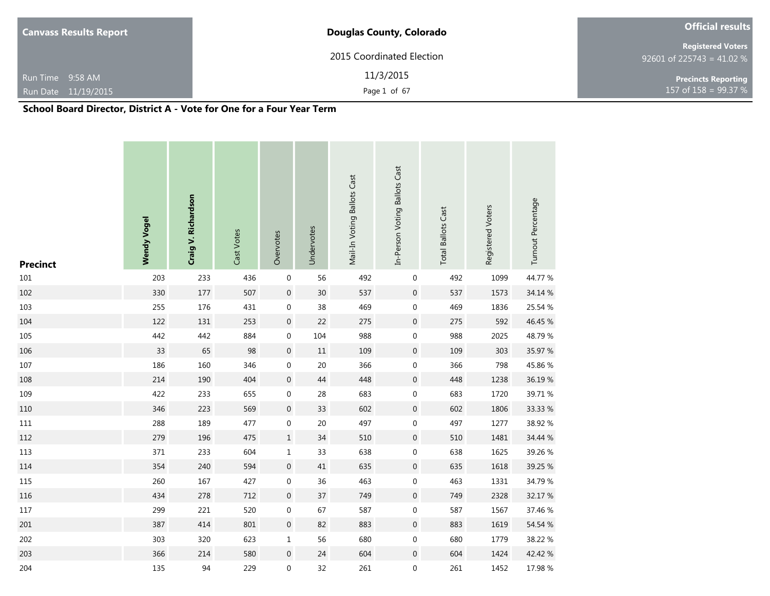| <b>Canvass Results Report</b> | <b>Douglas County, Colorado</b> | <b>Official results</b>                               |  |  |  |  |
|-------------------------------|---------------------------------|-------------------------------------------------------|--|--|--|--|
|                               | 2015 Coordinated Election       | <b>Registered Voters</b><br>92601 of 225743 = 41.02 % |  |  |  |  |
| Run Time 9:58 AM              | 11/3/2015                       | <b>Precincts Reporting</b>                            |  |  |  |  |
| Run Date 11/19/2015           | Page 1 of 67                    | 157 of $158 = 99.37 %$                                |  |  |  |  |

a sa kacamatan ing Kabupatèn Kabupatèn Kabupatèn Kabupatèn Kabupatèn Kabupatèn Kabupatèn Kabupatèn Kabupatèn K

٠

# **School Board Director, District A - Vote for One for a Four Year Term**

a sa kacamatan ing Kabupatèn Kabupatèn Kabupatèn Kabupatèn Kabupatèn Kabupatèn Kabupatèn Kabupatèn Kabupatèn K

| <b>Precinct</b> | <b>Wendy Vogel</b> | Craig V. Richardson | Cast Votes | Overvotes        | Undervotes | Mail-In Voting Ballots Cast | In-Person Voting Ballots Cast | <b>Total Ballots Cast</b> | Registered Voters | Turnout Percentage |
|-----------------|--------------------|---------------------|------------|------------------|------------|-----------------------------|-------------------------------|---------------------------|-------------------|--------------------|
| $101\,$         | 203                | 233                 | 436        | $\boldsymbol{0}$ | 56         | 492                         | $\boldsymbol{0}$              | 492                       | 1099              | 44.77 %            |
| 102             | 330                | 177                 | 507        | $\boldsymbol{0}$ | 30         | 537                         | $\boldsymbol{0}$              | 537                       | 1573              | 34.14 %            |
| 103             | 255                | 176                 | 431        | 0                | 38         | 469                         | $\boldsymbol{0}$              | 469                       | 1836              | 25.54 %            |
| 104             | 122                | 131                 | 253        | $\boldsymbol{0}$ | 22         | 275                         | $\boldsymbol{0}$              | 275                       | 592               | 46.45 %            |
| 105             | 442                | 442                 | 884        | $\pmb{0}$        | 104        | 988                         | $\boldsymbol{0}$              | 988                       | 2025              | 48.79%             |
| 106             | 33                 | 65                  | 98         | $\boldsymbol{0}$ | $11\,$     | 109                         | $\boldsymbol{0}$              | 109                       | 303               | 35.97 %            |
| 107             | 186                | 160                 | 346        | $\boldsymbol{0}$ | 20         | 366                         | $\boldsymbol{0}$              | 366                       | 798               | 45.86%             |
| 108             | 214                | 190                 | 404        | $\boldsymbol{0}$ | $44\,$     | 448                         | $\boldsymbol{0}$              | 448                       | 1238              | 36.19%             |
| 109             | 422                | 233                 | 655        | $\pmb{0}$        | 28         | 683                         | $\boldsymbol{0}$              | 683                       | 1720              | 39.71 %            |
| 110             | 346                | 223                 | 569        | $\boldsymbol{0}$ | 33         | 602                         | $\boldsymbol{0}$              | 602                       | 1806              | 33.33 %            |
| $111\,$         | 288                | 189                 | 477        | $\boldsymbol{0}$ | 20         | 497                         | $\boldsymbol{0}$              | 497                       | 1277              | 38.92 %            |
| 112             | 279                | 196                 | 475        | $\mathbf 1$      | $34\,$     | 510                         | $\boldsymbol{0}$              | 510                       | 1481              | 34.44 %            |
| 113             | 371                | 233                 | 604        | $\mathbf 1$      | 33         | 638                         | 0                             | 638                       | 1625              | 39.26 %            |
| 114             | 354                | 240                 | 594        | $\boldsymbol{0}$ | $41\,$     | 635                         | $\boldsymbol{0}$              | 635                       | 1618              | 39.25 %            |
| 115             | 260                | 167                 | 427        | $\boldsymbol{0}$ | 36         | 463                         | $\boldsymbol{0}$              | 463                       | 1331              | 34.79 %            |
| $116\,$         | 434                | 278                 | 712        | $\boldsymbol{0}$ | 37         | 749                         | $\boldsymbol{0}$              | 749                       | 2328              | 32.17 %            |
| 117             | 299                | 221                 | 520        | 0                | 67         | 587                         | $\boldsymbol{0}$              | 587                       | 1567              | 37.46 %            |
| 201             | 387                | 414                 | 801        | $\boldsymbol{0}$ | 82         | 883                         | $\boldsymbol{0}$              | 883                       | 1619              | 54.54 %            |
| 202             | 303                | 320                 | 623        | $\mathbf 1$      | 56         | 680                         | $\boldsymbol{0}$              | 680                       | 1779              | 38.22 %            |
| 203             | 366                | 214                 | 580        | $\boldsymbol{0}$ | 24         | 604                         | $\boldsymbol{0}$              | 604                       | 1424              | 42.42 %            |
| 204             | 135                | 94                  | 229        | $\boldsymbol{0}$ | 32         | 261                         | 0                             | 261                       | 1452              | 17.98 %            |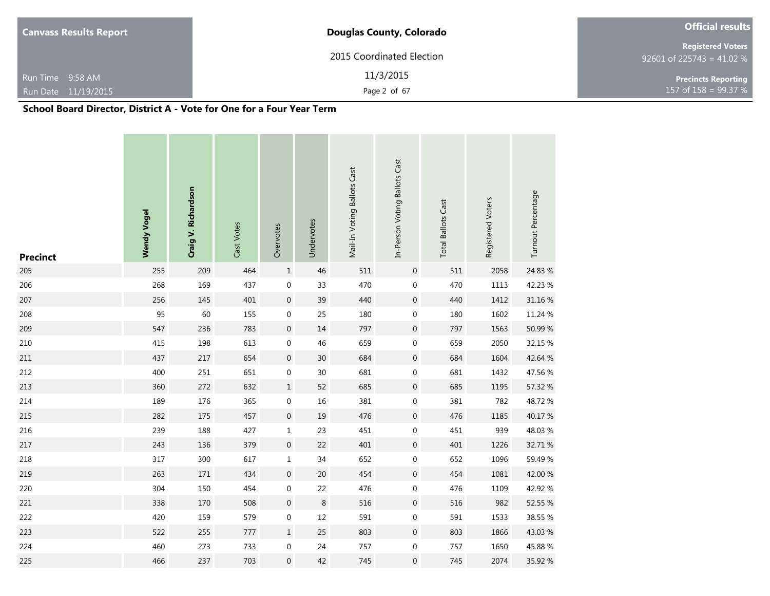| <b>Canvass Results Report</b> | <b>Douglas County, Colorado</b> | <b>Official results</b>                               |  |  |
|-------------------------------|---------------------------------|-------------------------------------------------------|--|--|
|                               | 2015 Coordinated Election       | <b>Registered Voters</b><br>92601 of 225743 = 41.02 % |  |  |
| Run Time 9:58 AM              | 11/3/2015                       | <b>Precincts Reporting</b>                            |  |  |
| Run Date 11/19/2015           | Page 2 of 67                    | 157 of $158 = 99.37 %$                                |  |  |

| <b>Precinct</b> | <b>Wendy Vogel</b> | Craig V. Richardson | Cast Votes | Overvotes        | Undervotes | Mail-In Voting Ballots Cast | In-Person Voting Ballots Cast | <b>Total Ballots Cast</b> | Registered Voters | Turnout Percentage |
|-----------------|--------------------|---------------------|------------|------------------|------------|-----------------------------|-------------------------------|---------------------------|-------------------|--------------------|
| 205             | 255                | 209                 | 464        | $\mathbf 1$      | 46         | 511                         | $\mathbf 0$                   | 511                       | 2058              | 24.83 %            |
| 206             | 268                | 169                 | 437        | $\pmb{0}$        | 33         | 470                         | $\boldsymbol{0}$              | 470                       | 1113              | 42.23 %            |
| 207             | 256                | 145                 | 401        | $\boldsymbol{0}$ | 39         | 440                         | $\boldsymbol{0}$              | 440                       | 1412              | 31.16 %            |
| 208             | 95                 | 60                  | 155        | $\boldsymbol{0}$ | 25         | 180                         | $\boldsymbol{0}$              | 180                       | 1602              | 11.24 %            |
| 209             | 547                | 236                 | 783        | $\boldsymbol{0}$ | 14         | 797                         | $\boldsymbol{0}$              | 797                       | 1563              | 50.99 %            |
| 210             | 415                | 198                 | 613        | $\boldsymbol{0}$ | 46         | 659                         | $\boldsymbol{0}$              | 659                       | 2050              | 32.15 %            |
| 211             | 437                | 217                 | 654        | $\boldsymbol{0}$ | 30         | 684                         | $\boldsymbol{0}$              | 684                       | 1604              | 42.64 %            |
| 212             | 400                | 251                 | 651        | $\boldsymbol{0}$ | 30         | 681                         | $\boldsymbol{0}$              | 681                       | 1432              | 47.56 %            |
| 213             | 360                | 272                 | 632        | $\mathbf 1$      | 52         | 685                         | $\boldsymbol{0}$              | 685                       | 1195              | 57.32 %            |
| 214             | 189                | 176                 | 365        | $\boldsymbol{0}$ | 16         | 381                         | 0                             | 381                       | 782               | 48.72%             |
| 215             | 282                | 175                 | 457        | $\boldsymbol{0}$ | 19         | 476                         | $\boldsymbol{0}$              | 476                       | 1185              | 40.17%             |
| 216             | 239                | 188                 | 427        | $\mathbf 1$      | 23         | 451                         | $\boldsymbol{0}$              | 451                       | 939               | 48.03%             |
| 217             | 243                | 136                 | 379        | $\boldsymbol{0}$ | 22         | 401                         | $\boldsymbol{0}$              | 401                       | 1226              | 32.71 %            |
| 218             | 317                | 300                 | 617        | $\mathbf 1$      | 34         | 652                         | 0                             | 652                       | 1096              | 59.49%             |
| 219             | 263                | 171                 | 434        | $\boldsymbol{0}$ | 20         | 454                         | $\boldsymbol{0}$              | 454                       | 1081              | 42.00 %            |
| 220             | 304                | 150                 | 454        | $\boldsymbol{0}$ | 22         | 476                         | 0                             | 476                       | 1109              | 42.92%             |
| 221             | 338                | 170                 | 508        | $\boldsymbol{0}$ | $\,8\,$    | 516                         | $\mathbf 0$                   | 516                       | 982               | 52.55 %            |
| 222             | 420                | 159                 | 579        | $\boldsymbol{0}$ | 12         | 591                         | $\boldsymbol{0}$              | 591                       | 1533              | 38.55 %            |
| 223             | 522                | 255                 | 777        | $\mathbf 1$      | 25         | 803                         | $\mathbf 0$                   | 803                       | 1866              | 43.03%             |
| 224             | 460                | 273                 | 733        | $\boldsymbol{0}$ | 24         | 757                         | 0                             | 757                       | 1650              | 45.88%             |
| 225             | 466                | 237                 | 703        | $\boldsymbol{0}$ | 42         | 745                         | $\mathbf 0$                   | 745                       | 2074              | 35.92 %            |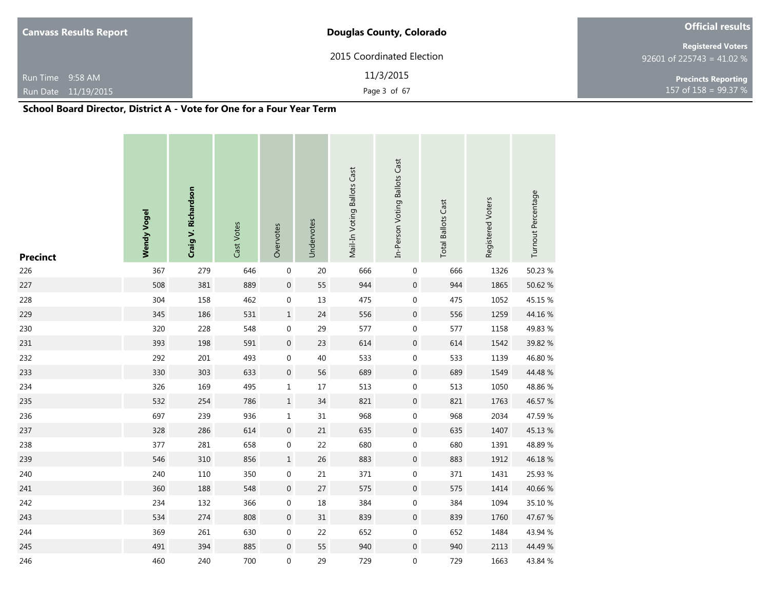| <b>Canvass Results Report</b> | <b>Douglas County, Colorado</b> | <b>Official results</b>                        |  |  |  |
|-------------------------------|---------------------------------|------------------------------------------------|--|--|--|
|                               | 2015 Coordinated Election       | Registered Voters<br>92601 of 225743 = 41.02 % |  |  |  |
| Run Time 9:58 AM              | 11/3/2015                       | <b>Precincts Reporting</b>                     |  |  |  |
| Run Date 11/19/2015           | Page 3 of 67                    | 157 of $158 = 99.37 \%$                        |  |  |  |

| <b>Precinct</b> | <b>Wendy Vogel</b> | Craig V. Richardson | Cast Votes | Overvotes        | Undervotes | Mail-In Voting Ballots Cast | In-Person Voting Ballots Cast | <b>Total Ballots Cast</b> | Registered Voters | Turnout Percentage |
|-----------------|--------------------|---------------------|------------|------------------|------------|-----------------------------|-------------------------------|---------------------------|-------------------|--------------------|
| 226             | 367                | 279                 | 646        | $\boldsymbol{0}$ | $20\,$     | 666                         | 0                             | 666                       | 1326              | 50.23 %            |
| 227             | 508                | 381                 | 889        | $\boldsymbol{0}$ | 55         | 944                         | $\boldsymbol{0}$              | 944                       | 1865              | 50.62 %            |
| 228             | 304                | 158                 | 462        | 0                | $13\,$     | 475                         | $\boldsymbol{0}$              | 475                       | 1052              | 45.15 %            |
| 229             | 345                | 186                 | 531        | $\mathbf 1$      | 24         | 556                         | $\boldsymbol{0}$              | 556                       | 1259              | 44.16%             |
| 230             | 320                | 228                 | 548        | $\boldsymbol{0}$ | 29         | 577                         | $\boldsymbol{0}$              | 577                       | 1158              | 49.83 %            |
| 231             | 393                | 198                 | 591        | $\boldsymbol{0}$ | 23         | 614                         | $\boldsymbol{0}$              | 614                       | 1542              | 39.82 %            |
| 232             | 292                | 201                 | 493        | $\boldsymbol{0}$ | 40         | 533                         | $\boldsymbol{0}$              | 533                       | 1139              | 46.80 %            |
| 233             | 330                | 303                 | 633        | $\boldsymbol{0}$ | 56         | 689                         | $\boldsymbol{0}$              | 689                       | 1549              | 44.48%             |
| 234             | 326                | 169                 | 495        | $\mathbf 1$      | $17\,$     | 513                         | $\boldsymbol{0}$              | 513                       | 1050              | 48.86%             |
| 235             | 532                | 254                 | 786        | $\mathbf 1$      | 34         | 821                         | $\boldsymbol{0}$              | 821                       | 1763              | 46.57 %            |
| 236             | 697                | 239                 | 936        | $\mathbf 1$      | 31         | 968                         | $\boldsymbol{0}$              | 968                       | 2034              | 47.59 %            |
| 237             | 328                | 286                 | 614        | $\boldsymbol{0}$ | 21         | 635                         | $\boldsymbol{0}$              | 635                       | 1407              | 45.13%             |
| 238             | 377                | 281                 | 658        | $\boldsymbol{0}$ | 22         | 680                         | $\boldsymbol{0}$              | 680                       | 1391              | 48.89%             |
| 239             | 546                | 310                 | 856        | $\mathbf 1$      | 26         | 883                         | $\boldsymbol{0}$              | 883                       | 1912              | 46.18%             |
| 240             | 240                | 110                 | 350        | $\boldsymbol{0}$ | 21         | 371                         | $\boldsymbol{0}$              | 371                       | 1431              | 25.93 %            |
| 241             | 360                | 188                 | 548        | $\boldsymbol{0}$ | 27         | 575                         | $\boldsymbol{0}$              | 575                       | 1414              | 40.66 %            |
| 242             | 234                | 132                 | 366        | $\boldsymbol{0}$ | $18\,$     | 384                         | 0                             | 384                       | 1094              | 35.10 %            |
| 243             | 534                | 274                 | 808        | $\boldsymbol{0}$ | 31         | 839                         | $\boldsymbol{0}$              | 839                       | 1760              | 47.67 %            |
| 244             | 369                | 261                 | 630        | $\boldsymbol{0}$ | 22         | 652                         | $\boldsymbol{0}$              | 652                       | 1484              | 43.94 %            |
| 245             | 491                | 394                 | 885        | $\boldsymbol{0}$ | 55         | 940                         | $\boldsymbol{0}$              | 940                       | 2113              | 44.49 %            |
| 246             | 460                | 240                 | 700        | 0                | 29         | 729                         | 0                             | 729                       | 1663              | 43.84 %            |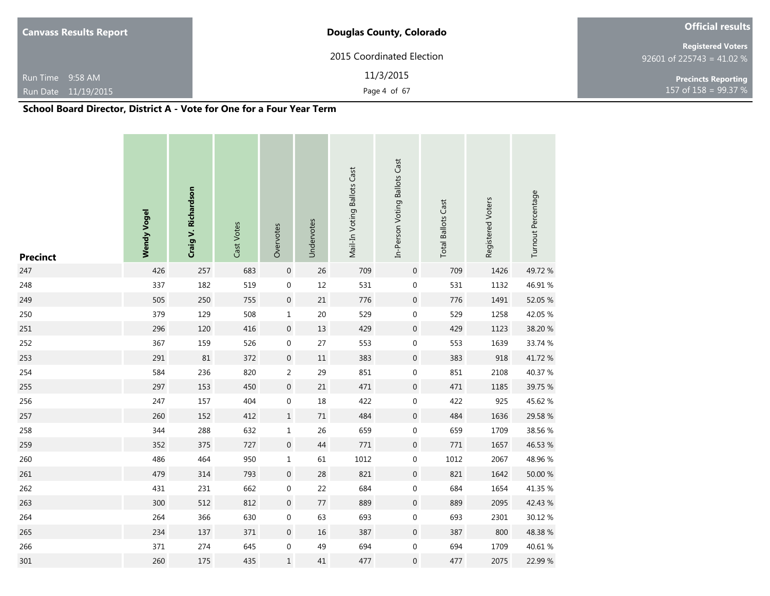| <b>Canvass Results Report</b> | <b>Douglas County, Colorado</b> | <b>Official results</b>                               |  |  |  |
|-------------------------------|---------------------------------|-------------------------------------------------------|--|--|--|
|                               | 2015 Coordinated Election       | <b>Registered Voters</b><br>92601 of 225743 = 41.02 % |  |  |  |
| Run Time 9:58 AM              | 11/3/2015                       | <b>Precincts Reporting</b>                            |  |  |  |
| Run Date 11/19/2015           | Page 4 of 67                    | 157 of $158 = 99.37 %$                                |  |  |  |
| ----<br>$\cdots$              | $\mathbf{v}$<br>-               |                                                       |  |  |  |

| <b>Precinct</b> | <b>Wendy Vogel</b> | Craig V. Richardson | Cast Votes | Overvotes        | Undervotes | Mail-In Voting Ballots Cast | In-Person Voting Ballots Cast | <b>Total Ballots Cast</b> | Registered Voters | Turnout Percentage |
|-----------------|--------------------|---------------------|------------|------------------|------------|-----------------------------|-------------------------------|---------------------------|-------------------|--------------------|
| 247             | 426                | 257                 | 683        | $\boldsymbol{0}$ | 26         | 709                         | $\boldsymbol{0}$              | 709                       | 1426              | 49.72%             |
| 248             | 337                | 182                 | 519        | $\boldsymbol{0}$ | $12\,$     | 531                         | $\boldsymbol{0}$              | 531                       | 1132              | 46.91%             |
| 249             | 505                | 250                 | 755        | $\boldsymbol{0}$ | $21\,$     | 776                         | $\boldsymbol{0}$              | 776                       | 1491              | 52.05 %            |
| 250             | 379                | 129                 | 508        | $\mathbf 1$      | $20\,$     | 529                         | $\boldsymbol{0}$              | 529                       | 1258              | 42.05 %            |
| 251             | 296                | 120                 | 416        | $\boldsymbol{0}$ | $13\,$     | 429                         | $\boldsymbol{0}$              | 429                       | 1123              | 38.20 %            |
| 252             | 367                | 159                 | 526        | $\pmb{0}$        | 27         | 553                         | $\boldsymbol{0}$              | 553                       | 1639              | 33.74 %            |
| 253             | 291                | 81                  | 372        | $\boldsymbol{0}$ | $11\,$     | 383                         | $\mathsf{O}\xspace$           | 383                       | 918               | 41.72%             |
| 254             | 584                | 236                 | 820        | $\overline{2}$   | 29         | 851                         | $\boldsymbol{0}$              | 851                       | 2108              | 40.37%             |
| 255             | 297                | 153                 | 450        | $\boldsymbol{0}$ | $21\,$     | 471                         | $\boldsymbol{0}$              | 471                       | 1185              | 39.75 %            |
| 256             | 247                | 157                 | 404        | $\boldsymbol{0}$ | 18         | 422                         | $\boldsymbol{0}$              | 422                       | 925               | 45.62 %            |
| 257             | 260                | 152                 | 412        | $\mathbf 1$      | $71\,$     | 484                         | $\boldsymbol{0}$              | 484                       | 1636              | 29.58 %            |
| 258             | 344                | 288                 | 632        | $\mathbf 1$      | 26         | 659                         | $\boldsymbol{0}$              | 659                       | 1709              | 38.56 %            |
| 259             | 352                | 375                 | 727        | $\boldsymbol{0}$ | 44         | $771\,$                     | $\boldsymbol{0}$              | 771                       | 1657              | 46.53 %            |
| 260             | 486                | 464                 | 950        | $\mathbf 1$      | 61         | 1012                        | $\boldsymbol{0}$              | 1012                      | 2067              | 48.96 %            |
| 261             | 479                | 314                 | 793        | $\boldsymbol{0}$ | 28         | 821                         | $\boldsymbol{0}$              | 821                       | 1642              | 50.00 %            |
| 262             | 431                | 231                 | 662        | $\boldsymbol{0}$ | 22         | 684                         | $\boldsymbol{0}$              | 684                       | 1654              | 41.35 %            |
| 263             | 300                | 512                 | 812        | $\boldsymbol{0}$ | $77\,$     | 889                         | $\boldsymbol{0}$              | 889                       | 2095              | 42.43 %            |
| 264             | 264                | 366                 | 630        | $\boldsymbol{0}$ | 63         | 693                         | 0                             | 693                       | 2301              | 30.12 %            |
| 265             | 234                | 137                 | 371        | $\boldsymbol{0}$ | $16\,$     | 387                         | $\boldsymbol{0}$              | 387                       | 800               | 48.38%             |
| 266             | 371                | 274                 | 645        | $\boldsymbol{0}$ | 49         | 694                         | 0                             | 694                       | 1709              | 40.61 %            |
| 301             | 260                | 175                 | 435        | $\mathbf 1$      | 41         | 477                         | 0                             | 477                       | 2075              | 22.99 %            |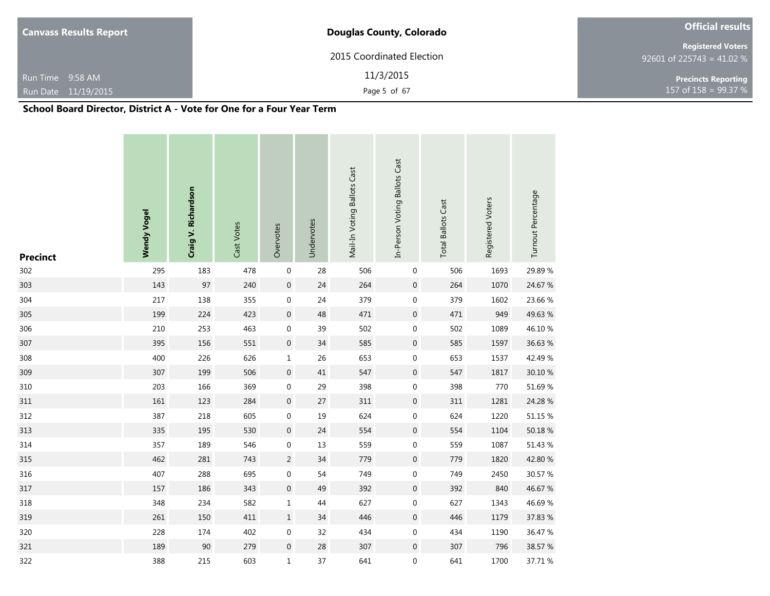| <b>Canvass Results Report</b> | <b>Douglas County, Colorado</b> | <b>Official results</b>                               |  |  |
|-------------------------------|---------------------------------|-------------------------------------------------------|--|--|
|                               | 2015 Coordinated Election       | <b>Registered Voters</b><br>92601 of 225743 = 41.02 % |  |  |
| Run Time 9:58 AM              | 11/3/2015                       | <b>Precincts Reporting</b>                            |  |  |
| Run Date 11/19/2015           | Page 5 of 67                    | 157 of $158 = 99.37 %$                                |  |  |

| <b>Precinct</b> | <b>Wendy Vogel</b> | Craig V. Richardson | Cast Votes | Overvotes        | Undervotes | Mail-In Voting Ballots Cast | In-Person Voting Ballots Cast | <b>Total Ballots Cast</b> | Registered Voters | Turnout Percentage |
|-----------------|--------------------|---------------------|------------|------------------|------------|-----------------------------|-------------------------------|---------------------------|-------------------|--------------------|
| 302             | 295                | 183                 | 478        | $\boldsymbol{0}$ | 28         | 506                         | 0                             | 506                       | 1693              | 29.89 %            |
| 303             | 143                | 97                  | 240        | $\boldsymbol{0}$ | 24         | 264                         | $\boldsymbol{0}$              | 264                       | 1070              | 24.67 %            |
| 304             | 217                | 138                 | 355        | $\boldsymbol{0}$ | 24         | 379                         | 0                             | 379                       | 1602              | 23.66 %            |
| 305             | 199                | 224                 | 423        | $\boldsymbol{0}$ | 48         | 471                         | $\boldsymbol{0}$              | 471                       | 949               | 49.63 %            |
| 306             | 210                | 253                 | 463        | $\boldsymbol{0}$ | 39         | 502                         | $\boldsymbol{0}$              | 502                       | 1089              | 46.10%             |
| 307             | 395                | 156                 | 551        | $\boldsymbol{0}$ | 34         | 585                         | $\boldsymbol{0}$              | 585                       | 1597              | 36.63 %            |
| 308             | 400                | 226                 | 626        | $\mathbf 1$      | 26         | 653                         | $\boldsymbol{0}$              | 653                       | 1537              | 42.49 %            |
| 309             | 307                | 199                 | 506        | $\boldsymbol{0}$ | 41         | 547                         | $\boldsymbol{0}$              | 547                       | 1817              | 30.10 %            |
| 310             | 203                | 166                 | 369        | $\boldsymbol{0}$ | 29         | 398                         | 0                             | 398                       | 770               | 51.69%             |
| $311\,$         | 161                | 123                 | 284        | $\boldsymbol{0}$ | $27\,$     | 311                         | $\boldsymbol{0}$              | 311                       | 1281              | 24.28 %            |
| 312             | 387                | 218                 | 605        | $\boldsymbol{0}$ | 19         | 624                         | 0                             | 624                       | 1220              | 51.15 %            |
| 313             | 335                | 195                 | 530        | $\boldsymbol{0}$ | 24         | 554                         | $\boldsymbol{0}$              | 554                       | 1104              | 50.18 %            |
| 314             | 357                | 189                 | 546        | $\boldsymbol{0}$ | 13         | 559                         | 0                             | 559                       | 1087              | 51.43 %            |
| 315             | 462                | 281                 | 743        | $\overline{c}$   | 34         | 779                         | $\boldsymbol{0}$              | 779                       | 1820              | 42.80 %            |
| 316             | 407                | 288                 | 695        | $\boldsymbol{0}$ | 54         | 749                         | 0                             | 749                       | 2450              | 30.57 %            |
| 317             | 157                | 186                 | 343        | $\boldsymbol{0}$ | 49         | 392                         | $\boldsymbol{0}$              | 392                       | 840               | 46.67 %            |
| 318             | 348                | 234                 | 582        | $\mathbf{1}$     | 44         | 627                         | 0                             | 627                       | 1343              | 46.69%             |
| 319             | 261                | 150                 | 411        | $\mathbf 1$      | 34         | 446                         | $\boldsymbol{0}$              | 446                       | 1179              | 37.83 %            |
| 320             | 228                | 174                 | 402        | $\boldsymbol{0}$ | 32         | 434                         | $\boldsymbol{0}$              | 434                       | 1190              | 36.47 %            |
| 321             | 189                | 90                  | 279        | $\boldsymbol{0}$ | 28         | 307                         | $\boldsymbol{0}$              | 307                       | 796               | 38.57 %            |
| 322             | 388                | 215                 | 603        | $\mathbf 1$      | 37         | 641                         | 0                             | 641                       | 1700              | 37.71 %            |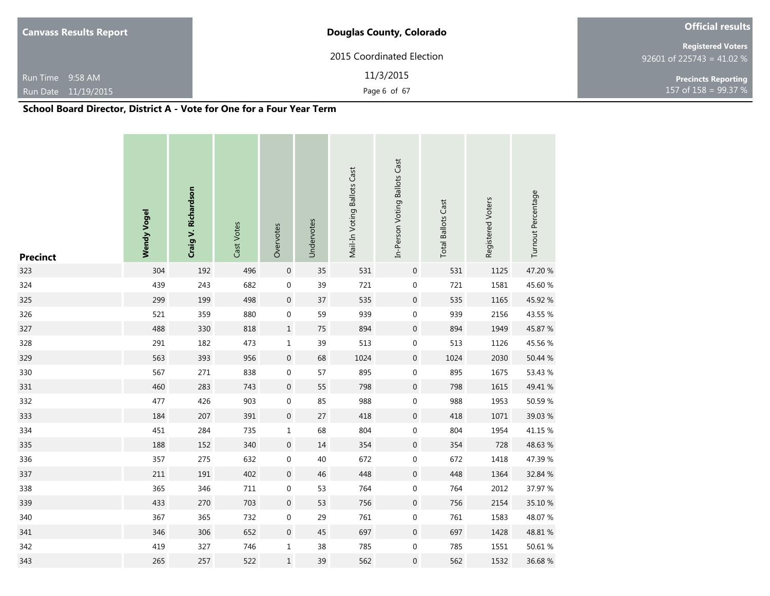| <b>Douglas County, Colorado</b> |                                                       |
|---------------------------------|-------------------------------------------------------|
| 2015 Coordinated Election       | <b>Registered Voters</b><br>92601 of 225743 = 41.02 % |
| 11/3/2015                       | <b>Precincts Reporting</b>                            |
| Page 6 of 67                    | 157 of $158 = 99.37 %$                                |
|                                 |                                                       |

| <b>Precinct</b> | <b>Wendy Vogel</b> | Craig V. Richardson | Cast Votes | Overvotes        | Undervotes | Mail-In Voting Ballots Cast | In-Person Voting Ballots Cast | <b>Total Ballots Cast</b> | Registered Voters | Turnout Percentage |
|-----------------|--------------------|---------------------|------------|------------------|------------|-----------------------------|-------------------------------|---------------------------|-------------------|--------------------|
| 323             | 304                | 192                 | 496        | $\boldsymbol{0}$ | 35         | 531                         | $\pmb{0}$                     | 531                       | 1125              | 47.20 %            |
| 324             | 439                | 243                 | 682        | $\boldsymbol{0}$ | 39         | 721                         | 0                             | 721                       | 1581              | 45.60 %            |
| 325             | 299                | 199                 | 498        | $\boldsymbol{0}$ | 37         | 535                         | $\pmb{0}$                     | 535                       | 1165              | 45.92 %            |
| 326             | 521                | 359                 | 880        | $\boldsymbol{0}$ | 59         | 939                         | 0                             | 939                       | 2156              | 43.55 %            |
| 327             | 488                | 330                 | 818        | $\mathbf 1$      | $75\,$     | 894                         | $\pmb{0}$                     | 894                       | 1949              | 45.87 %            |
| 328             | 291                | 182                 | 473        | $\mathbf 1$      | 39         | 513                         | 0                             | 513                       | 1126              | 45.56 %            |
| 329             | 563                | 393                 | 956        | $\boldsymbol{0}$ | 68         | 1024                        | $\boldsymbol{0}$              | 1024                      | 2030              | 50.44 %            |
| 330             | 567                | 271                 | 838        | $\boldsymbol{0}$ | 57         | 895                         | 0                             | 895                       | 1675              | 53.43 %            |
| 331             | 460                | 283                 | 743        | $\boldsymbol{0}$ | 55         | 798                         | $\boldsymbol{0}$              | 798                       | 1615              | 49.41 %            |
| 332             | 477                | 426                 | 903        | $\boldsymbol{0}$ | 85         | 988                         | 0                             | 988                       | 1953              | 50.59 %            |
| 333             | 184                | 207                 | 391        | $\boldsymbol{0}$ | 27         | 418                         | $\boldsymbol{0}$              | 418                       | 1071              | 39.03 %            |
| 334             | 451                | 284                 | 735        | $\mathbf 1$      | 68         | 804                         | 0                             | 804                       | 1954              | 41.15 %            |
| 335             | 188                | 152                 | 340        | $\boldsymbol{0}$ | 14         | 354                         | $\boldsymbol{0}$              | 354                       | 728               | 48.63%             |
| 336             | 357                | 275                 | 632        | $\boldsymbol{0}$ | 40         | 672                         | 0                             | 672                       | 1418              | 47.39 %            |
| 337             | 211                | 191                 | 402        | $\boldsymbol{0}$ | 46         | 448                         | $\boldsymbol{0}$              | 448                       | 1364              | 32.84 %            |
| 338             | 365                | 346                 | $711\,$    | $\boldsymbol{0}$ | 53         | 764                         | 0                             | 764                       | 2012              | 37.97 %            |
| 339             | 433                | 270                 | 703        | $\boldsymbol{0}$ | 53         | 756                         | $\boldsymbol{0}$              | 756                       | 2154              | 35.10 %            |
| 340             | 367                | 365                 | 732        | $\boldsymbol{0}$ | 29         | 761                         | 0                             | 761                       | 1583              | 48.07%             |
| 341             | 346                | 306                 | 652        | $\boldsymbol{0}$ | 45         | 697                         | 0                             | 697                       | 1428              | 48.81 %            |
| 342             | 419                | 327                 | 746        | $\mathbf{1}$     | 38         | 785                         | 0                             | 785                       | 1551              | 50.61 %            |
| 343             | 265                | 257                 | 522        | $\mathbf 1$      | 39         | 562                         | 0                             | 562                       | 1532              | 36.68%             |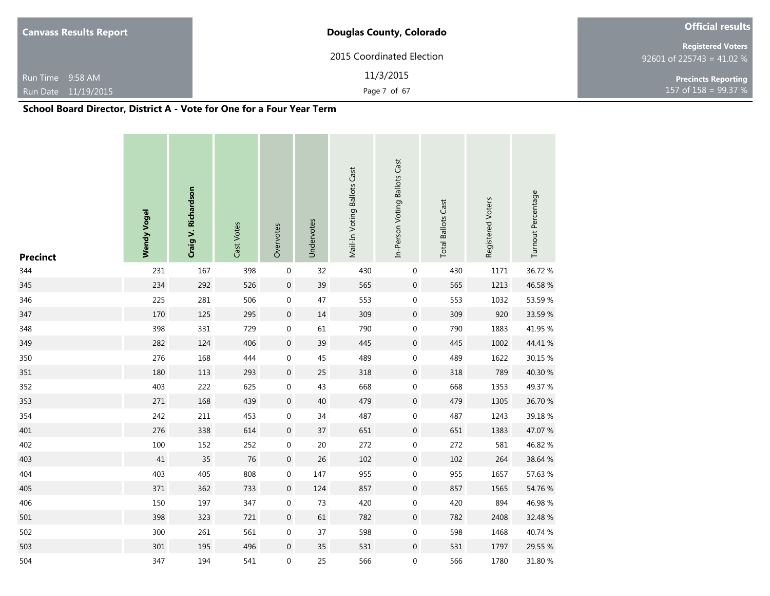| <b>Canvass Results Report</b> | <b>Douglas County, Colorado</b> | <b>Official results</b>                               |
|-------------------------------|---------------------------------|-------------------------------------------------------|
|                               | 2015 Coordinated Election       | <b>Registered Voters</b><br>92601 of 225743 = 41.02 % |
| Run Time 9:58 AM              | 11/3/2015                       | <b>Precincts Reporting</b>                            |
| Run Date 11/19/2015           | Page 7 of 67                    | 157 of $158 = 99.37 %$                                |

| <b>Precinct</b> | <b>Wendy Vogel</b> | Craig V. Richardson | Cast Votes | Overvotes        | Undervotes | Mail-In Voting Ballots Cast | In-Person Voting Ballots Cast | <b>Total Ballots Cast</b> | Registered Voters | Turnout Percentage |
|-----------------|--------------------|---------------------|------------|------------------|------------|-----------------------------|-------------------------------|---------------------------|-------------------|--------------------|
| 344             | 231                | 167                 | 398        | $\boldsymbol{0}$ | 32         | 430                         | $\pmb{0}$                     | 430                       | 1171              | 36.72 %            |
| 345             | 234                | 292                 | 526        | $\pmb{0}$        | 39         | 565                         | $\boldsymbol{0}$              | 565                       | 1213              | 46.58 %            |
| 346             | 225                | 281                 | 506        | $\boldsymbol{0}$ | 47         | 553                         | 0                             | 553                       | 1032              | 53.59 %            |
| 347             | 170                | 125                 | 295        | $\boldsymbol{0}$ | 14         | 309                         | $\boldsymbol{0}$              | 309                       | 920               | 33.59 %            |
| 348             | 398                | 331                 | 729        | $\boldsymbol{0}$ | 61         | 790                         | $\boldsymbol{0}$              | 790                       | 1883              | 41.95 %            |
| 349             | 282                | 124                 | 406        | $\boldsymbol{0}$ | 39         | 445                         | $\boldsymbol{0}$              | 445                       | 1002              | 44.41 %            |
| 350             | 276                | 168                 | 444        | $\boldsymbol{0}$ | 45         | 489                         | $\boldsymbol{0}$              | 489                       | 1622              | 30.15 %            |
| 351             | 180                | 113                 | 293        | $\boldsymbol{0}$ | 25         | 318                         | $\boldsymbol{0}$              | 318                       | 789               | 40.30 %            |
| 352             | 403                | 222                 | 625        | $\boldsymbol{0}$ | 43         | 668                         | $\boldsymbol{0}$              | 668                       | 1353              | 49.37 %            |
| 353             | 271                | 168                 | 439        | $\boldsymbol{0}$ | 40         | 479                         | $\boldsymbol{0}$              | 479                       | 1305              | 36.70 %            |
| 354             | 242                | 211                 | 453        | $\boldsymbol{0}$ | 34         | 487                         | $\boldsymbol{0}$              | 487                       | 1243              | 39.18%             |
| 401             | 276                | 338                 | 614        | $\boldsymbol{0}$ | 37         | 651                         | $\boldsymbol{0}$              | 651                       | 1383              | 47.07 %            |
| 402             | 100                | 152                 | 252        | $\boldsymbol{0}$ | $20\,$     | 272                         | $\boldsymbol{0}$              | 272                       | 581               | 46.82 %            |
| 403             | $41\,$             | 35                  | 76         | $\boldsymbol{0}$ | 26         | 102                         | $\boldsymbol{0}$              | 102                       | 264               | 38.64 %            |
| 404             | 403                | 405                 | 808        | $\boldsymbol{0}$ | 147        | 955                         | 0                             | 955                       | 1657              | 57.63 %            |
| 405             | 371                | 362                 | 733        | $\boldsymbol{0}$ | 124        | 857                         | $\boldsymbol{0}$              | 857                       | 1565              | 54.76 %            |
| 406             | 150                | 197                 | 347        | $\boldsymbol{0}$ | 73         | 420                         | $\boldsymbol{0}$              | 420                       | 894               | 46.98%             |
| 501             | 398                | 323                 | 721        | $\boldsymbol{0}$ | 61         | 782                         | $\boldsymbol{0}$              | 782                       | 2408              | 32.48 %            |
| 502             | 300                | 261                 | 561        | $\boldsymbol{0}$ | 37         | 598                         | $\boldsymbol{0}$              | 598                       | 1468              | 40.74 %            |
| 503             | 301                | 195                 | 496        | $\boldsymbol{0}$ | 35         | 531                         | $\boldsymbol{0}$              | 531                       | 1797              | 29.55 %            |
| 504             | 347                | 194                 | 541        | $\boldsymbol{0}$ | 25         | 566                         | 0                             | 566                       | 1780              | 31.80 %            |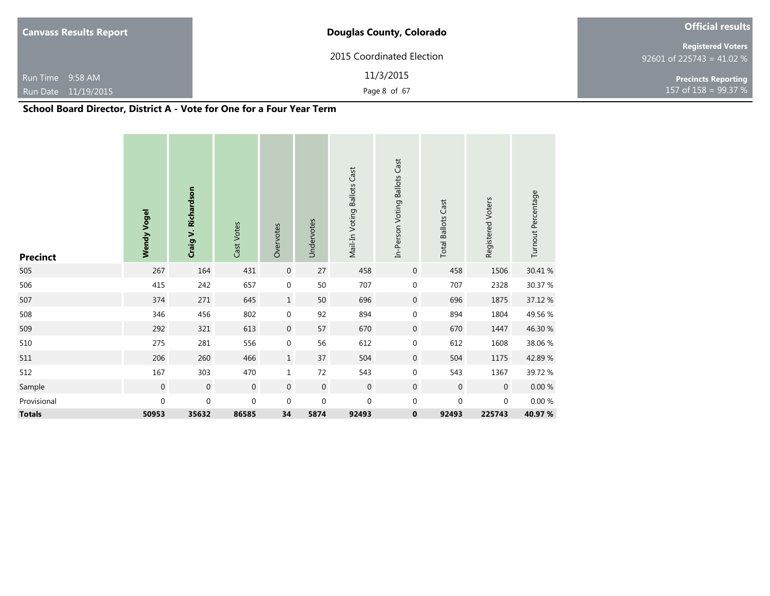| <b>Canvass Results Report</b> | <b>Official results</b>   |                                                       |  |  |
|-------------------------------|---------------------------|-------------------------------------------------------|--|--|
|                               | 2015 Coordinated Election | <b>Registered Voters</b><br>92601 of 225743 = 41.02 % |  |  |
| Run Time 9:58 AM              | 11/3/2015                 | <b>Precincts Reporting</b>                            |  |  |
| Run Date 11/19/2015           | Page 8 of 67              | 157 of $158 = 99.37 %$                                |  |  |

| <b>Precinct</b> | <b>Wendy Vogel</b> | Craig V. Richardson | Cast Votes     | Overvotes        | Undervotes       | Mail-In Voting Ballots Cast | In-Person Voting Ballots Cast | <b>Total Ballots Cast</b> | Registered Voters | Turnout Percentage |
|-----------------|--------------------|---------------------|----------------|------------------|------------------|-----------------------------|-------------------------------|---------------------------|-------------------|--------------------|
| 505             | 267                | 164                 | 431            | $\boldsymbol{0}$ | 27               | 458                         | $\boldsymbol{0}$              | 458                       | 1506              | 30.41 %            |
| 506             | 415                | 242                 | 657            | $\boldsymbol{0}$ | 50               | 707                         | 0                             | 707                       | 2328              | 30.37 %            |
| 507             | 374                | 271                 | 645            | $\mathbf{1}$     | 50               | 696                         | 0                             | 696                       | 1875              | 37.12 %            |
| 508             | 346                | 456                 | 802            | $\boldsymbol{0}$ | 92               | 894                         | 0                             | 894                       | 1804              | 49.56 %            |
| 509             | 292                | 321                 | 613            | $\boldsymbol{0}$ | 57               | 670                         | $\mathbf 0$                   | 670                       | 1447              | 46.30 %            |
| 510             | 275                | 281                 | 556            | $\boldsymbol{0}$ | 56               | 612                         | 0                             | 612                       | 1608              | 38.06 %            |
| 511             | 206                | 260                 | 466            | $\mathbf{1}$     | 37               | 504                         | $\mathbf 0$                   | 504                       | 1175              | 42.89%             |
| 512             | 167                | 303                 | 470            | $\mathbf 1$      | 72               | 543                         | 0                             | 543                       | 1367              | 39.72 %            |
| Sample          | $\boldsymbol{0}$   | $\boldsymbol{0}$    | $\overline{0}$ | $\mathbf 0$      | $\boldsymbol{0}$ | $\overline{0}$              | $\mathbf 0$                   | $\mathbf 0$               | $\mathbf 0$       | $0.00~\%$          |
| Provisional     | 0                  | $\boldsymbol{0}$    | $\mathbf 0$    | $\mathbf 0$      | $\boldsymbol{0}$ | $\mathbf 0$                 | 0                             | $\boldsymbol{0}$          | $\mathbf 0$       | 0.00%              |
| <b>Totals</b>   | 50953              | 35632               | 86585          | 34               | 5874             | 92493                       | 0                             | 92493                     | 225743            | 40.97 %            |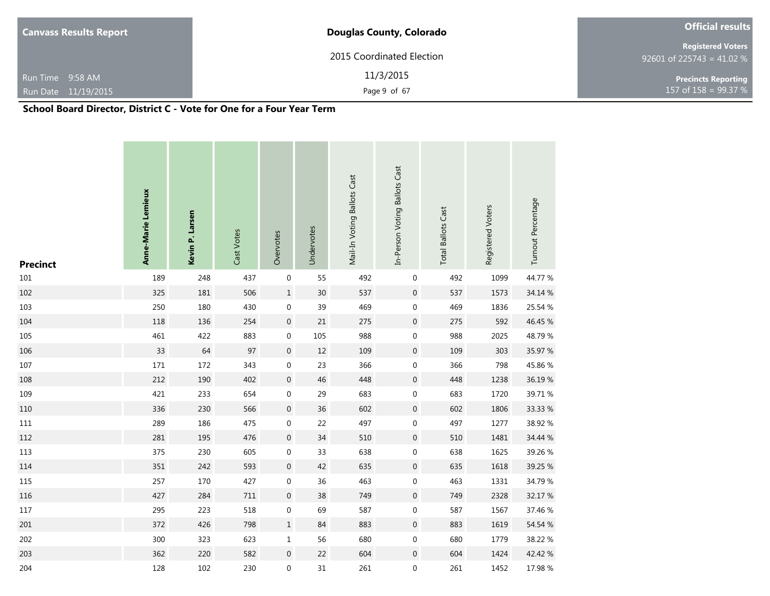| <b>Canvass Results Report</b> | <b>Douglas County, Colorado</b> | <b>Official results</b>                                 |  |  |  |  |
|-------------------------------|---------------------------------|---------------------------------------------------------|--|--|--|--|
|                               | 2015 Coordinated Election       | <b>Registered Voters</b><br>$92601$ of 225743 = 41.02 % |  |  |  |  |
| Run Time 9:58 AM              | 11/3/2015                       | <b>Precincts Reporting</b>                              |  |  |  |  |
| Run Date 11/19/2015           | Page 9 of 67                    | 157 of $158 = 99.37 %$                                  |  |  |  |  |

| <b>Precinct</b> | Anne-Marie Lemieux | Kevin P. Larsen | Cast Votes | Overvotes        | Undervotes | Mail-In Voting Ballots Cast | In-Person Voting Ballots Cast | <b>Total Ballots Cast</b> | Registered Voters | Turnout Percentage |
|-----------------|--------------------|-----------------|------------|------------------|------------|-----------------------------|-------------------------------|---------------------------|-------------------|--------------------|
| $101\,$         | 189                | 248             | 437        | $\boldsymbol{0}$ | 55         | 492                         | 0                             | 492                       | 1099              | 44.77 %            |
| 102             | 325                | 181             | 506        | $\mathbf 1$      | $30\,$     | 537                         | $\boldsymbol{0}$              | 537                       | 1573              | 34.14 %            |
| 103             | 250                | 180             | 430        | $\boldsymbol{0}$ | 39         | 469                         | $\boldsymbol{0}$              | 469                       | 1836              | 25.54 %            |
| 104             | 118                | 136             | 254        | $\boldsymbol{0}$ | $21\,$     | 275                         | $\boldsymbol{0}$              | 275                       | 592               | 46.45 %            |
| 105             | 461                | 422             | 883        | $\pmb{0}$        | 105        | 988                         | $\boldsymbol{0}$              | 988                       | 2025              | 48.79%             |
| 106             | 33                 | 64              | 97         | $\boldsymbol{0}$ | 12         | 109                         | $\boldsymbol{0}$              | 109                       | 303               | 35.97 %            |
| 107             | 171                | 172             | 343        | $\boldsymbol{0}$ | 23         | 366                         | $\boldsymbol{0}$              | 366                       | 798               | 45.86%             |
| 108             | 212                | 190             | 402        | $\boldsymbol{0}$ | $46\,$     | 448                         | $\boldsymbol{0}$              | 448                       | 1238              | 36.19%             |
| 109             | 421                | 233             | 654        | $\pmb{0}$        | 29         | 683                         | $\boldsymbol{0}$              | 683                       | 1720              | 39.71 %            |
| 110             | 336                | 230             | 566        | $\boldsymbol{0}$ | 36         | 602                         | $\boldsymbol{0}$              | 602                       | 1806              | 33.33 %            |
| $111\,$         | 289                | 186             | 475        | $\boldsymbol{0}$ | 22         | 497                         | $\boldsymbol{0}$              | 497                       | 1277              | 38.92 %            |
| 112             | 281                | 195             | 476        | $\boldsymbol{0}$ | 34         | 510                         | $\boldsymbol{0}$              | 510                       | 1481              | 34.44 %            |
| 113             | 375                | 230             | 605        | $\pmb{0}$        | 33         | 638                         | $\boldsymbol{0}$              | 638                       | 1625              | 39.26 %            |
| 114             | 351                | 242             | 593        | $\boldsymbol{0}$ | 42         | 635                         | $\boldsymbol{0}$              | 635                       | 1618              | 39.25 %            |
| 115             | 257                | 170             | 427        | $\boldsymbol{0}$ | 36         | 463                         | $\boldsymbol{0}$              | 463                       | 1331              | 34.79 %            |
| 116             | 427                | 284             | 711        | $\boldsymbol{0}$ | 38         | 749                         | $\boldsymbol{0}$              | 749                       | 2328              | 32.17 %            |
| $117\,$         | 295                | 223             | 518        | $\mathbf 0$      | 69         | 587                         | $\boldsymbol{0}$              | 587                       | 1567              | 37.46 %            |
| 201             | 372                | 426             | 798        | $\mathbf 1$      | 84         | 883                         | $\mathbf 0$                   | 883                       | 1619              | 54.54 %            |
| 202             | 300                | 323             | 623        | $\mathbf{1}$     | 56         | 680                         | $\boldsymbol{0}$              | 680                       | 1779              | 38.22 %            |
| 203             | 362                | 220             | 582        | $\boldsymbol{0}$ | 22         | 604                         | $\boldsymbol{0}$              | 604                       | 1424              | 42.42 %            |
| 204             | 128                | 102             | 230        | $\boldsymbol{0}$ | 31         | 261                         | $\boldsymbol{0}$              | 261                       | 1452              | 17.98 %            |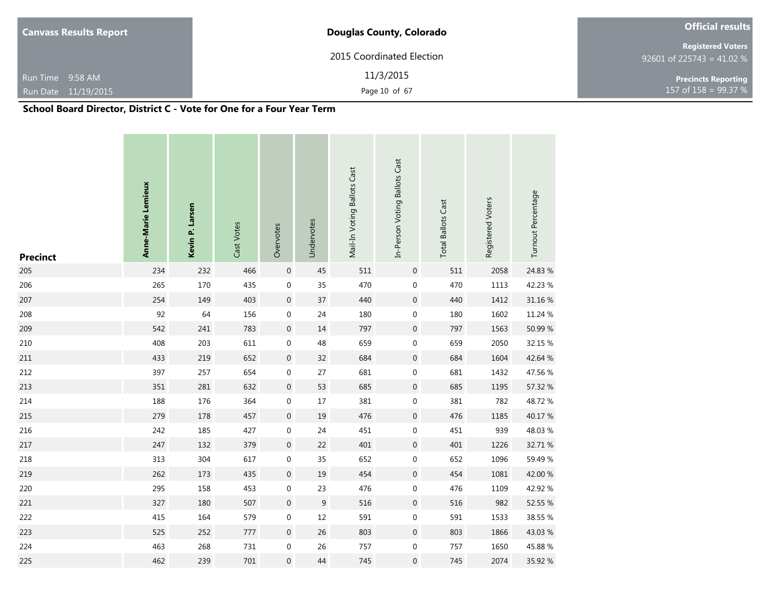| <b>Canvass Results Report</b>      | <b>Official results</b>   |                                                       |
|------------------------------------|---------------------------|-------------------------------------------------------|
|                                    | 2015 Coordinated Election | <b>Registered Voters</b><br>92601 of 225743 = 41.02 % |
| Run Time 9:58 AM                   | 11/3/2015                 | <b>Precincts Reporting</b>                            |
| Run Date 11/19/2015                | Page 10 of 67             | 157 of 158 = 99.37 %                                  |
| ----<br>$\cdots$<br>. <i>. . .</i> | $\rightarrow$<br><br>-    |                                                       |

| <b>Precinct</b> | Anne-Marie Lemieux | Kevin P. Larsen | Cast Votes | Overvotes        | Undervotes | Mail-In Voting Ballots Cast | In-Person Voting Ballots Cast | <b>Total Ballots Cast</b> | Registered Voters | Turnout Percentage |
|-----------------|--------------------|-----------------|------------|------------------|------------|-----------------------------|-------------------------------|---------------------------|-------------------|--------------------|
| 205             | 234                | 232             | 466        | $\boldsymbol{0}$ | 45         | 511                         | $\mathbf 0$                   | 511                       | 2058              | 24.83 %            |
| 206             | 265                | 170             | 435        | $\pmb{0}$        | 35         | 470                         | $\boldsymbol{0}$              | 470                       | 1113              | 42.23 %            |
| 207             | 254                | 149             | 403        | $\boldsymbol{0}$ | 37         | 440                         | $\mathbf 0$                   | 440                       | 1412              | 31.16 %            |
| 208             | 92                 | 64              | 156        | $\boldsymbol{0}$ | 24         | 180                         | $\boldsymbol{0}$              | 180                       | 1602              | 11.24 %            |
| 209             | 542                | 241             | 783        | $\boldsymbol{0}$ | $14\,$     | 797                         | $\boldsymbol{0}$              | 797                       | 1563              | 50.99 %            |
| 210             | 408                | 203             | 611        | $\boldsymbol{0}$ | 48         | 659                         | $\boldsymbol{0}$              | 659                       | 2050              | 32.15 %            |
| 211             | 433                | 219             | 652        | $\boldsymbol{0}$ | 32         | 684                         | $\boldsymbol{0}$              | 684                       | 1604              | 42.64 %            |
| 212             | 397                | 257             | 654        | $\boldsymbol{0}$ | 27         | 681                         | $\boldsymbol{0}$              | 681                       | 1432              | 47.56 %            |
| 213             | 351                | 281             | 632        | $\boldsymbol{0}$ | 53         | 685                         | $\boldsymbol{0}$              | 685                       | 1195              | 57.32 %            |
| 214             | 188                | 176             | 364        | $\boldsymbol{0}$ | $17\,$     | 381                         | $\boldsymbol{0}$              | 381                       | 782               | 48.72%             |
| 215             | 279                | 178             | 457        | $\boldsymbol{0}$ | 19         | 476                         | $\boldsymbol{0}$              | 476                       | 1185              | 40.17%             |
| 216             | 242                | 185             | 427        | $\boldsymbol{0}$ | 24         | 451                         | $\boldsymbol{0}$              | 451                       | 939               | 48.03%             |
| 217             | 247                | 132             | 379        | $\boldsymbol{0}$ | 22         | 401                         | $\boldsymbol{0}$              | 401                       | 1226              | 32.71 %            |
| 218             | 313                | 304             | 617        | $\boldsymbol{0}$ | 35         | 652                         | $\boldsymbol{0}$              | 652                       | 1096              | 59.49 %            |
| 219             | 262                | 173             | 435        | $\boldsymbol{0}$ | 19         | 454                         | $\boldsymbol{0}$              | 454                       | 1081              | 42.00 %            |
| 220             | 295                | 158             | 453        | $\boldsymbol{0}$ | 23         | 476                         | $\mathbf 0$                   | 476                       | 1109              | 42.92 %            |
| 221             | 327                | 180             | 507        | $\boldsymbol{0}$ | 9          | 516                         | $\boldsymbol{0}$              | 516                       | 982               | 52.55 %            |
| 222             | 415                | 164             | 579        | $\boldsymbol{0}$ | 12         | 591                         | $\boldsymbol{0}$              | 591                       | 1533              | 38.55 %            |
| 223             | 525                | 252             | 777        | $\boldsymbol{0}$ | 26         | 803                         | $\boldsymbol{0}$              | 803                       | 1866              | 43.03 %            |
| 224             | 463                | 268             | 731        | $\boldsymbol{0}$ | 26         | 757                         | $\boldsymbol{0}$              | 757                       | 1650              | 45.88%             |
| 225             | 462                | 239             | 701        | $\mathbf{0}$     | 44         | 745                         | 0                             | 745                       | 2074              | 35.92 %            |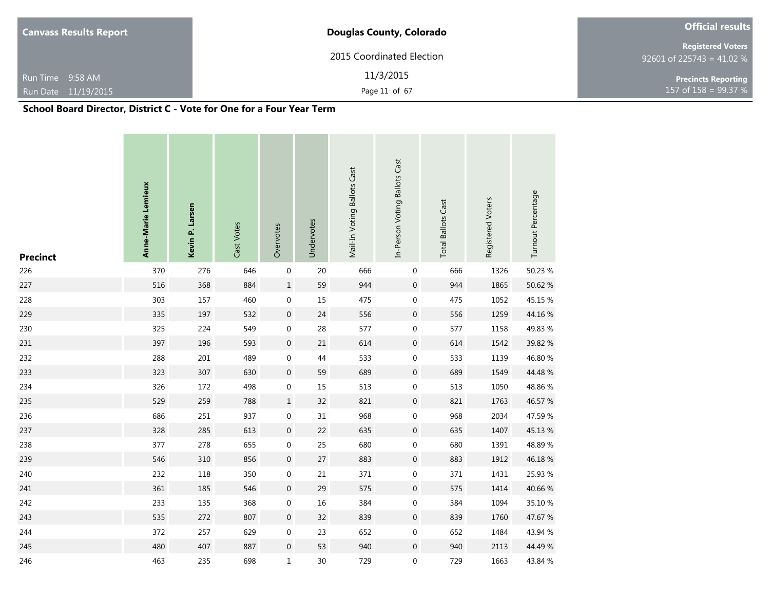| <b>Canvass Results Report</b>                                              | <b>Douglas County, Colorado</b> | <b>Official results</b>                               |  |  |
|----------------------------------------------------------------------------|---------------------------------|-------------------------------------------------------|--|--|
|                                                                            | 2015 Coordinated Election       | <b>Registered Voters</b><br>92601 of 225743 = 41.02 % |  |  |
| Run Time 9:58 AM                                                           | 11/3/2015                       | <b>Precincts Reporting</b>                            |  |  |
| Run Date 11/19/2015                                                        | Page 11 of 67                   | 157 of $158 = 99.37 %$                                |  |  |
| Calco al Desaid Division - District C. - Vate for One for a Form Vasa Tome |                                 |                                                       |  |  |

| <b>Precinct</b> | Anne-Marie Lemieux | Kevin P. Larsen | Cast Votes | Overvotes        | Undervotes | Mail-In Voting Ballots Cast | In-Person Voting Ballots Cast | <b>Total Ballots Cast</b> | Registered Voters | Turnout Percentage |
|-----------------|--------------------|-----------------|------------|------------------|------------|-----------------------------|-------------------------------|---------------------------|-------------------|--------------------|
| 226             | 370                | 276             | 646        | $\boldsymbol{0}$ | 20         | 666                         | $\pmb{0}$                     | 666                       | 1326              | 50.23 %            |
| 227             | 516                | 368             | 884        | $\mathbf 1$      | 59         | 944                         | $\boldsymbol{0}$              | 944                       | 1865              | 50.62 %            |
| 228             | 303                | 157             | 460        | $\boldsymbol{0}$ | 15         | 475                         | 0                             | 475                       | 1052              | 45.15 %            |
| 229             | 335                | 197             | 532        | $\boldsymbol{0}$ | 24         | 556                         | $\boldsymbol{0}$              | 556                       | 1259              | 44.16%             |
| 230             | 325                | 224             | 549        | $\boldsymbol{0}$ | 28         | 577                         | 0                             | 577                       | 1158              | 49.83 %            |
| 231             | 397                | 196             | 593        | $\boldsymbol{0}$ | $21\,$     | 614                         | $\boldsymbol{0}$              | 614                       | 1542              | 39.82 %            |
| 232             | 288                | 201             | 489        | $\boldsymbol{0}$ | 44         | 533                         | 0                             | 533                       | 1139              | 46.80 %            |
| 233             | 323                | 307             | 630        | $\boldsymbol{0}$ | 59         | 689                         | $\boldsymbol{0}$              | 689                       | 1549              | 44.48 %            |
| 234             | 326                | 172             | 498        | $\boldsymbol{0}$ | 15         | 513                         | $\boldsymbol{0}$              | 513                       | 1050              | 48.86%             |
| 235             | 529                | 259             | 788        | $\mathbf 1$      | 32         | 821                         | $\boldsymbol{0}$              | 821                       | 1763              | 46.57 %            |
| 236             | 686                | 251             | 937        | $\boldsymbol{0}$ | 31         | 968                         | 0                             | 968                       | 2034              | 47.59 %            |
| 237             | 328                | 285             | 613        | $\boldsymbol{0}$ | 22         | 635                         | $\boldsymbol{0}$              | 635                       | 1407              | 45.13%             |
| 238             | 377                | 278             | 655        | $\boldsymbol{0}$ | 25         | 680                         | 0                             | 680                       | 1391              | 48.89%             |
| 239             | 546                | 310             | 856        | $\boldsymbol{0}$ | 27         | 883                         | $\boldsymbol{0}$              | 883                       | 1912              | 46.18%             |
| 240             | 232                | 118             | 350        | $\boldsymbol{0}$ | $21\,$     | 371                         | 0                             | 371                       | 1431              | 25.93 %            |
| 241             | 361                | 185             | 546        | $\boldsymbol{0}$ | 29         | 575                         | $\boldsymbol{0}$              | 575                       | 1414              | 40.66 %            |
| 242             | 233                | 135             | 368        | $\boldsymbol{0}$ | 16         | 384                         | 0                             | 384                       | 1094              | 35.10 %            |
| 243             | 535                | 272             | 807        | $\boldsymbol{0}$ | 32         | 839                         | $\boldsymbol{0}$              | 839                       | 1760              | 47.67 %            |
| 244             | 372                | 257             | 629        | $\boldsymbol{0}$ | 23         | 652                         | $\boldsymbol{0}$              | 652                       | 1484              | 43.94 %            |
| 245             | 480                | 407             | 887        | $\boldsymbol{0}$ | 53         | 940                         | $\mathbf 0$                   | 940                       | 2113              | 44.49 %            |
| 246             | 463                | 235             | 698        | $\mathbf 1$      | 30         | 729                         | $\mathbf 0$                   | 729                       | 1663              | 43.84 %            |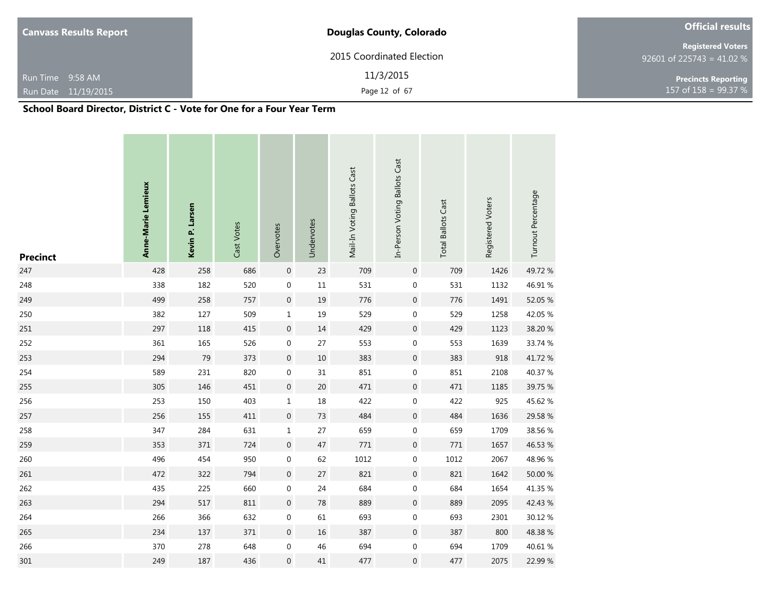| <b>Canvass Results Report</b>                                           | <b>Official results</b>   |                                                       |
|-------------------------------------------------------------------------|---------------------------|-------------------------------------------------------|
|                                                                         | 2015 Coordinated Election | <b>Registered Voters</b><br>92601 of 225743 = 41.02 % |
| Run Time 9:58 AM                                                        | 11/3/2015                 | <b>Precincts Reporting</b>                            |
| Run Date 11/19/2015                                                     | Page 12 of 67             | 157 of $158 = 99.37 %$                                |
| Calcoal Depart Director District C. Hotels for One for a Form Vega Torm |                           |                                                       |

| <b>Precinct</b> | Anne-Marie Lemieux | Kevin P. Larsen | Cast Votes | Overvotes        | Undervotes | Mail-In Voting Ballots Cast | In-Person Voting Ballots Cast | <b>Total Ballots Cast</b> | Registered Voters | Turnout Percentage |
|-----------------|--------------------|-----------------|------------|------------------|------------|-----------------------------|-------------------------------|---------------------------|-------------------|--------------------|
| 247             | 428                | 258             | 686        | $\boldsymbol{0}$ | 23         | 709                         | $\boldsymbol{0}$              | 709                       | 1426              | 49.72%             |
| 248             | 338                | 182             | 520        | $\pmb{0}$        | $11\,$     | 531                         | $\boldsymbol{0}$              | 531                       | 1132              | 46.91%             |
| 249             | 499                | 258             | 757        | $\boldsymbol{0}$ | 19         | 776                         | $\boldsymbol{0}$              | 776                       | 1491              | 52.05 %            |
| 250             | 382                | 127             | 509        | $\mathbf 1$      | 19         | 529                         | $\boldsymbol{0}$              | 529                       | 1258              | 42.05 %            |
| 251             | 297                | 118             | 415        | $\boldsymbol{0}$ | 14         | 429                         | 0                             | 429                       | 1123              | 38.20 %            |
| 252             | 361                | 165             | 526        | $\boldsymbol{0}$ | 27         | 553                         | $\boldsymbol{0}$              | 553                       | 1639              | 33.74 %            |
| 253             | 294                | 79              | 373        | $\boldsymbol{0}$ | $10\,$     | 383                         | $\boldsymbol{0}$              | 383                       | 918               | 41.72%             |
| 254             | 589                | 231             | 820        | $\boldsymbol{0}$ | 31         | 851                         | $\boldsymbol{0}$              | 851                       | 2108              | 40.37 %            |
| 255             | 305                | 146             | 451        | $\boldsymbol{0}$ | $20\,$     | 471                         | $\boldsymbol{0}$              | 471                       | 1185              | 39.75 %            |
| 256             | 253                | 150             | 403        | $\mathbf 1$      | 18         | 422                         | $\boldsymbol{0}$              | 422                       | 925               | 45.62 %            |
| 257             | 256                | 155             | 411        | $\boldsymbol{0}$ | 73         | 484                         | $\boldsymbol{0}$              | 484                       | 1636              | 29.58 %            |
| 258             | 347                | 284             | 631        | $\mathbf 1$      | 27         | 659                         | $\boldsymbol{0}$              | 659                       | 1709              | 38.56 %            |
| 259             | 353                | 371             | 724        | $\boldsymbol{0}$ | 47         | 771                         | $\boldsymbol{0}$              | 771                       | 1657              | 46.53 %            |
| 260             | 496                | 454             | 950        | $\boldsymbol{0}$ | 62         | 1012                        | $\boldsymbol{0}$              | 1012                      | 2067              | 48.96%             |
| 261             | 472                | 322             | 794        | $\boldsymbol{0}$ | 27         | 821                         | $\boldsymbol{0}$              | 821                       | 1642              | 50.00 %            |
| 262             | 435                | 225             | 660        | $\boldsymbol{0}$ | 24         | 684                         | $\boldsymbol{0}$              | 684                       | 1654              | 41.35 %            |
| 263             | 294                | 517             | 811        | $\boldsymbol{0}$ | 78         | 889                         | $\boldsymbol{0}$              | 889                       | 2095              | 42.43 %            |
| 264             | 266                | 366             | 632        | $\boldsymbol{0}$ | 61         | 693                         | $\boldsymbol{0}$              | 693                       | 2301              | 30.12 %            |
| 265             | 234                | 137             | 371        | $\boldsymbol{0}$ | 16         | 387                         | $\boldsymbol{0}$              | 387                       | 800               | 48.38%             |
| 266             | 370                | 278             | 648        | $\boldsymbol{0}$ | 46         | 694                         | $\boldsymbol{0}$              | 694                       | 1709              | 40.61%             |
| 301             | 249                | 187             | 436        | $\boldsymbol{0}$ | 41         | 477                         | 0                             | 477                       | 2075              | 22.99 %            |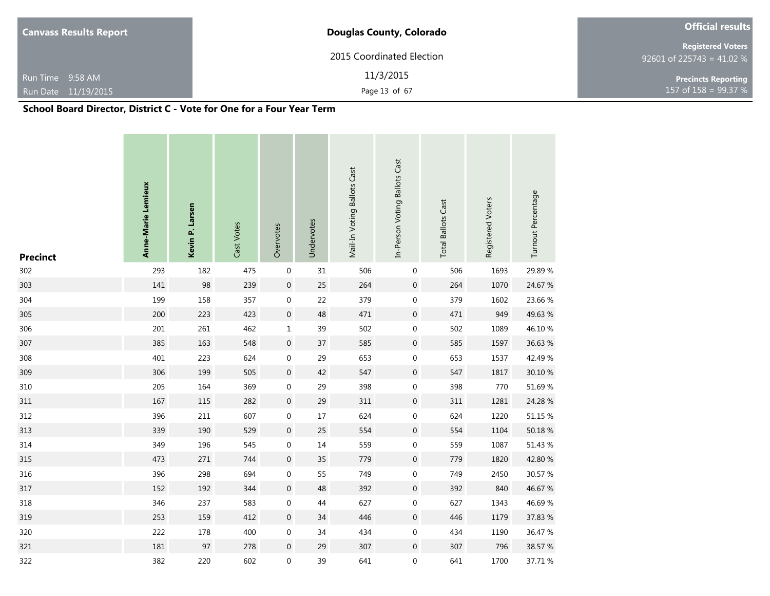| <b>Canvass Results Report</b>                                                                                                     | <b>Douglas County, Colorado</b> |                                                       |  |  |  |  |
|-----------------------------------------------------------------------------------------------------------------------------------|---------------------------------|-------------------------------------------------------|--|--|--|--|
|                                                                                                                                   | 2015 Coordinated Election       | <b>Registered Voters</b><br>92601 of 225743 = 41.02 % |  |  |  |  |
| Run Time 9:58 AM                                                                                                                  | 11/3/2015                       | <b>Precincts Reporting</b>                            |  |  |  |  |
| Run Date 11/19/2015                                                                                                               | Page 13 of 67                   | 157 of 158 = $99.37 \%$                               |  |  |  |  |
| $C1$ , and $D2$ and $D3$ , $D4$ , $D5$ , $D6$ , $D7$ , $D8$ , $D9$ , $D1$ , $D1$ , $D2$ , $D3$ , $D1$ , $D2$ , $D3$ , $D4$ , $D5$ |                                 |                                                       |  |  |  |  |

| <b>Precinct</b> | Anne-Marie Lemieux | Kevin P. Larsen | Cast Votes | Overvotes        | Undervotes | Mail-In Voting Ballots Cast | In-Person Voting Ballots Cast | <b>Total Ballots Cast</b> | Registered Voters | Turnout Percentage |
|-----------------|--------------------|-----------------|------------|------------------|------------|-----------------------------|-------------------------------|---------------------------|-------------------|--------------------|
| 302             | 293                | 182             | 475        | $\boldsymbol{0}$ | 31         | 506                         | $\mathbf 0$                   | 506                       | 1693              | 29.89%             |
| 303             | 141                | 98              | 239        | $\pmb{0}$        | 25         | 264                         | $\boldsymbol{0}$              | 264                       | 1070              | 24.67 %            |
| 304             | 199                | 158             | 357        | $\mathbf 0$      | 22         | 379                         | 0                             | 379                       | 1602              | 23.66 %            |
| 305             | 200                | 223             | 423        | $\boldsymbol{0}$ | 48         | 471                         | $\boldsymbol{0}$              | 471                       | 949               | 49.63 %            |
| 306             | 201                | 261             | 462        | $\mathbf 1$      | 39         | 502                         | $\boldsymbol{0}$              | 502                       | 1089              | 46.10%             |
| 307             | 385                | 163             | 548        | $\boldsymbol{0}$ | $37\,$     | 585                         | $\boldsymbol{0}$              | 585                       | 1597              | 36.63 %            |
| 308             | 401                | 223             | 624        | $\boldsymbol{0}$ | 29         | 653                         | $\boldsymbol{0}$              | 653                       | 1537              | 42.49 %            |
| 309             | 306                | 199             | 505        | $\boldsymbol{0}$ | 42         | 547                         | $\boldsymbol{0}$              | 547                       | 1817              | 30.10 %            |
| 310             | 205                | 164             | 369        | $\boldsymbol{0}$ | 29         | 398                         | 0                             | 398                       | 770               | 51.69%             |
| 311             | 167                | 115             | 282        | $\boldsymbol{0}$ | 29         | 311                         | $\boldsymbol{0}$              | 311                       | 1281              | 24.28 %            |
| 312             | 396                | 211             | 607        | $\boldsymbol{0}$ | $17\,$     | 624                         | 0                             | 624                       | 1220              | 51.15 %            |
| 313             | 339                | 190             | 529        | $\boldsymbol{0}$ | 25         | 554                         | $\boldsymbol{0}$              | 554                       | 1104              | 50.18 %            |
| 314             | 349                | 196             | 545        | $\boldsymbol{0}$ | 14         | 559                         | 0                             | 559                       | 1087              | 51.43 %            |
| 315             | 473                | 271             | 744        | $\boldsymbol{0}$ | 35         | 779                         | $\boldsymbol{0}$              | 779                       | 1820              | 42.80 %            |
| 316             | 396                | 298             | 694        | $\boldsymbol{0}$ | 55         | 749                         | 0                             | 749                       | 2450              | 30.57 %            |
| 317             | 152                | 192             | 344        | $\boldsymbol{0}$ | 48         | 392                         | $\mathbf 0$                   | 392                       | 840               | 46.67 %            |
| 318             | 346                | 237             | 583        | $\boldsymbol{0}$ | 44         | 627                         | $\boldsymbol{0}$              | 627                       | 1343              | 46.69%             |
| 319             | 253                | 159             | 412        | $\boldsymbol{0}$ | 34         | 446                         | $\boldsymbol{0}$              | 446                       | 1179              | 37.83 %            |
| 320             | 222                | 178             | 400        | $\boldsymbol{0}$ | 34         | 434                         | 0                             | 434                       | 1190              | 36.47 %            |
| 321             | 181                | 97              | 278        | $\boldsymbol{0}$ | 29         | 307                         | $\mathbf 0$                   | 307                       | 796               | 38.57 %            |
| 322             | 382                | 220             | 602        | $\boldsymbol{0}$ | 39         | 641                         | 0                             | 641                       | 1700              | 37.71 %            |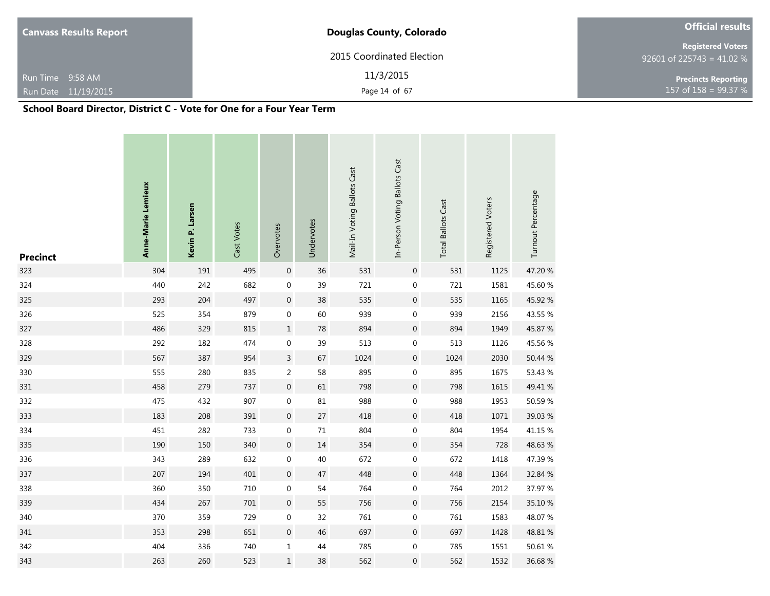| <b>Canvass Results Report</b>                 | <b>Douglas County, Colorado</b>    | <b>Official results</b>                               |
|-----------------------------------------------|------------------------------------|-------------------------------------------------------|
|                                               | 2015 Coordinated Election          | <b>Registered Voters</b><br>92601 of 225743 = 41.02 % |
| Run Time 9:58 AM                              | 11/3/2015                          | <b>Precincts Reporting</b>                            |
| Run Date 11/19/2015                           | Page 14 of 67                      | 157 of $158 = 99.37 %$                                |
| ----<br>$\cdots$<br>. <i>.</i> . <i>. .</i> . | $\rightarrow$<br>$\mathbf{v}$<br>- |                                                       |

| <b>Precinct</b> | Anne-Marie Lemieux | Kevin P. Larsen | Cast Votes | Overvotes        | Undervotes | Mail-In Voting Ballots Cast | In-Person Voting Ballots Cast | <b>Total Ballots Cast</b> | Registered Voters | Turnout Percentage |
|-----------------|--------------------|-----------------|------------|------------------|------------|-----------------------------|-------------------------------|---------------------------|-------------------|--------------------|
| 323             | 304                | 191             | 495        | $\boldsymbol{0}$ | 36         | 531                         | $\boldsymbol{0}$              | 531                       | 1125              | 47.20 %            |
| 324             | 440                | 242             | 682        | $\pmb{0}$        | 39         | 721                         | $\boldsymbol{0}$              | 721                       | 1581              | 45.60 %            |
| 325             | 293                | 204             | 497        | $\boldsymbol{0}$ | 38         | 535                         | $\boldsymbol{0}$              | 535                       | 1165              | 45.92 %            |
| 326             | 525                | 354             | 879        | $\mathbf 0$      | 60         | 939                         | $\boldsymbol{0}$              | 939                       | 2156              | 43.55 %            |
| 327             | 486                | 329             | 815        | $\mathbf 1$      | 78         | 894                         | $\boldsymbol{0}$              | 894                       | 1949              | 45.87 %            |
| 328             | 292                | 182             | 474        | $\boldsymbol{0}$ | 39         | 513                         | $\boldsymbol{0}$              | 513                       | 1126              | 45.56 %            |
| 329             | 567                | 387             | 954        | $\mathsf 3$      | 67         | 1024                        | $\boldsymbol{0}$              | 1024                      | 2030              | 50.44 %            |
| 330             | 555                | 280             | 835        | $\overline{2}$   | 58         | 895                         | $\boldsymbol{0}$              | 895                       | 1675              | 53.43 %            |
| 331             | 458                | 279             | 737        | $\boldsymbol{0}$ | 61         | 798                         | $\boldsymbol{0}$              | 798                       | 1615              | 49.41 %            |
| 332             | 475                | 432             | 907        | $\boldsymbol{0}$ | 81         | 988                         | $\boldsymbol{0}$              | 988                       | 1953              | 50.59 %            |
| 333             | 183                | 208             | 391        | $\boldsymbol{0}$ | 27         | 418                         | $\boldsymbol{0}$              | 418                       | 1071              | 39.03 %            |
| 334             | 451                | 282             | 733        | $\boldsymbol{0}$ | $71\,$     | 804                         | $\boldsymbol{0}$              | 804                       | 1954              | 41.15 %            |
| 335             | 190                | 150             | 340        | $\boldsymbol{0}$ | 14         | 354                         | $\boldsymbol{0}$              | 354                       | 728               | 48.63 %            |
| 336             | 343                | 289             | 632        | $\boldsymbol{0}$ | 40         | 672                         | $\boldsymbol{0}$              | 672                       | 1418              | 47.39 %            |
| 337             | 207                | 194             | 401        | $\boldsymbol{0}$ | 47         | 448                         | $\boldsymbol{0}$              | 448                       | 1364              | 32.84 %            |
| 338             | 360                | 350             | 710        | $\boldsymbol{0}$ | 54         | 764                         | $\boldsymbol{0}$              | 764                       | 2012              | 37.97 %            |
| 339             | 434                | 267             | 701        | $\boldsymbol{0}$ | 55         | 756                         | $\boldsymbol{0}$              | 756                       | 2154              | 35.10 %            |
| 340             | 370                | 359             | 729        | $\boldsymbol{0}$ | 32         | 761                         | $\boldsymbol{0}$              | 761                       | 1583              | 48.07%             |
| 341             | 353                | 298             | 651        | $\boldsymbol{0}$ | 46         | 697                         | $\boldsymbol{0}$              | 697                       | 1428              | 48.81 %            |
| 342             | 404                | 336             | 740        | $\mathbf{1}$     | 44         | 785                         | $\boldsymbol{0}$              | 785                       | 1551              | 50.61 %            |
| 343             | 263                | 260             | 523        | $\mathbf 1$      | 38         | 562                         | 0                             | 562                       | 1532              | 36.68%             |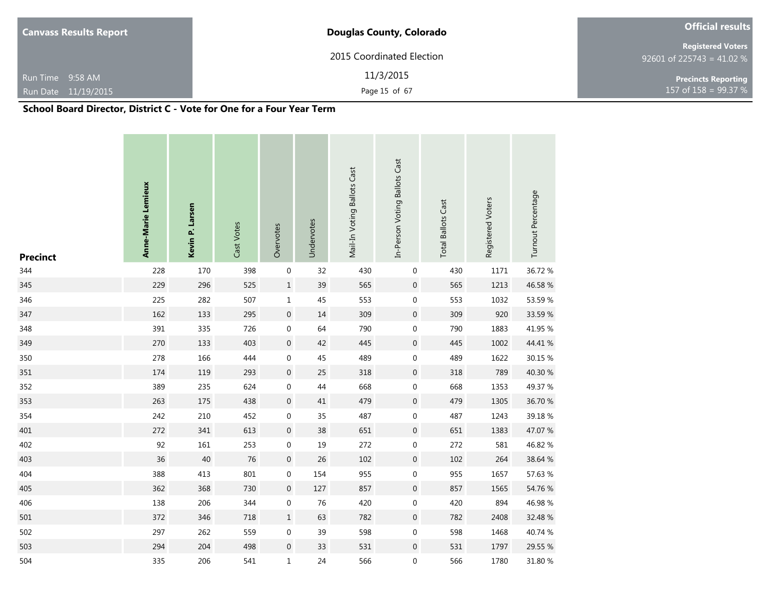| <b>Canvass Results Report</b>                                                                                                     | <b>Douglas County, Colorado</b> |                                                       |  |  |  |  |
|-----------------------------------------------------------------------------------------------------------------------------------|---------------------------------|-------------------------------------------------------|--|--|--|--|
|                                                                                                                                   | 2015 Coordinated Election       | <b>Registered Voters</b><br>92601 of 225743 = 41.02 % |  |  |  |  |
| Run Time 9:58 AM                                                                                                                  | 11/3/2015                       | <b>Precincts Reporting</b>                            |  |  |  |  |
| Run Date 11/19/2015                                                                                                               | Page 15 of 67                   | 157 of 158 = $99.37 \%$                               |  |  |  |  |
| $C1$ , and $D2$ and $D3$ , $D4$ , $D5$ , $D6$ , $D7$ , $D8$ , $D9$ , $D1$ , $D1$ , $D2$ , $D3$ , $D1$ , $D2$ , $D3$ , $D4$ , $D5$ |                                 |                                                       |  |  |  |  |

| <b>Precinct</b> | Anne-Marie Lemieux | Kevin P. Larsen | Cast Votes | Overvotes        | Undervotes | Mail-In Voting Ballots Cast | In-Person Voting Ballots Cast | <b>Total Ballots Cast</b> | Registered Voters | Turnout Percentage |
|-----------------|--------------------|-----------------|------------|------------------|------------|-----------------------------|-------------------------------|---------------------------|-------------------|--------------------|
| 344             | 228                | 170             | 398        | 0                | 32         | 430                         | $\boldsymbol{0}$              | 430                       | 1171              | 36.72 %            |
| 345             | 229                | 296             | 525        | $\mathbf 1$      | 39         | 565                         | $\boldsymbol{0}$              | 565                       | 1213              | 46.58 %            |
| 346             | 225                | 282             | 507        | $\mathbf 1$      | 45         | 553                         | $\boldsymbol{0}$              | 553                       | 1032              | 53.59 %            |
| 347             | 162                | 133             | 295        | $\boldsymbol{0}$ | 14         | 309                         | $\boldsymbol{0}$              | 309                       | 920               | 33.59 %            |
| 348             | 391                | 335             | 726        | $\boldsymbol{0}$ | 64         | 790                         | $\boldsymbol{0}$              | 790                       | 1883              | 41.95 %            |
| 349             | 270                | 133             | 403        | $\boldsymbol{0}$ | 42         | 445                         | $\boldsymbol{0}$              | 445                       | 1002              | 44.41 %            |
| 350             | 278                | 166             | 444        | $\boldsymbol{0}$ | 45         | 489                         | $\boldsymbol{0}$              | 489                       | 1622              | 30.15 %            |
| 351             | 174                | 119             | 293        | $\boldsymbol{0}$ | 25         | 318                         | $\boldsymbol{0}$              | 318                       | 789               | 40.30 %            |
| 352             | 389                | 235             | 624        | $\boldsymbol{0}$ | 44         | 668                         | $\boldsymbol{0}$              | 668                       | 1353              | 49.37 %            |
| 353             | 263                | 175             | 438        | $\boldsymbol{0}$ | $41\,$     | 479                         | $\boldsymbol{0}$              | 479                       | 1305              | 36.70 %            |
| 354             | 242                | 210             | 452        | 0                | 35         | 487                         | $\boldsymbol{0}$              | 487                       | 1243              | 39.18%             |
| 401             | 272                | 341             | 613        | $\boldsymbol{0}$ | 38         | 651                         | $\boldsymbol{0}$              | 651                       | 1383              | 47.07 %            |
| 402             | 92                 | 161             | 253        | 0                | 19         | 272                         | 0                             | 272                       | 581               | 46.82 %            |
| 403             | 36                 | 40              | 76         | $\boldsymbol{0}$ | 26         | 102                         | $\boldsymbol{0}$              | 102                       | 264               | 38.64 %            |
| 404             | 388                | 413             | 801        | 0                | 154        | 955                         | $\boldsymbol{0}$              | 955                       | 1657              | 57.63 %            |
| 405             | 362                | 368             | 730        | $\boldsymbol{0}$ | 127        | 857                         | $\boldsymbol{0}$              | 857                       | 1565              | 54.76 %            |
| 406             | 138                | 206             | 344        | 0                | 76         | 420                         | 0                             | 420                       | 894               | 46.98%             |
| 501             | 372                | 346             | 718        | $\mathbf 1$      | 63         | 782                         | $\boldsymbol{0}$              | 782                       | 2408              | 32.48 %            |
| 502             | 297                | 262             | 559        | $\boldsymbol{0}$ | 39         | 598                         | $\boldsymbol{0}$              | 598                       | 1468              | 40.74 %            |
| 503             | 294                | 204             | 498        | $\boldsymbol{0}$ | 33         | 531                         | $\boldsymbol{0}$              | 531                       | 1797              | 29.55 %            |
| 504             | 335                | 206             | 541        | $\mathbf 1$      | 24         | 566                         | $\boldsymbol{0}$              | 566                       | 1780              | 31.80 %            |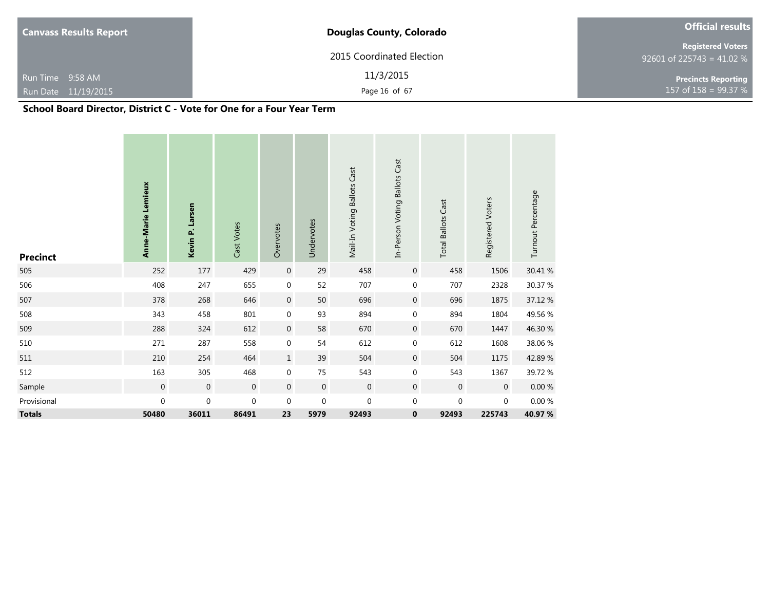| <b>Canvass Results Report</b>                                                   | <b>Official results</b>   |                                                       |
|---------------------------------------------------------------------------------|---------------------------|-------------------------------------------------------|
|                                                                                 | 2015 Coordinated Election | <b>Registered Voters</b><br>92601 of 225743 = 41.02 % |
| Run Time 9:58 AM                                                                | 11/3/2015                 | <b>Precincts Reporting</b>                            |
| Run Date 11/19/2015                                                             | Page 16 of 67             | 157 of 158 = 99.37 %                                  |
| $0.1.11$ Decay Discrete $0.1.1.12$ Metal $0.1.01$ Decay $0.1.11$ Decay $0.1.11$ |                           |                                                       |

| <b>Precinct</b> | Anne-Marie Lemieux | Kevin P. Larsen  | Cast Votes     | Overvotes        | Undervotes       | Mail-In Voting Ballots Cast | In-Person Voting Ballots Cast | <b>Total Ballots Cast</b> | Registered Voters | Turnout Percentage |
|-----------------|--------------------|------------------|----------------|------------------|------------------|-----------------------------|-------------------------------|---------------------------|-------------------|--------------------|
| 505             | 252                | 177              | 429            | $\boldsymbol{0}$ | 29               | 458                         | $\mathbf 0$                   | 458                       | 1506              | 30.41 %            |
| 506             | 408                | 247              | 655            | $\boldsymbol{0}$ | 52               | 707                         | 0                             | 707                       | 2328              | 30.37 %            |
| 507             | 378                | 268              | 646            | $\boldsymbol{0}$ | 50               | 696                         | $\mathbf 0$                   | 696                       | 1875              | 37.12 %            |
| 508             | 343                | 458              | 801            | $\boldsymbol{0}$ | 93               | 894                         | $\mathbf 0$                   | 894                       | 1804              | 49.56 %            |
| 509             | 288                | 324              | 612            | $\boldsymbol{0}$ | 58               | 670                         | $\mathbf 0$                   | 670                       | 1447              | 46.30 %            |
| 510             | 271                | 287              | 558            | $\boldsymbol{0}$ | 54               | 612                         | $\mathbf 0$                   | 612                       | 1608              | 38.06 %            |
| 511             | 210                | 254              | 464            | $\,1\,$          | 39               | 504                         | $\mathbf 0$                   | 504                       | 1175              | 42.89%             |
| 512             | 163                | 305              | 468            | $\boldsymbol{0}$ | 75               | 543                         | 0                             | 543                       | 1367              | 39.72 %            |
| Sample          | $\mathbf 0$        | $\mathbf 0$      | $\overline{0}$ | $\mathbf 0$      | $\mathbf 0$      | $\overline{0}$              | $\mathbf 0$                   | $\mathbf 0$               | $\mathbf 0$       | $0.00\ \%$         |
| Provisional     | 0                  | $\boldsymbol{0}$ | $\mathbf 0$    | $\mathbf 0$      | $\boldsymbol{0}$ | $\boldsymbol{0}$            | 0                             | 0                         | 0                 | $0.00 \%$          |
| <b>Totals</b>   | 50480              | 36011            | 86491          | 23               | 5979             | 92493                       | 0                             | 92493                     | 225743            | 40.97 %            |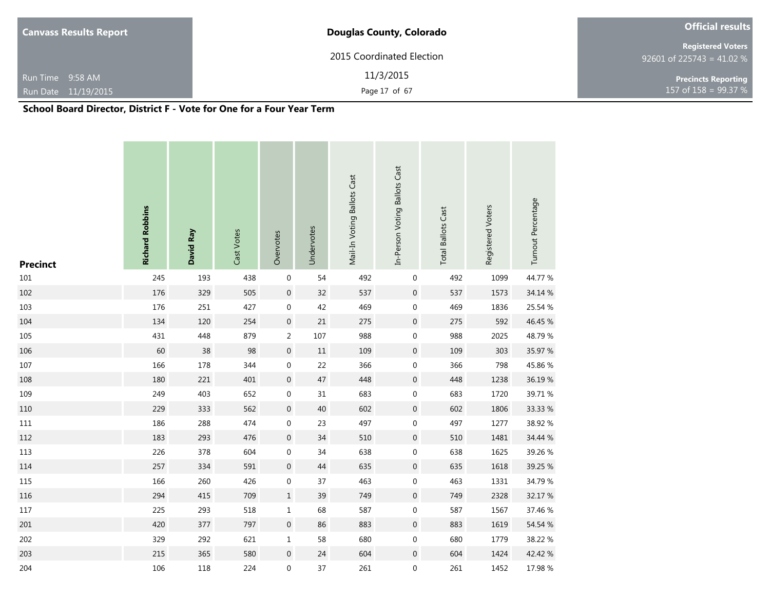| <b>Canvass Results Report</b>           | <b>Douglas County, Colorado</b> | <b>Official results</b>                               |
|-----------------------------------------|---------------------------------|-------------------------------------------------------|
|                                         | 2015 Coordinated Election       | <b>Registered Voters</b><br>92601 of 225743 = 41.02 % |
| Run Time 9:58 AM<br>Run Date 11/19/2015 | 11/3/2015<br>Page 17 of 67      | <b>Precincts Reporting</b><br>157 of $158 = 99.37 %$  |

| <b>Precinct</b> | <b>Richard Robbins</b> | David Ray | Cast Votes | Overvotes        | Undervotes | Mail-In Voting Ballots Cast | In-Person Voting Ballots Cast | <b>Total Ballots Cast</b> | Registered Voters | Turnout Percentage |
|-----------------|------------------------|-----------|------------|------------------|------------|-----------------------------|-------------------------------|---------------------------|-------------------|--------------------|
| 101             | 245                    | 193       | 438        | $\boldsymbol{0}$ | 54         | 492                         | $\mathbf 0$                   | 492                       | 1099              | 44.77 %            |
| 102             | 176                    | 329       | 505        | $\boldsymbol{0}$ | 32         | 537                         | $\boldsymbol{0}$              | 537                       | 1573              | 34.14 %            |
| 103             | 176                    | 251       | 427        | $\boldsymbol{0}$ | 42         | 469                         | 0                             | 469                       | 1836              | 25.54 %            |
| 104             | 134                    | 120       | 254        | $\boldsymbol{0}$ | $21\,$     | 275                         | $\boldsymbol{0}$              | 275                       | 592               | 46.45 %            |
| 105             | 431                    | 448       | 879        | $\overline{2}$   | 107        | 988                         | 0                             | 988                       | 2025              | 48.79%             |
| 106             | $60\,$                 | $38\,$    | 98         | $\boldsymbol{0}$ | $11\,$     | 109                         | $\boldsymbol{0}$              | 109                       | 303               | 35.97 %            |
| 107             | 166                    | 178       | 344        | $\boldsymbol{0}$ | 22         | 366                         | $\boldsymbol{0}$              | 366                       | 798               | 45.86%             |
| 108             | 180                    | 221       | 401        | $\boldsymbol{0}$ | $47\,$     | 448                         | $\boldsymbol{0}$              | 448                       | 1238              | 36.19%             |
| 109             | 249                    | 403       | 652        | $\boldsymbol{0}$ | 31         | 683                         | $\boldsymbol{0}$              | 683                       | 1720              | 39.71 %            |
| 110             | 229                    | 333       | 562        | $\boldsymbol{0}$ | 40         | 602                         | $\boldsymbol{0}$              | 602                       | 1806              | 33.33 %            |
| 111             | 186                    | 288       | 474        | $\boldsymbol{0}$ | 23         | 497                         | $\boldsymbol{0}$              | 497                       | 1277              | 38.92 %            |
| 112             | 183                    | 293       | 476        | $\boldsymbol{0}$ | 34         | 510                         | $\mathbf 0$                   | 510                       | 1481              | 34.44 %            |
| 113             | 226                    | 378       | 604        | $\boldsymbol{0}$ | 34         | 638                         | $\boldsymbol{0}$              | 638                       | 1625              | 39.26 %            |
| 114             | 257                    | 334       | 591        | $\boldsymbol{0}$ | 44         | 635                         | $\boldsymbol{0}$              | 635                       | 1618              | 39.25 %            |
| 115             | 166                    | 260       | 426        | $\boldsymbol{0}$ | 37         | 463                         | $\boldsymbol{0}$              | 463                       | 1331              | 34.79 %            |
| 116             | 294                    | 415       | 709        | $\mathbf 1$      | 39         | 749                         | $\mathbf 0$                   | 749                       | 2328              | 32.17 %            |
| 117             | 225                    | 293       | 518        | $\mathbf 1$      | 68         | 587                         | $\boldsymbol{0}$              | 587                       | 1567              | 37.46 %            |
| 201             | 420                    | 377       | 797        | $\boldsymbol{0}$ | 86         | 883                         | $\boldsymbol{0}$              | 883                       | 1619              | 54.54 %            |
| 202             | 329                    | 292       | 621        | $\mathbf 1$      | 58         | 680                         | $\boldsymbol{0}$              | 680                       | 1779              | 38.22 %            |
| 203             | 215                    | 365       | 580        | $\boldsymbol{0}$ | 24         | 604                         | 0                             | 604                       | 1424              | 42.42 %            |
| 204             | 106                    | 118       | 224        | $\boldsymbol{0}$ | 37         | 261                         | 0                             | 261                       | 1452              | 17.98 %            |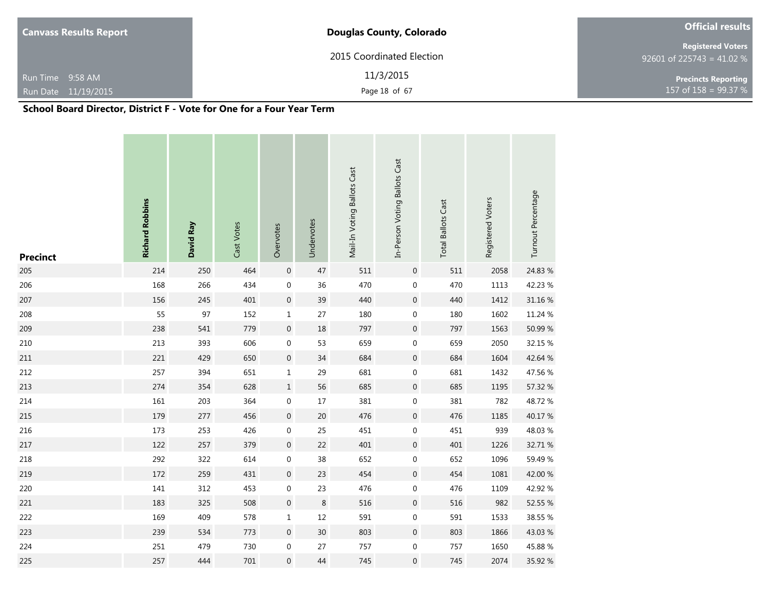| <b>Canvass Results Report</b>    | <b>Douglas County, Colorado</b> | <b>Official results</b>                               |  |  |  |  |
|----------------------------------|---------------------------------|-------------------------------------------------------|--|--|--|--|
|                                  | 2015 Coordinated Election       | <b>Registered Voters</b><br>92601 of 225743 = 41.02 % |  |  |  |  |
| Run Time 9:58 AM                 | 11/3/2015                       | <b>Precincts Reporting</b>                            |  |  |  |  |
| Run Date 11/19/2015              | Page 18 of 67                   | 157 of 158 = 99.37 $%$                                |  |  |  |  |
| ----<br>$\cdots$<br>. <i>. .</i> | $\rightarrow$<br>$\mathbf{v}$   |                                                       |  |  |  |  |

| <b>Precinct</b> | <b>Richard Robbins</b> | David Ray | Cast Votes | Overvotes        | Undervotes | Mail-In Voting Ballots Cast | In-Person Voting Ballots Cast | <b>Total Ballots Cast</b> | Registered Voters | Turnout Percentage |
|-----------------|------------------------|-----------|------------|------------------|------------|-----------------------------|-------------------------------|---------------------------|-------------------|--------------------|
| 205             | 214                    | 250       | 464        | $\boldsymbol{0}$ | 47         | 511                         | $\boldsymbol{0}$              | 511                       | 2058              | 24.83 %            |
| 206             | 168                    | 266       | 434        | $\boldsymbol{0}$ | 36         | 470                         | $\boldsymbol{0}$              | 470                       | 1113              | 42.23 %            |
| 207             | 156                    | 245       | 401        | $\boldsymbol{0}$ | 39         | 440                         | $\boldsymbol{0}$              | 440                       | 1412              | 31.16 %            |
| 208             | 55                     | 97        | 152        | $\mathbf 1$      | 27         | 180                         | $\boldsymbol{0}$              | 180                       | 1602              | 11.24 %            |
| 209             | 238                    | 541       | 779        | $\boldsymbol{0}$ | $18\,$     | 797                         | $\boldsymbol{0}$              | 797                       | 1563              | 50.99 %            |
| 210             | 213                    | 393       | 606        | $\boldsymbol{0}$ | 53         | 659                         | $\boldsymbol{0}$              | 659                       | 2050              | 32.15 %            |
| 211             | 221                    | 429       | 650        | $\boldsymbol{0}$ | 34         | 684                         | $\boldsymbol{0}$              | 684                       | 1604              | 42.64 %            |
| 212             | 257                    | 394       | 651        | $\mathbf 1$      | 29         | 681                         | $\boldsymbol{0}$              | 681                       | 1432              | 47.56 %            |
| 213             | 274                    | 354       | 628        | $\mathbf 1$      | 56         | 685                         | $\boldsymbol{0}$              | 685                       | 1195              | 57.32 %            |
| 214             | 161                    | 203       | 364        | $\boldsymbol{0}$ | $17\,$     | 381                         | $\boldsymbol{0}$              | 381                       | 782               | 48.72%             |
| 215             | 179                    | 277       | 456        | $\boldsymbol{0}$ | $20\,$     | 476                         | $\boldsymbol{0}$              | 476                       | 1185              | 40.17%             |
| 216             | 173                    | 253       | 426        | $\boldsymbol{0}$ | 25         | 451                         | $\boldsymbol{0}$              | 451                       | 939               | 48.03%             |
| 217             | 122                    | 257       | 379        | $\boldsymbol{0}$ | 22         | 401                         | $\boldsymbol{0}$              | 401                       | 1226              | 32.71 %            |
| 218             | 292                    | 322       | 614        | $\boldsymbol{0}$ | 38         | 652                         | $\boldsymbol{0}$              | 652                       | 1096              | 59.49 %            |
| 219             | 172                    | 259       | 431        | $\boldsymbol{0}$ | 23         | 454                         | $\boldsymbol{0}$              | 454                       | 1081              | 42.00 %            |
| 220             | 141                    | 312       | 453        | $\boldsymbol{0}$ | 23         | 476                         | $\boldsymbol{0}$              | 476                       | 1109              | 42.92 %            |
| 221             | 183                    | 325       | 508        | $\boldsymbol{0}$ | $\,8\,$    | 516                         | $\boldsymbol{0}$              | 516                       | 982               | 52.55 %            |
| 222             | 169                    | 409       | 578        | $\mathbf 1$      | 12         | 591                         | $\boldsymbol{0}$              | 591                       | 1533              | 38.55 %            |
| 223             | 239                    | 534       | 773        | $\boldsymbol{0}$ | $30\,$     | 803                         | $\boldsymbol{0}$              | 803                       | 1866              | 43.03%             |
| 224             | 251                    | 479       | 730        | $\boldsymbol{0}$ | 27         | 757                         | $\boldsymbol{0}$              | 757                       | 1650              | 45.88%             |
| 225             | 257                    | 444       | 701        | $\boldsymbol{0}$ | 44         | 745                         | 0                             | 745                       | 2074              | 35.92 %            |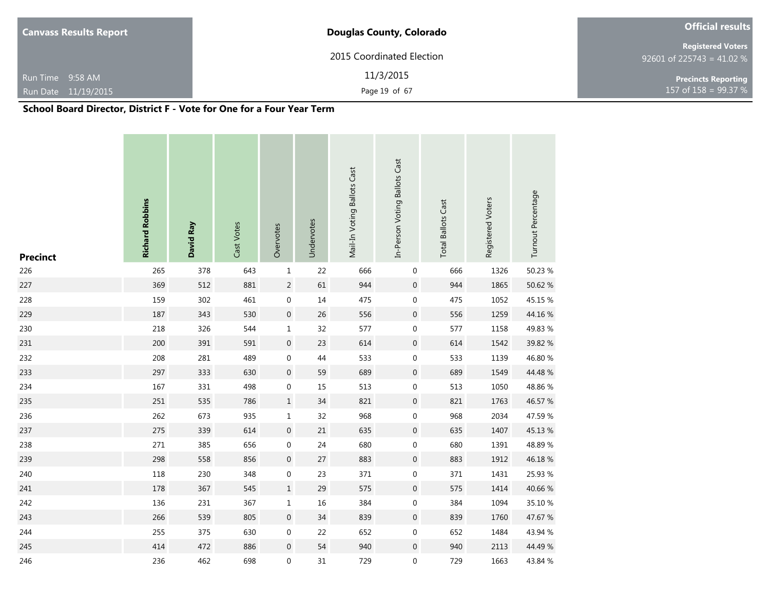| <b>Canvass Results Report</b>  | <b>Official results</b>   |                                                       |  |  |  |
|--------------------------------|---------------------------|-------------------------------------------------------|--|--|--|
|                                | 2015 Coordinated Election | <b>Registered Voters</b><br>92601 of 225743 = 41.02 % |  |  |  |
| Run Time 9:58 AM               | 11/3/2015                 | <b>Precincts Reporting</b>                            |  |  |  |
| Run Date 11/19/2015            | Page 19 of 67             | 157 of $158 = 99.37 %$                                |  |  |  |
| ----<br>$\cdots$<br>---------- | . .                       |                                                       |  |  |  |

| <b>Precinct</b> | <b>Richard Robbins</b> | David Ray | Cast Votes | Overvotes        | Undervotes | Mail-In Voting Ballots Cast | In-Person Voting Ballots Cast | <b>Total Ballots Cast</b> | Registered Voters | Turnout Percentage |
|-----------------|------------------------|-----------|------------|------------------|------------|-----------------------------|-------------------------------|---------------------------|-------------------|--------------------|
| 226             | 265                    | 378       | 643        | $\mathbf 1$      | 22         | 666                         | $\pmb{0}$                     | 666                       | 1326              | 50.23 %            |
| 227             | 369                    | 512       | 881        | $\sqrt{2}$       | 61         | 944                         | $\boldsymbol{0}$              | 944                       | 1865              | 50.62 %            |
| 228             | 159                    | 302       | 461        | $\boldsymbol{0}$ | $14\,$     | 475                         | $\mathbf 0$                   | 475                       | 1052              | 45.15 %            |
| 229             | 187                    | 343       | 530        | $\boldsymbol{0}$ | 26         | 556                         | $\boldsymbol{0}$              | 556                       | 1259              | 44.16%             |
| 230             | 218                    | 326       | 544        | $\mathbf 1$      | 32         | 577                         | $\pmb{0}$                     | 577                       | 1158              | 49.83 %            |
| 231             | 200                    | 391       | 591        | $\boldsymbol{0}$ | 23         | 614                         | $\boldsymbol{0}$              | 614                       | 1542              | 39.82 %            |
| 232             | 208                    | 281       | 489        | $\boldsymbol{0}$ | 44         | 533                         | $\boldsymbol{0}$              | 533                       | 1139              | 46.80 %            |
| 233             | 297                    | 333       | 630        | $\boldsymbol{0}$ | 59         | 689                         | $\boldsymbol{0}$              | 689                       | 1549              | 44.48 %            |
| 234             | 167                    | 331       | 498        | $\boldsymbol{0}$ | $15\,$     | 513                         | $\boldsymbol{0}$              | 513                       | 1050              | 48.86%             |
| 235             | 251                    | 535       | 786        | $\mathbf 1$      | 34         | 821                         | $\boldsymbol{0}$              | 821                       | 1763              | 46.57 %            |
| 236             | 262                    | 673       | 935        | $\mathbf 1$      | 32         | 968                         | $\boldsymbol{0}$              | 968                       | 2034              | 47.59 %            |
| 237             | 275                    | 339       | 614        | $\boldsymbol{0}$ | $21\,$     | 635                         | $\boldsymbol{0}$              | 635                       | 1407              | 45.13%             |
| 238             | 271                    | 385       | 656        | $\boldsymbol{0}$ | 24         | 680                         | $\pmb{0}$                     | 680                       | 1391              | 48.89%             |
| 239             | 298                    | 558       | 856        | $\boldsymbol{0}$ | $27\,$     | 883                         | $\boldsymbol{0}$              | 883                       | 1912              | 46.18%             |
| 240             | 118                    | 230       | 348        | $\boldsymbol{0}$ | 23         | 371                         | $\boldsymbol{0}$              | 371                       | 1431              | 25.93 %            |
| 241             | 178                    | 367       | 545        | $\mathbf 1$      | 29         | 575                         | $\boldsymbol{0}$              | 575                       | 1414              | 40.66 %            |
| 242             | 136                    | 231       | 367        | $\mathbf 1$      | 16         | 384                         | $\boldsymbol{0}$              | 384                       | 1094              | 35.10 %            |
| 243             | 266                    | 539       | 805        | $\boldsymbol{0}$ | 34         | 839                         | $\boldsymbol{0}$              | 839                       | 1760              | 47.67 %            |
| 244             | 255                    | 375       | 630        | $\boldsymbol{0}$ | 22         | 652                         | $\boldsymbol{0}$              | 652                       | 1484              | 43.94 %            |
| 245             | 414                    | 472       | 886        | $\boldsymbol{0}$ | 54         | 940                         | $\boldsymbol{0}$              | 940                       | 2113              | 44.49 %            |
| 246             | 236                    | 462       | 698        | $\boldsymbol{0}$ | 31         | 729                         | 0                             | 729                       | 1663              | 43.84 %            |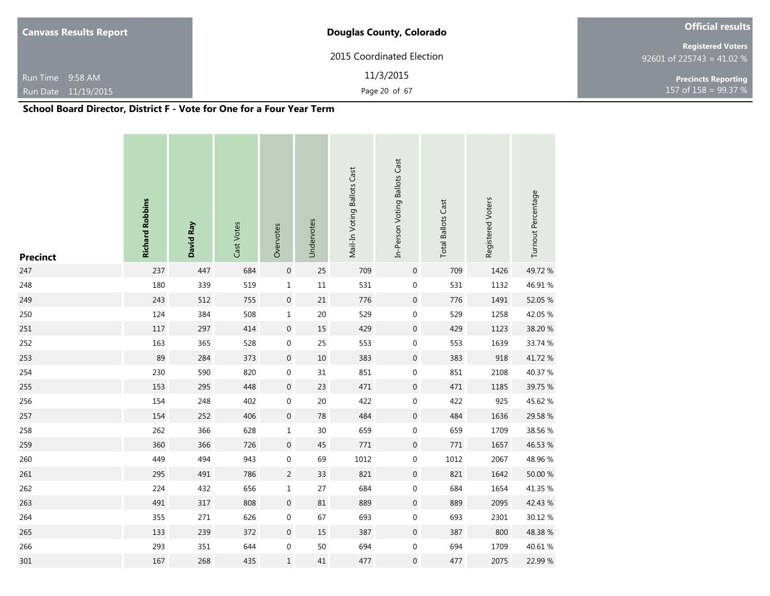| <b>Canvass Results Report</b>    | <b>Douglas County, Colorado</b>      | <b>Official results</b>                               |
|----------------------------------|--------------------------------------|-------------------------------------------------------|
|                                  | 2015 Coordinated Election            | <b>Registered Voters</b><br>92601 of 225743 = 41.02 % |
| Run Time 9:58 AM                 | 11/3/2015                            | <b>Precincts Reporting</b>                            |
| Run Date 11/19/2015              | Page 20 of 67                        | 157 of 158 = $99.37 \%$                               |
| $\cdots$<br>----<br>. <i>. .</i> | $\overline{\phantom{a}}$<br>-<br>. . |                                                       |

| <b>Precinct</b> | <b>Richard Robbins</b> | David Ray | Cast Votes | Overvotes        | Undervotes | Mail-In Voting Ballots Cast | In-Person Voting Ballots Cast | <b>Total Ballots Cast</b> | Registered Voters | Turnout Percentage |
|-----------------|------------------------|-----------|------------|------------------|------------|-----------------------------|-------------------------------|---------------------------|-------------------|--------------------|
| 247             | 237                    | 447       | 684        | $\boldsymbol{0}$ | 25         | 709                         | $\boldsymbol{0}$              | 709                       | 1426              | 49.72%             |
| 248             | 180                    | 339       | 519        | $\mathbf 1$      | $11\,$     | 531                         | $\boldsymbol{0}$              | 531                       | 1132              | 46.91%             |
| 249             | 243                    | 512       | 755        | $\boldsymbol{0}$ | $21\,$     | 776                         | $\boldsymbol{0}$              | 776                       | 1491              | 52.05 %            |
| 250             | 124                    | 384       | 508        | $\mathbf 1$      | 20         | 529                         | $\boldsymbol{0}$              | 529                       | 1258              | 42.05 %            |
| 251             | 117                    | 297       | 414        | $\boldsymbol{0}$ | 15         | 429                         | $\boldsymbol{0}$              | 429                       | 1123              | 38.20 %            |
| 252             | 163                    | 365       | 528        | $\boldsymbol{0}$ | 25         | 553                         | $\boldsymbol{0}$              | 553                       | 1639              | 33.74 %            |
| 253             | 89                     | 284       | 373        | $\boldsymbol{0}$ | $10\,$     | 383                         | $\boldsymbol{0}$              | 383                       | 918               | 41.72%             |
| 254             | 230                    | 590       | 820        | $\boldsymbol{0}$ | 31         | 851                         | $\boldsymbol{0}$              | 851                       | 2108              | 40.37 %            |
| 255             | 153                    | 295       | 448        | $\boldsymbol{0}$ | 23         | 471                         | $\boldsymbol{0}$              | 471                       | 1185              | 39.75 %            |
| 256             | 154                    | 248       | 402        | $\boldsymbol{0}$ | 20         | 422                         | $\boldsymbol{0}$              | 422                       | 925               | 45.62 %            |
| 257             | 154                    | 252       | 406        | $\boldsymbol{0}$ | $78\,$     | 484                         | $\boldsymbol{0}$              | 484                       | 1636              | 29.58 %            |
| 258             | 262                    | 366       | 628        | $\mathbf 1$      | 30         | 659                         | $\boldsymbol{0}$              | 659                       | 1709              | 38.56 %            |
| 259             | 360                    | 366       | 726        | $\boldsymbol{0}$ | 45         | $771\,$                     | $\boldsymbol{0}$              | 771                       | 1657              | 46.53 %            |
| 260             | 449                    | 494       | 943        | $\boldsymbol{0}$ | 69         | 1012                        | 0                             | 1012                      | 2067              | 48.96%             |
| 261             | 295                    | 491       | 786        | $\overline{c}$   | 33         | 821                         | $\boldsymbol{0}$              | 821                       | 1642              | 50.00 %            |
| 262             | 224                    | 432       | 656        | $\mathbf 1$      | 27         | 684                         | 0                             | 684                       | 1654              | 41.35 %            |
| 263             | 491                    | 317       | 808        | $\boldsymbol{0}$ | 81         | 889                         | $\boldsymbol{0}$              | 889                       | 2095              | 42.43 %            |
| 264             | 355                    | 271       | 626        | $\boldsymbol{0}$ | 67         | 693                         | $\boldsymbol{0}$              | 693                       | 2301              | 30.12 %            |
| 265             | 133                    | 239       | 372        | $\boldsymbol{0}$ | 15         | 387                         | $\boldsymbol{0}$              | 387                       | 800               | 48.38%             |
| 266             | 293                    | 351       | 644        | $\boldsymbol{0}$ | 50         | 694                         | $\boldsymbol{0}$              | 694                       | 1709              | 40.61%             |
| 301             | 167                    | 268       | 435        | $\mathbf 1$      | 41         | 477                         | $\mathbf 0$                   | 477                       | 2075              | 22.99 %            |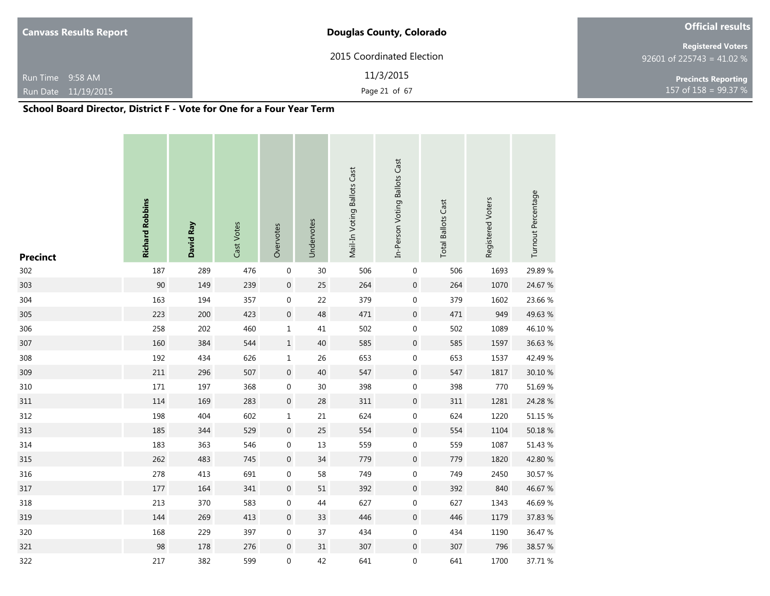| <b>Canvass Results Report</b>    | <b>Douglas County, Colorado</b> | <b>Official results</b>                               |
|----------------------------------|---------------------------------|-------------------------------------------------------|
|                                  | 2015 Coordinated Election       | <b>Registered Voters</b><br>92601 of 225743 = 41.02 % |
| Run Time 9:58 AM                 | 11/3/2015                       | <b>Precincts Reporting</b>                            |
| Run Date 11/19/2015              | Page 21 of 67                   | $157$ of 158 = 99.37 %                                |
| ----<br>$\cdots$<br>. <i>. .</i> | $\mathbf{v}$<br>-               |                                                       |

| <b>Precinct</b> | <b>Richard Robbins</b> | David Ray | Cast Votes | Overvotes        | Undervotes | Mail-In Voting Ballots Cast | In-Person Voting Ballots Cast | <b>Total Ballots Cast</b> | Registered Voters | Turnout Percentage |
|-----------------|------------------------|-----------|------------|------------------|------------|-----------------------------|-------------------------------|---------------------------|-------------------|--------------------|
| 302             | 187                    | 289       | 476        | $\boldsymbol{0}$ | 30         | 506                         | $\mathbf 0$                   | 506                       | 1693              | 29.89%             |
| 303             | 90                     | 149       | 239        | $\pmb{0}$        | 25         | 264                         | $\boldsymbol{0}$              | 264                       | 1070              | 24.67 %            |
| 304             | 163                    | 194       | 357        | $\boldsymbol{0}$ | 22         | 379                         | $\mathbf 0$                   | 379                       | 1602              | 23.66 %            |
| 305             | 223                    | 200       | 423        | $\boldsymbol{0}$ | 48         | 471                         | $\boldsymbol{0}$              | 471                       | 949               | 49.63 %            |
| 306             | 258                    | 202       | 460        | $\mathbf 1$      | 41         | 502                         | $\boldsymbol{0}$              | 502                       | 1089              | 46.10%             |
| 307             | 160                    | 384       | 544        | $\mathbf 1$      | 40         | 585                         | $\boldsymbol{0}$              | 585                       | 1597              | 36.63 %            |
| 308             | 192                    | 434       | 626        | $\mathbf 1$      | 26         | 653                         | $\boldsymbol{0}$              | 653                       | 1537              | 42.49 %            |
| 309             | 211                    | 296       | 507        | $\boldsymbol{0}$ | 40         | 547                         | $\pmb{0}$                     | 547                       | 1817              | 30.10 %            |
| 310             | 171                    | 197       | 368        | $\boldsymbol{0}$ | 30         | 398                         | $\boldsymbol{0}$              | 398                       | 770               | 51.69%             |
| 311             | 114                    | 169       | 283        | $\boldsymbol{0}$ | 28         | 311                         | $\boldsymbol{0}$              | 311                       | 1281              | 24.28 %            |
| 312             | 198                    | 404       | 602        | $\mathbf 1$      | 21         | 624                         | $\boldsymbol{0}$              | 624                       | 1220              | 51.15 %            |
| 313             | 185                    | 344       | 529        | $\boldsymbol{0}$ | 25         | 554                         | $\mathbf 0$                   | 554                       | 1104              | 50.18 %            |
| 314             | 183                    | 363       | 546        | $\boldsymbol{0}$ | 13         | 559                         | $\boldsymbol{0}$              | 559                       | 1087              | 51.43 %            |
| 315             | 262                    | 483       | 745        | $\boldsymbol{0}$ | 34         | 779                         | $\mathbf 0$                   | 779                       | 1820              | 42.80 %            |
| 316             | 278                    | 413       | 691        | $\boldsymbol{0}$ | 58         | 749                         | $\boldsymbol{0}$              | 749                       | 2450              | 30.57 %            |
| 317             | 177                    | 164       | 341        | $\boldsymbol{0}$ | 51         | 392                         | $\mathbf 0$                   | 392                       | 840               | 46.67%             |
| 318             | 213                    | 370       | 583        | $\boldsymbol{0}$ | 44         | 627                         | $\boldsymbol{0}$              | 627                       | 1343              | 46.69%             |
| 319             | 144                    | 269       | 413        | $\boldsymbol{0}$ | 33         | 446                         | $\boldsymbol{0}$              | 446                       | 1179              | 37.83 %            |
| 320             | 168                    | 229       | 397        | $\boldsymbol{0}$ | 37         | 434                         | 0                             | 434                       | 1190              | 36.47 %            |
| 321             | 98                     | 178       | 276        | $\boldsymbol{0}$ | 31         | 307                         | $\mathbf 0$                   | 307                       | 796               | 38.57 %            |
| 322             | 217                    | 382       | 599        | $\boldsymbol{0}$ | 42         | 641                         | 0                             | 641                       | 1700              | 37.71 %            |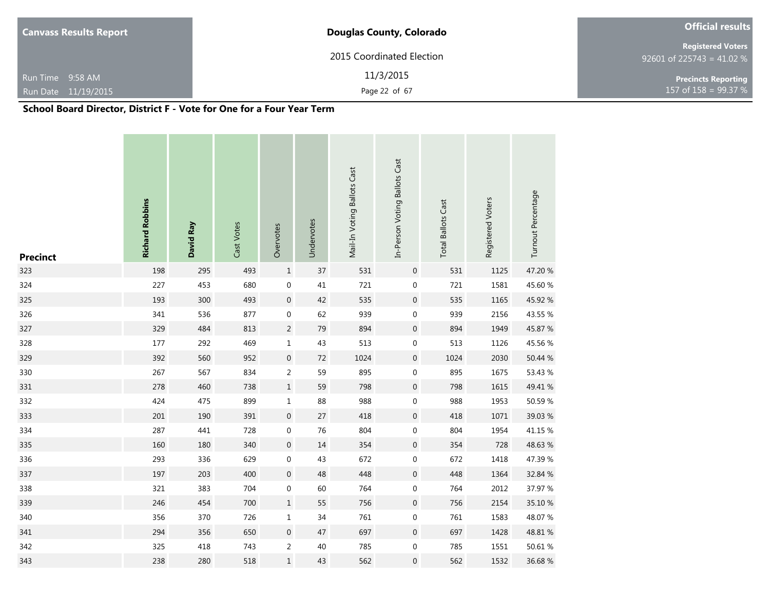| <b>Canvass Results Report</b>                                                      | <b>Douglas County, Colorado</b> | <b>Official results</b>                               |
|------------------------------------------------------------------------------------|---------------------------------|-------------------------------------------------------|
|                                                                                    | 2015 Coordinated Election       | <b>Registered Voters</b><br>92601 of 225743 = 41.02 % |
| Run Time 9:58 AM                                                                   | 11/3/2015                       | <b>Precincts Reporting</b>                            |
| Run Date 11/19/2015                                                                | Page 22 of 67                   | 157 of $158 = 99.37 %$                                |
| $\mathcal{L}$ . The statistic state of $\mathcal{L}$ is the state of $\mathcal{L}$ |                                 |                                                       |

| <b>Precinct</b> | <b>Richard Robbins</b> | David Ray | Cast Votes | Overvotes        | Undervotes | Mail-In Voting Ballots Cast | In-Person Voting Ballots Cast | <b>Total Ballots Cast</b> | Registered Voters | Turnout Percentage |
|-----------------|------------------------|-----------|------------|------------------|------------|-----------------------------|-------------------------------|---------------------------|-------------------|--------------------|
| 323             | 198                    | 295       | 493        | $\mathbf 1$      | 37         | 531                         | $\boldsymbol{0}$              | 531                       | 1125              | 47.20 %            |
| 324             | 227                    | 453       | 680        | $\pmb{0}$        | 41         | 721                         | $\boldsymbol{0}$              | 721                       | 1581              | 45.60 %            |
| 325             | 193                    | 300       | 493        | $\boldsymbol{0}$ | 42         | 535                         | $\boldsymbol{0}$              | 535                       | 1165              | 45.92 %            |
| 326             | 341                    | 536       | 877        | $\boldsymbol{0}$ | 62         | 939                         | $\boldsymbol{0}$              | 939                       | 2156              | 43.55 %            |
| 327             | 329                    | 484       | 813        | $\sqrt{2}$       | 79         | 894                         | 0                             | 894                       | 1949              | 45.87 %            |
| 328             | 177                    | 292       | 469        | $\mathbf 1$      | 43         | 513                         | $\boldsymbol{0}$              | 513                       | 1126              | 45.56 %            |
| 329             | 392                    | 560       | 952        | $\boldsymbol{0}$ | $72\,$     | 1024                        | $\boldsymbol{0}$              | 1024                      | 2030              | 50.44 %            |
| 330             | 267                    | 567       | 834        | $\overline{c}$   | 59         | 895                         | $\boldsymbol{0}$              | 895                       | 1675              | 53.43 %            |
| 331             | 278                    | 460       | 738        | $\mathbf 1$      | 59         | 798                         | $\boldsymbol{0}$              | 798                       | 1615              | 49.41 %            |
| 332             | 424                    | 475       | 899        | $\mathbf 1$      | 88         | 988                         | $\boldsymbol{0}$              | 988                       | 1953              | 50.59 %            |
| 333             | 201                    | 190       | 391        | $\boldsymbol{0}$ | 27         | 418                         | $\boldsymbol{0}$              | 418                       | 1071              | 39.03 %            |
| 334             | 287                    | 441       | 728        | $\boldsymbol{0}$ | 76         | 804                         | $\boldsymbol{0}$              | 804                       | 1954              | 41.15 %            |
| 335             | 160                    | 180       | 340        | $\boldsymbol{0}$ | 14         | 354                         | $\boldsymbol{0}$              | 354                       | 728               | 48.63%             |
| 336             | 293                    | 336       | 629        | $\boldsymbol{0}$ | 43         | 672                         | $\boldsymbol{0}$              | 672                       | 1418              | 47.39 %            |
| 337             | 197                    | 203       | 400        | $\boldsymbol{0}$ | 48         | 448                         | $\boldsymbol{0}$              | 448                       | 1364              | 32.84 %            |
| 338             | 321                    | 383       | 704        | $\boldsymbol{0}$ | 60         | 764                         | $\boldsymbol{0}$              | 764                       | 2012              | 37.97 %            |
| 339             | 246                    | 454       | 700        | $\mathbf 1$      | 55         | 756                         | $\boldsymbol{0}$              | 756                       | 2154              | 35.10 %            |
| 340             | 356                    | 370       | 726        | $\mathbf 1$      | 34         | 761                         | 0                             | 761                       | 1583              | 48.07%             |
| 341             | 294                    | 356       | 650        | $\boldsymbol{0}$ | 47         | 697                         | $\boldsymbol{0}$              | 697                       | 1428              | 48.81 %            |
| 342             | 325                    | 418       | 743        | $\overline{2}$   | 40         | 785                         | $\boldsymbol{0}$              | 785                       | 1551              | 50.61 %            |
| 343             | 238                    | 280       | 518        | $\mathbf 1$      | 43         | 562                         | 0                             | 562                       | 1532              | 36.68%             |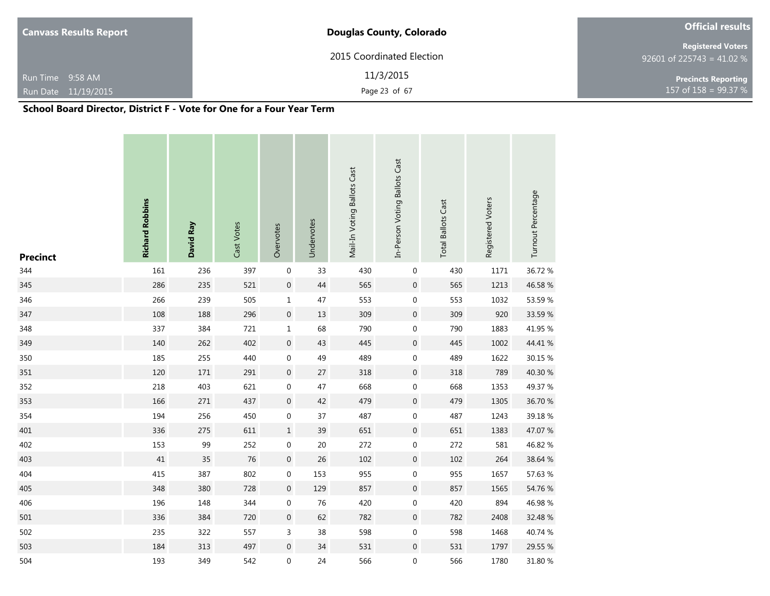| <b>Canvass Results Report</b>      | <b>Douglas County, Colorado</b> | <b>Official results</b>                               |
|------------------------------------|---------------------------------|-------------------------------------------------------|
|                                    | 2015 Coordinated Election       | <b>Registered Voters</b><br>92601 of 225743 = 41.02 % |
| Run Time 9:58 AM                   | 11/3/2015                       | <b>Precincts Reporting</b>                            |
| Run Date 11/19/2015                | Page 23 of 67                   | $157 \text{ of } 158 = 99.37 \%$                      |
| $\cdots$<br>----<br>. <i>. .</i> . | -<br>. .                        |                                                       |

| <b>Precinct</b> | <b>Richard Robbins</b> | David Ray | Cast Votes | Overvotes        | Undervotes | Mail-In Voting Ballots Cast | In-Person Voting Ballots Cast | <b>Total Ballots Cast</b> | Registered Voters | Turnout Percentage |
|-----------------|------------------------|-----------|------------|------------------|------------|-----------------------------|-------------------------------|---------------------------|-------------------|--------------------|
| 344             | 161                    | 236       | 397        | $\boldsymbol{0}$ | 33         | 430                         | $\pmb{0}$                     | 430                       | 1171              | 36.72 %            |
| 345             | 286                    | 235       | 521        | $\pmb{0}$        | 44         | 565                         | $\boldsymbol{0}$              | 565                       | 1213              | 46.58 %            |
| 346             | 266                    | 239       | 505        | $\mathbf 1$      | 47         | 553                         | $\boldsymbol{0}$              | 553                       | 1032              | 53.59%             |
| 347             | 108                    | 188       | 296        | $\pmb{0}$        | 13         | 309                         | $\boldsymbol{0}$              | 309                       | 920               | 33.59 %            |
| 348             | 337                    | 384       | 721        | $\mathbf 1$      | 68         | 790                         | 0                             | 790                       | 1883              | 41.95 %            |
| 349             | 140                    | 262       | 402        | $\boldsymbol{0}$ | 43         | 445                         | $\boldsymbol{0}$              | 445                       | 1002              | 44.41 %            |
| 350             | 185                    | 255       | 440        | $\boldsymbol{0}$ | 49         | 489                         | $\boldsymbol{0}$              | 489                       | 1622              | 30.15 %            |
| 351             | 120                    | 171       | 291        | $\boldsymbol{0}$ | 27         | 318                         | $\boldsymbol{0}$              | 318                       | 789               | 40.30 %            |
| 352             | 218                    | 403       | 621        | $\boldsymbol{0}$ | 47         | 668                         | $\boldsymbol{0}$              | 668                       | 1353              | 49.37 %            |
| 353             | 166                    | 271       | 437        | $\boldsymbol{0}$ | 42         | 479                         | $\boldsymbol{0}$              | 479                       | 1305              | 36.70 %            |
| 354             | 194                    | 256       | 450        | $\boldsymbol{0}$ | 37         | 487                         | $\boldsymbol{0}$              | 487                       | 1243              | 39.18%             |
| 401             | 336                    | 275       | 611        | $\mathbf 1$      | 39         | 651                         | 0                             | 651                       | 1383              | 47.07 %            |
| 402             | 153                    | 99        | 252        | $\boldsymbol{0}$ | $20\,$     | 272                         | $\pmb{0}$                     | 272                       | 581               | 46.82 %            |
| 403             | 41                     | 35        | 76         | $\boldsymbol{0}$ | 26         | 102                         | $\boldsymbol{0}$              | 102                       | 264               | 38.64 %            |
| 404             | 415                    | 387       | 802        | $\boldsymbol{0}$ | 153        | 955                         | $\boldsymbol{0}$              | 955                       | 1657              | 57.63 %            |
| 405             | 348                    | 380       | 728        | $\boldsymbol{0}$ | 129        | 857                         | $\boldsymbol{0}$              | 857                       | 1565              | 54.76 %            |
| 406             | 196                    | 148       | 344        | $\boldsymbol{0}$ | 76         | 420                         | $\pmb{0}$                     | 420                       | 894               | 46.98%             |
| 501             | 336                    | 384       | 720        | $\boldsymbol{0}$ | 62         | 782                         | $\boldsymbol{0}$              | 782                       | 2408              | 32.48 %            |
| 502             | 235                    | 322       | 557        | 3                | 38         | 598                         | $\boldsymbol{0}$              | 598                       | 1468              | 40.74 %            |
| 503             | 184                    | 313       | 497        | $\boldsymbol{0}$ | 34         | 531                         | $\boldsymbol{0}$              | 531                       | 1797              | 29.55 %            |
| 504             | 193                    | 349       | 542        | $\boldsymbol{0}$ | 24         | 566                         | 0                             | 566                       | 1780              | 31.80 %            |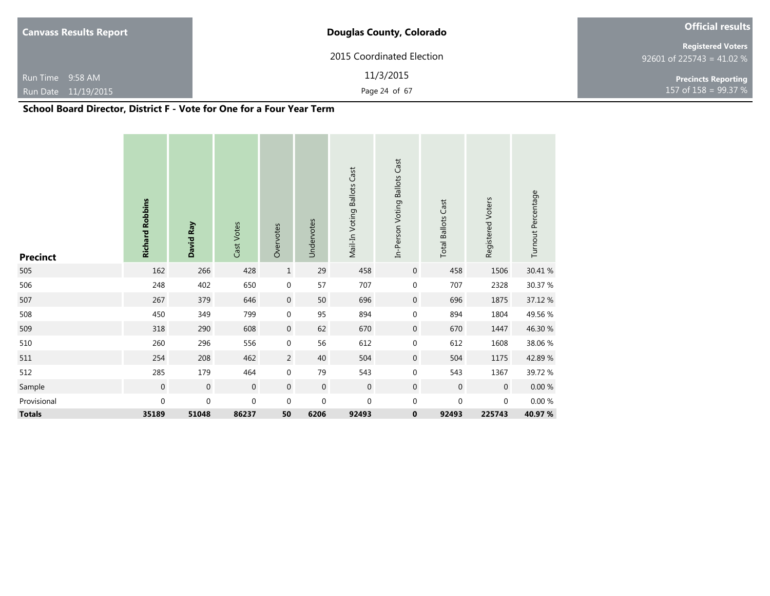| <b>Canvass Results Report</b>                                                                                                                                                                                                           | <b>Douglas County, Colorado</b> | <b>Official results</b>                               |  |  |
|-----------------------------------------------------------------------------------------------------------------------------------------------------------------------------------------------------------------------------------------|---------------------------------|-------------------------------------------------------|--|--|
|                                                                                                                                                                                                                                         | 2015 Coordinated Election       | <b>Registered Voters</b><br>92601 of 225743 = 41.02 % |  |  |
| Run Time 9:58 AM                                                                                                                                                                                                                        | 11/3/2015                       | <b>Precincts Reporting</b>                            |  |  |
| Run Date 11/19/2015                                                                                                                                                                                                                     | Page 24 of 67                   | 157 of 158 = 99.37 %                                  |  |  |
| $\mathcal{L}$ . The state of the state $\mathcal{L}$ is the state of the state of the state of the state of the state of the state of the state of the state of the state of the state of the state of the state of the state of the st |                                 |                                                       |  |  |

| <b>Precinct</b> | <b>Richard Robbins</b> | David Ray        | Cast Votes     | Overvotes        | Undervotes       | Mail-In Voting Ballots Cast | In-Person Voting Ballots Cast | <b>Total Ballots Cast</b> | Registered Voters | Turnout Percentage |
|-----------------|------------------------|------------------|----------------|------------------|------------------|-----------------------------|-------------------------------|---------------------------|-------------------|--------------------|
| 505             | 162                    | 266              | 428            | $\mathbf 1$      | 29               | 458                         | $\boldsymbol{0}$              | 458                       | 1506              | 30.41 %            |
| 506             | 248                    | 402              | 650            | $\boldsymbol{0}$ | 57               | 707                         | $\mathbf 0$                   | 707                       | 2328              | 30.37 %            |
| 507             | 267                    | 379              | 646            | $\mathbf 0$      | 50               | 696                         | $\mathbf 0$                   | 696                       | 1875              | 37.12 %            |
| 508             | 450                    | 349              | 799            | $\boldsymbol{0}$ | 95               | 894                         | 0                             | 894                       | 1804              | 49.56 %            |
| 509             | 318                    | 290              | 608            | $\boldsymbol{0}$ | 62               | 670                         | $\boldsymbol{0}$              | 670                       | 1447              | 46.30 %            |
| 510             | 260                    | 296              | 556            | $\boldsymbol{0}$ | 56               | 612                         | 0                             | 612                       | 1608              | 38.06 %            |
| 511             | 254                    | 208              | 462            | $\overline{c}$   | 40               | 504                         | $\mathbf 0$                   | 504                       | 1175              | 42.89%             |
| 512             | 285                    | 179              | 464            | $\boldsymbol{0}$ | 79               | 543                         | 0                             | 543                       | 1367              | 39.72 %            |
| Sample          | $\boldsymbol{0}$       | $\boldsymbol{0}$ | $\overline{0}$ | $\mathbf 0$      | $\boldsymbol{0}$ | $\mathbf 0$                 | $\mathbf 0$                   | $\mathbf 0$               | $\mathbf 0$       | $0.00\ \%$         |
| Provisional     | 0                      | $\mathbf 0$      | $\mathbf 0$    | $\mathbf 0$      | $\boldsymbol{0}$ | $\mathbf 0$                 | 0                             | $\mathbf 0$               | $\boldsymbol{0}$  | $0.00\ \%$         |
| <b>Totals</b>   | 35189                  | 51048            | 86237          | 50               | 6206             | 92493                       | 0                             | 92493                     | 225743            | 40.97 %            |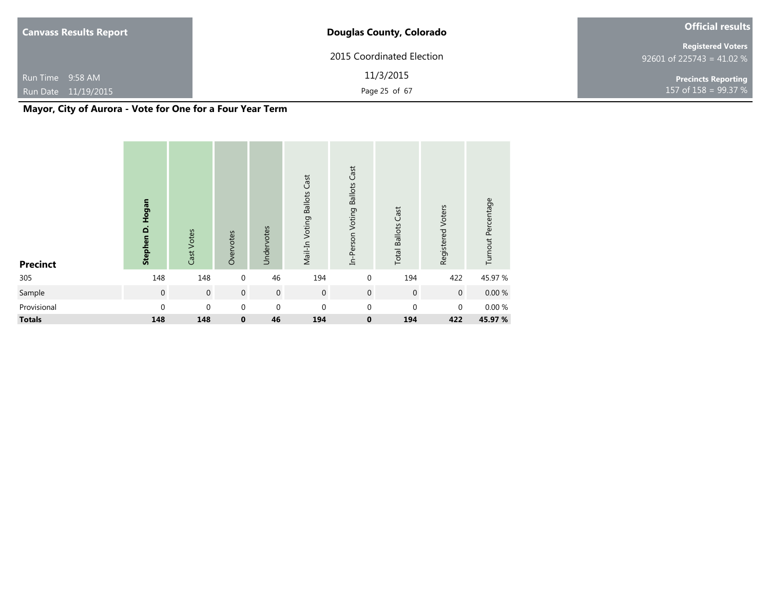| <b>Canvass Results Report</b> | <b>Douglas County, Colorado</b> | <b>Official results</b>                               |
|-------------------------------|---------------------------------|-------------------------------------------------------|
|                               | 2015 Coordinated Election       | <b>Registered Voters</b><br>92601 of 225743 = 41.02 % |
| Run Time 9:58 AM              | 11/3/2015                       | <b>Precincts Reporting</b>                            |
| Run Date 11/19/2015           | Page 25 of 67                   | $157$ of 158 = 99.37 %                                |

**Mayor, City of Aurora - Vote for One for a Four Year Term**

| <b>Precinct</b> | Hogan<br>Stephen D. | Cast Votes     | Overvotes        | Undervotes  | Mail-In Voting Ballots Cast | In-Person Voting Ballots Cast | <b>Total Ballots Cast</b> | Registered Voters | Turnout Percentage |
|-----------------|---------------------|----------------|------------------|-------------|-----------------------------|-------------------------------|---------------------------|-------------------|--------------------|
| 305             | 148                 | 148            | $\mathbf 0$      | 46          | 194                         | $\mathbf 0$                   | 194                       | 422               | 45.97 %            |
| Sample          | $\mathbf 0$         | $\overline{0}$ | $\boldsymbol{0}$ | $\mathbf 0$ | $\boldsymbol{0}$            | $\mathbf 0$                   | $\mathbf 0$               | $\mathbf{0}$      | 0.00%              |
| Provisional     | $\Omega$            | $\Omega$       | 0                | $\mathbf 0$ | $\mathbf 0$                 | $\boldsymbol{0}$              | $\mathbf{0}$              | $\mathbf{0}$      | $0.00 \%$          |
| <b>Totals</b>   | 148                 | 148            | $\mathbf 0$      | 46          | 194                         | $\bf{0}$                      | 194                       | 422               | 45.97 %            |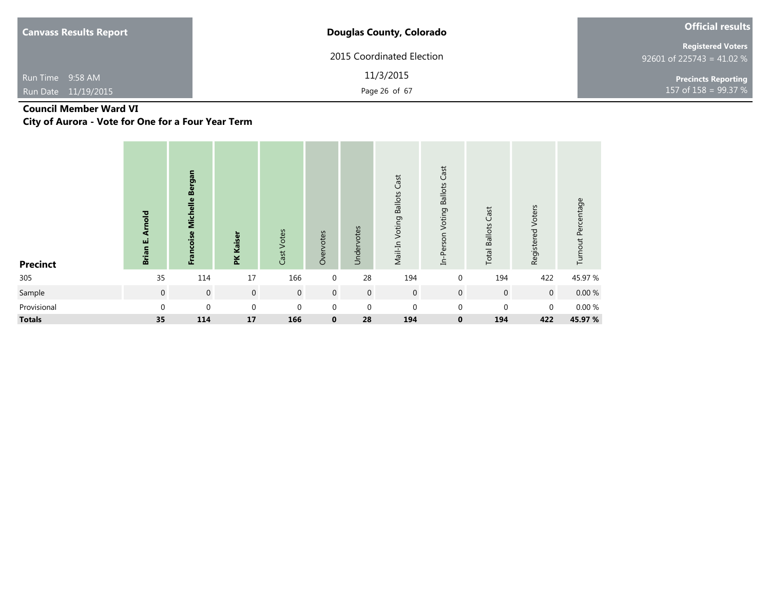| <b>Canvass Results Report</b>           | <b>Douglas County, Colorado</b> | <b>Official results</b>                                 |
|-----------------------------------------|---------------------------------|---------------------------------------------------------|
|                                         | 2015 Coordinated Election       | <b>Registered Voters</b><br>$92601$ of 225743 = 41.02 % |
| Run Time 9:58 AM<br>Run Date 11/19/2015 | 11/3/2015<br>Page 26 of 67      | <b>Precincts Reporting</b><br>$157$ of $158 = 99.37$ %  |

# **Council Member Ward VI**

**City of Aurora - Vote for One for a Four Year Term**

| <b>Precinct</b> | mold<br>₹<br>Brian E. | Francoise Michelle Bergan | <b>PK Kaiser</b> | Cast Votes     | Overvotes        | Undervotes     | Mail-In Voting Ballots Cast | In-Person Voting Ballots Cast | <b>Total Ballots Cast</b> | Registered Voters | Turnout Percentage |
|-----------------|-----------------------|---------------------------|------------------|----------------|------------------|----------------|-----------------------------|-------------------------------|---------------------------|-------------------|--------------------|
| 305             | 35                    | 114                       | 17               | 166            | $\overline{0}$   | 28             | 194                         | $\mathbf 0$                   | 194                       | 422               | 45.97 %            |
| Sample          | $\mathsf{O}\xspace$   | $\boldsymbol{0}$          | $\overline{0}$   | $\overline{0}$ | $\overline{0}$   | $\overline{0}$ | $\mathbf 0$                 | $\mathbf{0}$                  | $\mathbf 0$               | $\mathbf 0$       | $0.00 \%$          |
| Provisional     | $\boldsymbol{0}$      | 0                         | $\mathbf 0$      | $\mathbf 0$    | $\boldsymbol{0}$ | $\mathbf 0$    | $\mathbf{0}$                | $\pmb{0}$                     | $\mathbf 0$               | $\mathbf 0$       | $0.00\ \%$         |
| <b>Totals</b>   | 35                    | 114                       | 17               | 166            | $\mathbf 0$      | 28             | 194                         | $\bf{0}$                      | 194                       | 422               | 45.97 %            |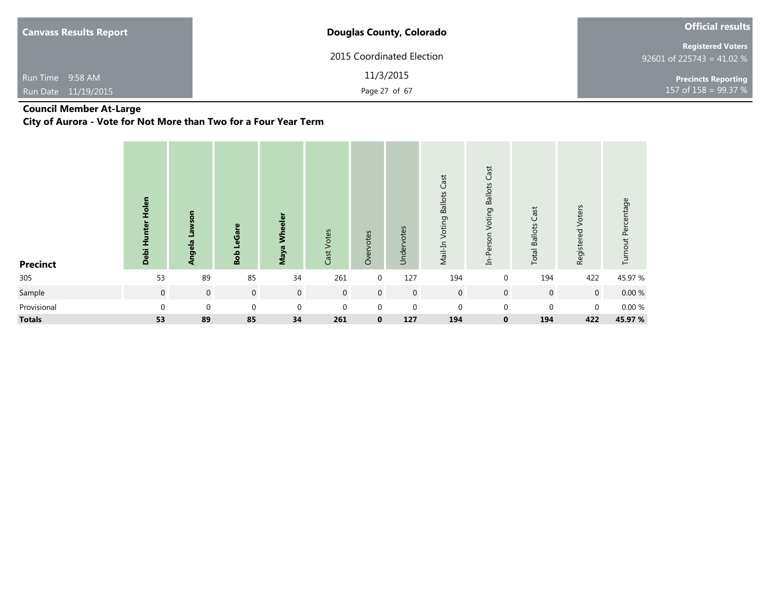| <b>Canvass Results Report</b> | <b>Douglas County, Colorado</b> | <b>Official results</b>                               |  |  |  |
|-------------------------------|---------------------------------|-------------------------------------------------------|--|--|--|
|                               | 2015 Coordinated Election       | <b>Registered Voters</b><br>92601 of 225743 = 41.02 % |  |  |  |
| Run Time 9:58 AM              | 11/3/2015                       | <b>Precincts Reporting</b>                            |  |  |  |
| Run Date 11/19/2015           | Page 27 of 67                   | 157 of $158 = 99.37 %$                                |  |  |  |

### **Council Member At-Large**

**City of Aurora - Vote for Not More than Two for a Four Year Term**

| <b>Precinct</b> | Holen<br>Hunter<br>Debi | <b>Lawson</b><br><b>Angela</b> | LeGare<br>Bob  | eeler<br>Š<br>Maya | Cast Votes     | Overvotes      | Undervotes   | Cast<br><b>Voting Ballots</b><br>Mail-In | <b>Ballots Cast</b><br>Voting<br>In-Person | Cast<br><b>Total Ballots</b> | Voters<br>Registered | Turnout Percentage |
|-----------------|-------------------------|--------------------------------|----------------|--------------------|----------------|----------------|--------------|------------------------------------------|--------------------------------------------|------------------------------|----------------------|--------------------|
| 305             | 53                      | 89                             | 85             | 34                 | 261            | $\overline{0}$ | 127          | 194                                      | $\mathbf 0$                                | 194                          | 422                  | 45.97 %            |
| Sample          | $\mathbf 0$             | $\overline{0}$                 | $\overline{0}$ | $\overline{0}$     | $\overline{0}$ | $\overline{0}$ | $\mathbf 0$  | $\overline{0}$                           | $\mathbf 0$                                | $\mathbf 0$                  | $\mathbf 0$          | $0.00\ \%$         |
| Provisional     | $\Omega$                | $\mathbf 0$                    | $\Omega$       | $\mathbf 0$        | $\mathbf 0$    | $\mathbf{0}$   | $\mathbf{0}$ | $\mathbf 0$                              | $\pmb{0}$                                  | 0                            | $\mathbf 0$          | 0.00%              |
| <b>Totals</b>   | 53                      | 89                             | 85             | 34                 | 261            | $\mathbf{0}$   | 127          | 194                                      | $\mathbf 0$                                | 194                          | 422                  | 45.97 %            |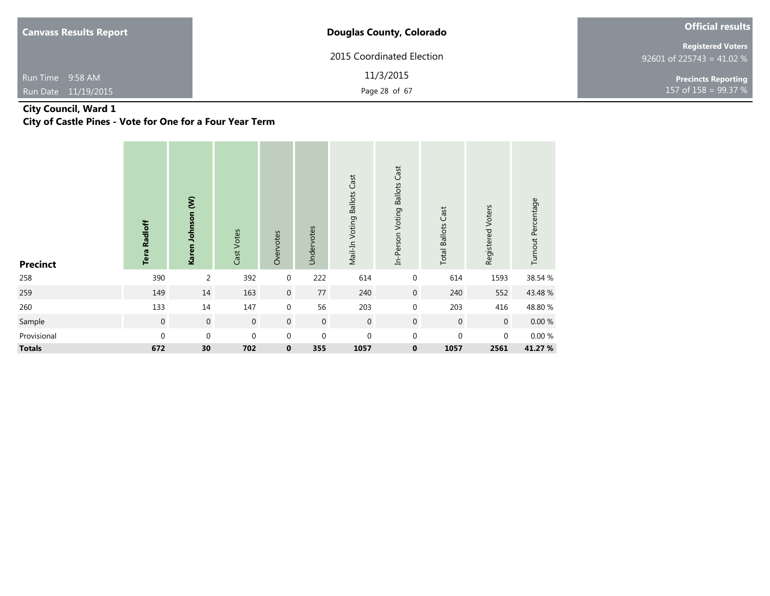| <b>Canvass Results Report</b> | <b>Douglas County, Colorado</b> | <b>Official results</b>                               |
|-------------------------------|---------------------------------|-------------------------------------------------------|
|                               | 2015 Coordinated Election       | <b>Registered Voters</b><br>92601 of 225743 = 41.02 % |
| Run Time 9:58 AM              | 11/3/2015                       | <b>Precincts Reporting</b>                            |
| Run Date 11/19/2015           | Page 28 of 67                   | 157 of 158 = $99.37 \%$                               |

### **City Council, Ward 1**

**City of Castle Pines - Vote for One for a Four Year Term**

| <b>Precinct</b> | <b>Tera Radloff</b> | Karen Johnson (W) | Cast Votes     | Overvotes        | Undervotes     | Mail-In Voting Ballots Cast | Cast<br><b>Ballots</b><br>In-Person Voting | <b>Total Ballots Cast</b> | Registered Voters | Turnout Percentage |
|-----------------|---------------------|-------------------|----------------|------------------|----------------|-----------------------------|--------------------------------------------|---------------------------|-------------------|--------------------|
| 258             | 390                 | $\overline{2}$    | 392            | $\boldsymbol{0}$ | 222            | 614                         | $\boldsymbol{0}$                           | 614                       | 1593              | 38.54 %            |
| 259             | 149                 | 14                | 163            | $\boldsymbol{0}$ | 77             | 240                         | $\boldsymbol{0}$                           | 240                       | 552               | 43.48 %            |
| 260             | 133                 | $14\,$            | 147            | $\boldsymbol{0}$ | 56             | 203                         | $\mathbf 0$                                | 203                       | 416               | 48.80 %            |
| Sample          | $\mathbf 0$         | $\,0\,$           | $\overline{0}$ | $\mathbf 0$      | $\overline{0}$ | $\overline{0}$              | $\boldsymbol{0}$                           | $\,0\,$                   | $\overline{0}$    | $0.00~\%$          |
| Provisional     | $\pmb{0}$           | $\boldsymbol{0}$  | $\mathbf{0}$   | $\mathbf 0$      | $\mathbf 0$    | $\mathbf{0}$                | $\boldsymbol{0}$                           | $\mathbf 0$               | $\mathbf 0$       | 0.00 %             |
| <b>Totals</b>   | 672                 | $30$              | 702            | $\pmb{0}$        | 355            | 1057                        | 0                                          | 1057                      | 2561              | 41.27 %            |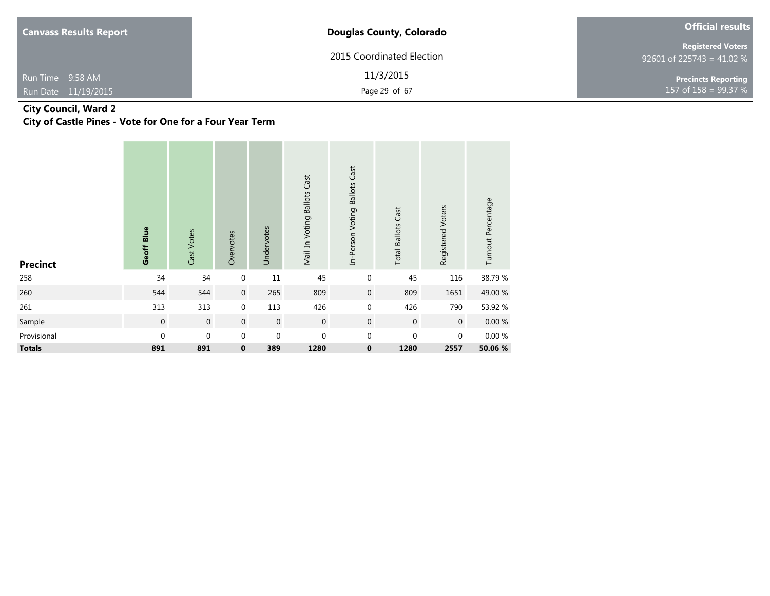| <b>Canvass Results Report</b>           | <b>Douglas County, Colorado</b> | <b>Official results</b>                               |
|-----------------------------------------|---------------------------------|-------------------------------------------------------|
|                                         | 2015 Coordinated Election       | <b>Registered Voters</b><br>92601 of 225743 = 41.02 % |
| Run Time 9:58 AM<br>Run Date 11/19/2015 | 11/3/2015<br>Page 29 of 67      | <b>Precincts Reporting</b><br>157 of $158 = 99.37 %$  |

### **City Council, Ward 2**

**City of Castle Pines - Vote for One for a Four Year Term**

| <b>Precinct</b> | Geoff Blue   | Cast Votes     | Overvotes        | Undervotes  | Mail-In Voting Ballots Cast | In-Person Voting Ballots Cast | <b>Total Ballots Cast</b> | Registered Voters | Turnout Percentage |
|-----------------|--------------|----------------|------------------|-------------|-----------------------------|-------------------------------|---------------------------|-------------------|--------------------|
| 258             | 34           | 34             | $\boldsymbol{0}$ | 11          | 45                          | 0                             | 45                        | 116               | 38.79%             |
| 260             | 544          | 544            | $\mathbf 0$      | 265         | 809                         | $\boldsymbol{0}$              | 809                       | 1651              | 49.00 %            |
| 261             | 313          | 313            | 0                | 113         | 426                         | 0                             | 426                       | 790               | 53.92 %            |
| Sample          | $\mathbf 0$  | $\overline{0}$ | $\boldsymbol{0}$ | $\mathbf 0$ | $\mathbf 0$                 | $\boldsymbol{0}$              | $\boldsymbol{0}$          | $\overline{0}$    | $0.00~\%$          |
| Provisional     | $\mathbf{0}$ | $\mathbf 0$    | $\boldsymbol{0}$ | $\mathbf 0$ | $\boldsymbol{0}$            | 0                             | $\mathbf 0$               | $\mathbf 0$       | $0.00 \%$          |
| <b>Totals</b>   | 891          | 891            | 0                | 389         | 1280                        | 0                             | 1280                      | 2557              | 50.06 %            |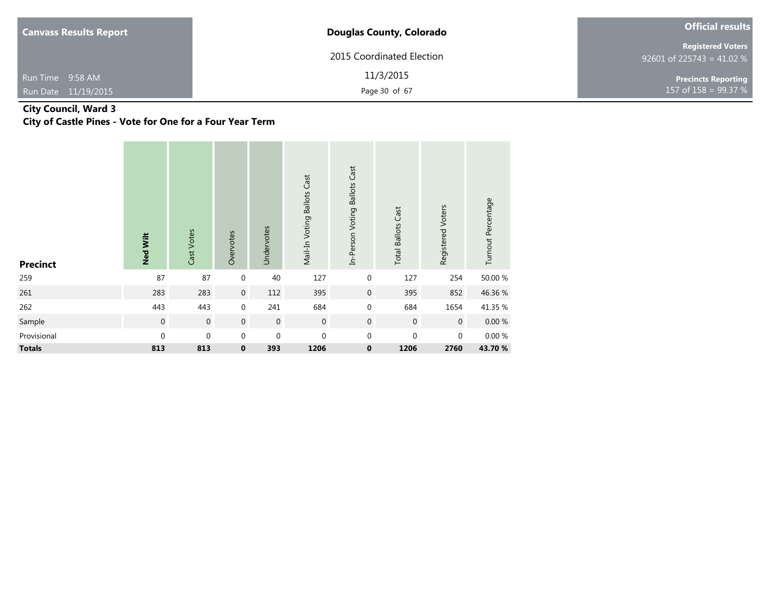| <b>Canvass Results Report</b>           | <b>Douglas County, Colorado</b> | <b>Official results</b>                               |  |  |
|-----------------------------------------|---------------------------------|-------------------------------------------------------|--|--|
|                                         | 2015 Coordinated Election       | <b>Registered Voters</b><br>92601 of 225743 = 41.02 % |  |  |
| Run Time 9:58 AM<br>Run Date 11/19/2015 | 11/3/2015<br>Page 30 of 67      | <b>Precincts Reporting</b><br>157 of $158 = 99.37 %$  |  |  |

### **City Council, Ward 3**

**City of Castle Pines - Vote for One for a Four Year Term**

| <b>Precinct</b> | <b>Ned Wilt</b> | Cast Votes     | Overvotes        | Undervotes  | Mail-In Voting Ballots Cast | In-Person Voting Ballots Cast | <b>Total Ballots Cast</b> | Registered Voters | Turnout Percentage |
|-----------------|-----------------|----------------|------------------|-------------|-----------------------------|-------------------------------|---------------------------|-------------------|--------------------|
| 259             | 87              | 87             | $\boldsymbol{0}$ | 40          | 127                         | 0                             | 127                       | 254               | 50.00 %            |
| 261             | 283             | 283            | $\mathbf 0$      | 112         | 395                         | $\mathbf 0$                   | 395                       | 852               | 46.36%             |
| 262             | 443             | 443            | $\boldsymbol{0}$ | 241         | 684                         | 0                             | 684                       | 1654              | 41.35 %            |
| Sample          | $\mathbf 0$     | $\overline{0}$ | $\boldsymbol{0}$ | $\mathbf 0$ | $\boldsymbol{0}$            | $\boldsymbol{0}$              | $\boldsymbol{0}$          | $\overline{0}$    | $0.00\ \%$         |
| Provisional     | $\mathbf{0}$    | $\mathbf 0$    | $\boldsymbol{0}$ | $\mathbf 0$ | $\boldsymbol{0}$            | $\mathbf 0$                   | $\mathbf 0$               | $\mathbf 0$       | 0.00%              |
| <b>Totals</b>   | 813             | 813            | $\pmb{0}$        | 393         | 1206                        | $\pmb{0}$                     | 1206                      | 2760              | 43.70%             |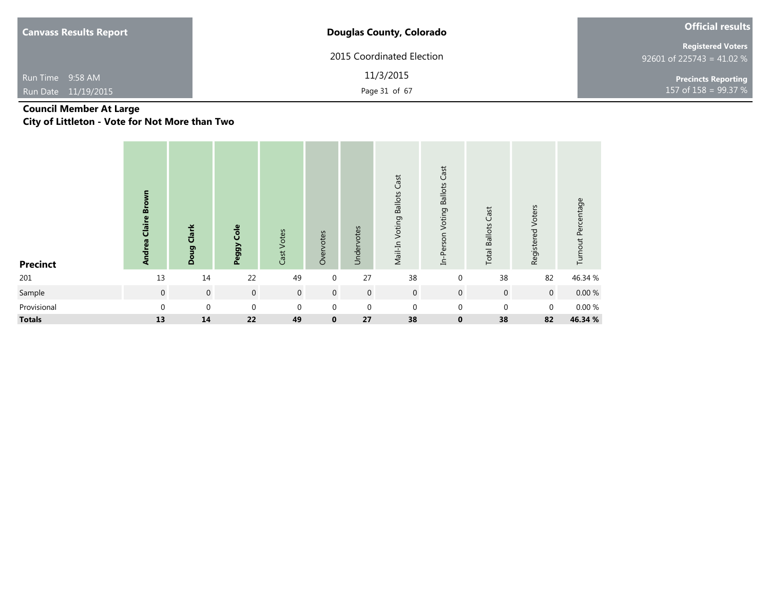| <b>Canvass Results Report</b> | <b>Douglas County, Colorado</b> | <b>Official results</b>                               |
|-------------------------------|---------------------------------|-------------------------------------------------------|
|                               | 2015 Coordinated Election       | <b>Registered Voters</b><br>92601 of 225743 = 41.02 % |
| Run Time 9:58 AM              | 11/3/2015                       | <b>Precincts Reporting</b>                            |
| Run Date 11/19/2015           | Page 31 of 67                   | 157 of $158 = 99.37 %$                                |

### **Council Member At Large**

**City of Littleton - Vote for Not More than Two**

| Precinct      | <b>Claire Brown</b><br><b>Andrea</b> | Doug Clark       | Cole<br>Peggy  | Cast Votes     | Overvotes      | Undervotes   | Mail-In Voting Ballots Cast | Voting Ballots Cast<br>In-Person | Cast<br><b>Total Ballots</b> | Registered Voters | Turnout Percentage |
|---------------|--------------------------------------|------------------|----------------|----------------|----------------|--------------|-----------------------------|----------------------------------|------------------------------|-------------------|--------------------|
| 201           | 13                                   | 14               | 22             | 49             | $\overline{0}$ | 27           | 38                          | $\mathbf 0$                      | 38                           | 82                | 46.34 %            |
| Sample        | $\overline{0}$                       | $\boldsymbol{0}$ | $\overline{0}$ | $\overline{0}$ | $\overline{0}$ | $\mathbf 0$  | $\mathbf 0$                 | $\mathbf 0$                      | $\overline{0}$               | $\mathbf 0$       | $0.00 \%$          |
| Provisional   | $\mathbf 0$                          | $\mathbf{0}$     | $\mathbf{0}$   | $\mathbf 0$    | $\mathbf 0$    | $\mathbf{0}$ | $\mathbf{0}$                | $\mathbf 0$                      | $\mathbf{0}$                 | $\mathbf 0$       | $0.00~\%$          |
| <b>Totals</b> | 13                                   | 14               | 22             | 49             | $\mathbf 0$    | 27           | 38                          | $\mathbf 0$                      | 38                           | 82                | 46.34 %            |
|               |                                      |                  |                |                |                |              |                             |                                  |                              |                   |                    |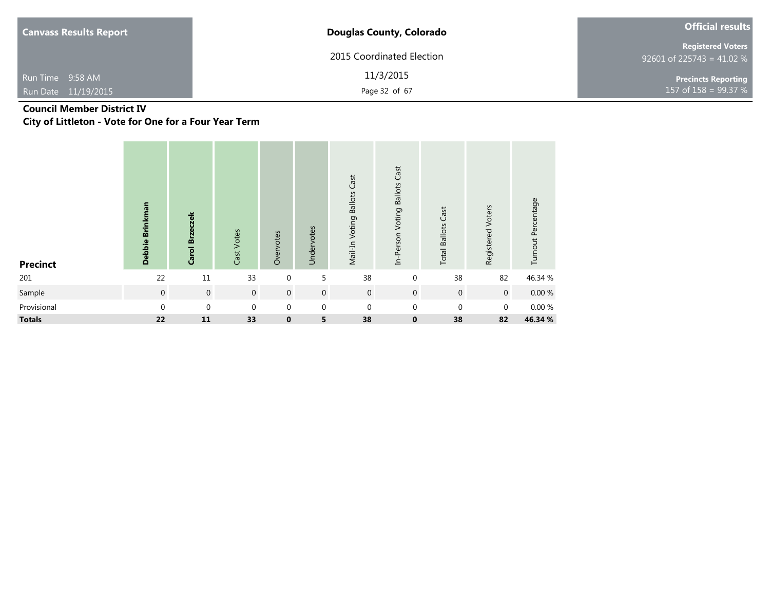| <b>Canvass Results Report</b> | <b>Douglas County, Colorado</b> | <b>Official results</b>                               |  |  |  |  |
|-------------------------------|---------------------------------|-------------------------------------------------------|--|--|--|--|
|                               | 2015 Coordinated Election       | <b>Registered Voters</b><br>92601 of 225743 = 41.02 % |  |  |  |  |
| Run Time 9:58 AM              | 11/3/2015                       | <b>Precincts Reporting</b>                            |  |  |  |  |
| Run Date 11/19/2015           | Page 32 of 67                   | 157 of $158 = 99.37 %$                                |  |  |  |  |

# **Council Member District IV**

**City of Littleton - Vote for One for a Four Year Term**

| <b>Precinct</b> | Debbie Brinkman | Carol Brzeczek   | Cast Votes     | Overvotes        | Undervotes  | Mail-In Voting Ballots Cast | In-Person Voting Ballots Cast | <b>Total Ballots Cast</b> | Registered Voters | Turnout Percentage |
|-----------------|-----------------|------------------|----------------|------------------|-------------|-----------------------------|-------------------------------|---------------------------|-------------------|--------------------|
| 201             | 22              | $11\,$           | 33             | $\mathbf 0$      | 5           | 38                          | $\mathbf 0$                   | 38                        | 82                | 46.34 %            |
| Sample          | $\mathbf 0$     | $\,0\,$          | $\overline{0}$ | $\boldsymbol{0}$ | $\mathbf 0$ | $\boldsymbol{0}$            | $\overline{0}$                | $\mathbf 0$               | $\mathbf 0$       | $0.00\ \%$         |
| Provisional     | $\mathbf{0}$    | $\boldsymbol{0}$ | $\mathbf{0}$   | $\boldsymbol{0}$ | $\mathbf 0$ | $\mathbf 0$                 | $\mathbf 0$                   | $\mathbf{0}$              | $\mathbf 0$       | $0.00~\%$          |
| <b>Totals</b>   | 22              | 11               | 33             | $\mathbf 0$      | 5           | 38                          | $\mathbf{0}$                  | 38                        | 82                | 46.34 %            |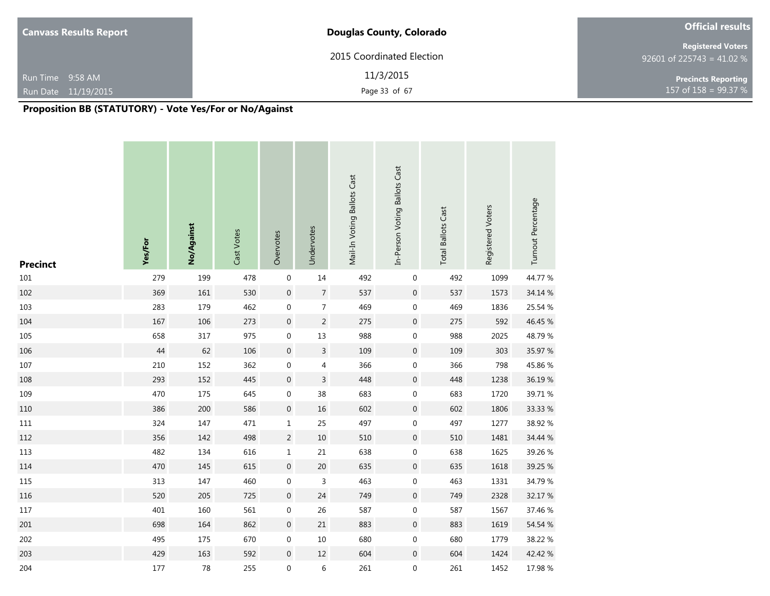| <b>Canvass Results Report</b> | <b>Douglas County, Colorado</b> | <b>Official results</b>                               |  |  |  |  |
|-------------------------------|---------------------------------|-------------------------------------------------------|--|--|--|--|
|                               | 2015 Coordinated Election       | <b>Registered Voters</b><br>92601 of 225743 = 41.02 % |  |  |  |  |
| Run Time 9:58 AM              | 11/3/2015                       | <b>Precincts Reporting</b><br>$157$ of 158 = 99.37 %  |  |  |  |  |
| Run Date 11/19/2015           | Page 33 of 67                   |                                                       |  |  |  |  |

| <b>Precinct</b> | Yes/For | No/Against | Cast Votes | Overvotes        | Undervotes                | Mail-In Voting Ballots Cast | In-Person Voting Ballots Cast | <b>Total Ballots Cast</b> | Registered Voters | Turnout Percentage |
|-----------------|---------|------------|------------|------------------|---------------------------|-----------------------------|-------------------------------|---------------------------|-------------------|--------------------|
| 101             | 279     | 199        | 478        | $\boldsymbol{0}$ | 14                        | 492                         | $\boldsymbol{0}$              | 492                       | 1099              | 44.77 %            |
| 102             | 369     | 161        | 530        | $\boldsymbol{0}$ | $\sqrt{ }$                | 537                         | $\boldsymbol{0}$              | 537                       | 1573              | 34.14 %            |
| 103             | 283     | 179        | 462        | $\boldsymbol{0}$ | $\overline{\mathcal{I}}$  | 469                         | $\boldsymbol{0}$              | 469                       | 1836              | 25.54 %            |
| 104             | 167     | 106        | 273        | $\pmb{0}$        | $\sqrt{2}$                | 275                         | $\boldsymbol{0}$              | 275                       | 592               | 46.45 %            |
| 105             | 658     | 317        | 975        | $\boldsymbol{0}$ | 13                        | 988                         | $\boldsymbol{0}$              | 988                       | 2025              | 48.79%             |
| 106             | $44$    | 62         | 106        | $\boldsymbol{0}$ | $\overline{3}$            | 109                         | $\boldsymbol{0}$              | 109                       | 303               | 35.97 %            |
| 107             | 210     | 152        | 362        | $\boldsymbol{0}$ | $\sqrt{4}$                | 366                         | $\boldsymbol{0}$              | 366                       | 798               | 45.86%             |
| 108             | 293     | 152        | 445        | $\boldsymbol{0}$ | $\mathsf 3$               | 448                         | $\boldsymbol{0}$              | 448                       | 1238              | 36.19%             |
| 109             | 470     | 175        | 645        | $\boldsymbol{0}$ | 38                        | 683                         | $\boldsymbol{0}$              | 683                       | 1720              | 39.71 %            |
| $110\,$         | 386     | 200        | 586        | $\boldsymbol{0}$ | 16                        | 602                         | $\boldsymbol{0}$              | 602                       | 1806              | 33.33 %            |
| $111\,$         | 324     | 147        | 471        | $\mathbf 1$      | 25                        | 497                         | $\boldsymbol{0}$              | 497                       | 1277              | 38.92 %            |
| 112             | 356     | 142        | 498        | $\overline{c}$   | $10\,$                    | 510                         | $\boldsymbol{0}$              | 510                       | 1481              | 34.44 %            |
| 113             | 482     | 134        | 616        | $\mathbf 1$      | 21                        | 638                         | 0                             | 638                       | 1625              | 39.26 %            |
| 114             | 470     | 145        | 615        | $\boldsymbol{0}$ | $20\,$                    | 635                         | $\boldsymbol{0}$              | 635                       | 1618              | 39.25 %            |
| 115             | 313     | 147        | 460        | $\boldsymbol{0}$ | $\ensuremath{\mathsf{3}}$ | 463                         | $\boldsymbol{0}$              | 463                       | 1331              | 34.79 %            |
| 116             | 520     | 205        | 725        | $\boldsymbol{0}$ | 24                        | 749                         | $\boldsymbol{0}$              | 749                       | 2328              | 32.17 %            |
| 117             | 401     | 160        | 561        | $\boldsymbol{0}$ | 26                        | 587                         | $\boldsymbol{0}$              | 587                       | 1567              | 37.46 %            |
| 201             | 698     | 164        | 862        | $\boldsymbol{0}$ | 21                        | 883                         | $\boldsymbol{0}$              | 883                       | 1619              | 54.54 %            |
| 202             | 495     | 175        | 670        | $\boldsymbol{0}$ | $10\,$                    | 680                         | $\boldsymbol{0}$              | 680                       | 1779              | 38.22 %            |
| 203             | 429     | 163        | 592        | $\boldsymbol{0}$ | $12$                      | 604                         | $\boldsymbol{0}$              | 604                       | 1424              | 42.42 %            |
| 204             | $177\,$ | 78         | 255        | $\mathbf 0$      | $\,$ 6 $\,$               | 261                         | $\boldsymbol{0}$              | 261                       | 1452              | 17.98 %            |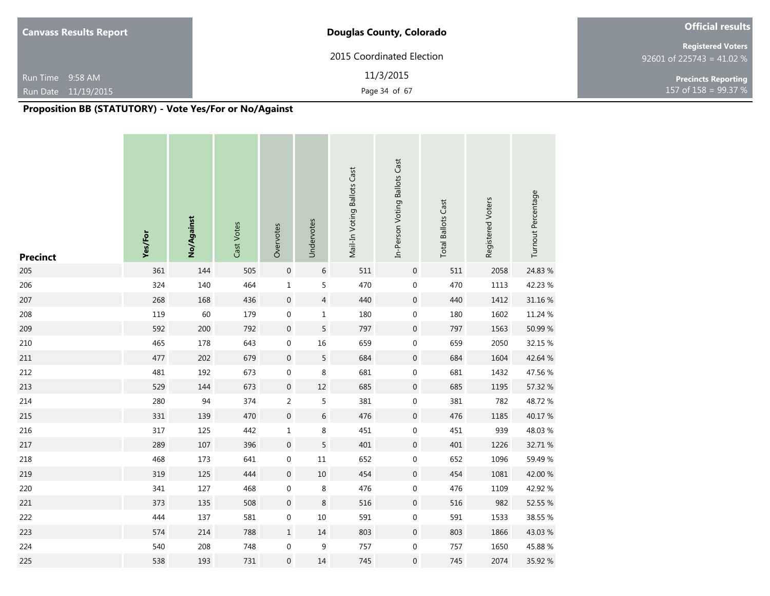| <b>Canvass Results Report</b> | <b>Douglas County, Colorado</b> | <b>Official results</b>                               |
|-------------------------------|---------------------------------|-------------------------------------------------------|
|                               | 2015 Coordinated Election       | <b>Registered Voters</b><br>92601 of 225743 = 41.02 % |
| Run Time 9:58 AM              | 11/3/2015                       | <b>Precincts Reporting</b>                            |
| Run Date 11/19/2015           | Page 34 of 67                   | 157 of $158 = 99.37 %$                                |

| <b>Precinct</b> | Yes/For | No/Against | Cast Votes | Overvotes        | Undervotes       | Mail-In Voting Ballots Cast | In-Person Voting Ballots Cast | <b>Total Ballots Cast</b> | Registered Voters | Turnout Percentage |
|-----------------|---------|------------|------------|------------------|------------------|-----------------------------|-------------------------------|---------------------------|-------------------|--------------------|
| 205             | 361     | 144        | 505        | $\boldsymbol{0}$ | $\,6\,$          | 511                         | $\boldsymbol{0}$              | 511                       | 2058              | 24.83 %            |
| 206             | 324     | 140        | 464        | $\mathbf 1$      | $\sf 5$          | 470                         | $\boldsymbol{0}$              | 470                       | 1113              | 42.23 %            |
| 207             | 268     | 168        | 436        | $\boldsymbol{0}$ | $\sqrt{4}$       | 440                         | $\boldsymbol{0}$              | 440                       | 1412              | 31.16 %            |
| 208             | 119     | 60         | 179        | $\boldsymbol{0}$ | $\mathbf 1$      | 180                         | $\boldsymbol{0}$              | 180                       | 1602              | 11.24 %            |
| 209             | 592     | 200        | 792        | $\boldsymbol{0}$ | $\sqrt{5}$       | 797                         | $\boldsymbol{0}$              | 797                       | 1563              | 50.99 %            |
| 210             | 465     | 178        | 643        | $\boldsymbol{0}$ | 16               | 659                         | $\boldsymbol{0}$              | 659                       | 2050              | 32.15 %            |
| 211             | 477     | 202        | 679        | $\boldsymbol{0}$ | $\sqrt{5}$       | 684                         | $\boldsymbol{0}$              | 684                       | 1604              | 42.64 %            |
| 212             | 481     | 192        | 673        | $\boldsymbol{0}$ | $\,8\,$          | 681                         | $\boldsymbol{0}$              | 681                       | 1432              | 47.56 %            |
| 213             | 529     | 144        | 673        | $\boldsymbol{0}$ | $12\,$           | 685                         | $\boldsymbol{0}$              | 685                       | 1195              | 57.32 %            |
| 214             | 280     | 94         | 374        | $\mathbf 2$      | $\sqrt{5}$       | 381                         | $\boldsymbol{0}$              | 381                       | 782               | 48.72%             |
| 215             | 331     | 139        | 470        | $\boldsymbol{0}$ | $\,$ 6 $\,$      | 476                         | $\boldsymbol{0}$              | 476                       | 1185              | 40.17%             |
| 216             | 317     | 125        | 442        | $\mathbf 1$      | $\,8\,$          | 451                         | $\boldsymbol{0}$              | 451                       | 939               | 48.03%             |
| 217             | 289     | 107        | 396        | $\boldsymbol{0}$ | $\sqrt{5}$       | 401                         | $\boldsymbol{0}$              | 401                       | 1226              | 32.71 %            |
| 218             | 468     | 173        | 641        | $\boldsymbol{0}$ | $11\,$           | 652                         | 0                             | 652                       | 1096              | 59.49 %            |
| 219             | 319     | 125        | 444        | $\boldsymbol{0}$ | 10               | 454                         | $\boldsymbol{0}$              | 454                       | 1081              | 42.00 %            |
| 220             | 341     | 127        | 468        | $\boldsymbol{0}$ | $\,8\,$          | 476                         | 0                             | 476                       | 1109              | 42.92 %            |
| 221             | 373     | 135        | 508        | $\boldsymbol{0}$ | $\,8\,$          | 516                         | $\mathbf 0$                   | 516                       | 982               | 52.55 %            |
| 222             | 444     | 137        | 581        | $\boldsymbol{0}$ | 10               | 591                         | $\boldsymbol{0}$              | 591                       | 1533              | 38.55 %            |
| 223             | 574     | 214        | 788        | $\mathbf 1$      | $14\,$           | 803                         | $\boldsymbol{0}$              | 803                       | 1866              | 43.03%             |
| 224             | 540     | 208        | 748        | $\boldsymbol{0}$ | $\boldsymbol{9}$ | 757                         | $\boldsymbol{0}$              | 757                       | 1650              | 45.88%             |
| 225             | 538     | 193        | 731        | $\boldsymbol{0}$ | 14               | 745                         | 0                             | 745                       | 2074              | 35.92 %            |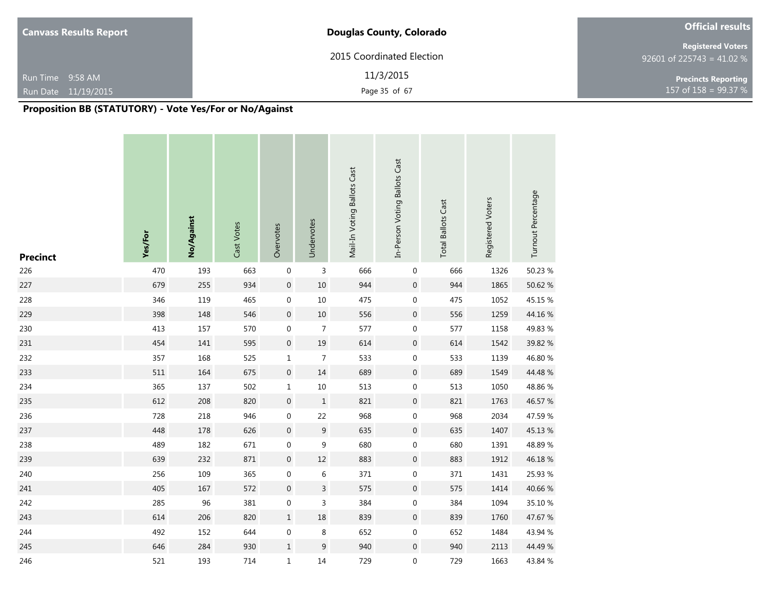| <b>Canvass Results Report</b> | <b>Douglas County, Colorado</b> | <b>Official results</b>                               |
|-------------------------------|---------------------------------|-------------------------------------------------------|
|                               | 2015 Coordinated Election       | <b>Registered Voters</b><br>92601 of 225743 = 41.02 % |
| Run Time 9:58 AM              | 11/3/2015                       | <b>Precincts Reporting</b>                            |
| Run Date 11/19/2015           | Page 35 of 67                   | 157 of $158 = 99.37 %$                                |

| <b>Precinct</b> | Yes/For | No/Against | Cast Votes | Overvotes        | Undervotes       | Mail-In Voting Ballots Cast | In-Person Voting Ballots Cast | <b>Total Ballots Cast</b> | Registered Voters | Turnout Percentage |
|-----------------|---------|------------|------------|------------------|------------------|-----------------------------|-------------------------------|---------------------------|-------------------|--------------------|
| 226             | 470     | 193        | 663        | $\boldsymbol{0}$ | $\mathsf 3$      | 666                         | 0                             | 666                       | 1326              | 50.23 %            |
| 227             | 679     | 255        | 934        | $\pmb{0}$        | $10\,$           | 944                         | $\boldsymbol{0}$              | 944                       | 1865              | 50.62 %            |
| 228             | 346     | 119        | 465        | $\boldsymbol{0}$ | $10\,$           | 475                         | 0                             | 475                       | 1052              | 45.15 %            |
| 229             | 398     | 148        | 546        | $\boldsymbol{0}$ | $10\,$           | 556                         | $\boldsymbol{0}$              | 556                       | 1259              | 44.16%             |
| 230             | 413     | 157        | 570        | $\boldsymbol{0}$ | $\overline{7}$   | 577                         | $\boldsymbol{0}$              | 577                       | 1158              | 49.83 %            |
| 231             | 454     | 141        | 595        | $\boldsymbol{0}$ | 19               | 614                         | $\boldsymbol{0}$              | 614                       | 1542              | 39.82 %            |
| 232             | 357     | 168        | 525        | $\mathbf 1$      | $\overline{7}$   | 533                         | 0                             | 533                       | 1139              | 46.80 %            |
| 233             | 511     | 164        | 675        | $\boldsymbol{0}$ | 14               | 689                         | $\boldsymbol{0}$              | 689                       | 1549              | 44.48 %            |
| 234             | 365     | 137        | 502        | $\mathbf 1$      | $10\,$           | 513                         | $\boldsymbol{0}$              | 513                       | 1050              | 48.86%             |
| 235             | 612     | 208        | 820        | $\boldsymbol{0}$ | $\mathbf{1}$     | 821                         | $\boldsymbol{0}$              | 821                       | 1763              | 46.57 %            |
| 236             | 728     | 218        | 946        | $\boldsymbol{0}$ | 22               | 968                         | 0                             | 968                       | 2034              | 47.59 %            |
| 237             | 448     | 178        | 626        | $\boldsymbol{0}$ | $\boldsymbol{9}$ | 635                         | $\pmb{0}$                     | 635                       | 1407              | 45.13 %            |
| 238             | 489     | 182        | 671        | $\boldsymbol{0}$ | $\boldsymbol{9}$ | 680                         | 0                             | 680                       | 1391              | 48.89%             |
| 239             | 639     | 232        | 871        | $\boldsymbol{0}$ | $12$             | 883                         | $\boldsymbol{0}$              | 883                       | 1912              | 46.18%             |
| 240             | 256     | 109        | 365        | $\boldsymbol{0}$ | $\,$ 6 $\,$      | 371                         | $\boldsymbol{0}$              | 371                       | 1431              | 25.93 %            |
| 241             | 405     | 167        | 572        | $\boldsymbol{0}$ | $\mathsf 3$      | 575                         | $\boldsymbol{0}$              | 575                       | 1414              | 40.66 %            |
| 242             | 285     | 96         | 381        | $\boldsymbol{0}$ | 3                | 384                         | 0                             | 384                       | 1094              | 35.10 %            |
| 243             | 614     | 206        | 820        | $\mathbf 1$      | 18               | 839                         | $\boldsymbol{0}$              | 839                       | 1760              | 47.67 %            |
| 244             | 492     | 152        | 644        | $\boldsymbol{0}$ | 8                | 652                         | $\boldsymbol{0}$              | 652                       | 1484              | 43.94 %            |
| 245             | 646     | 284        | 930        | $\mathbf 1$      | $\boldsymbol{9}$ | 940                         | $\boldsymbol{0}$              | 940                       | 2113              | 44.49 %            |
| 246             | 521     | 193        | 714        | $\mathbf 1$      | 14               | 729                         | 0                             | 729                       | 1663              | 43.84 %            |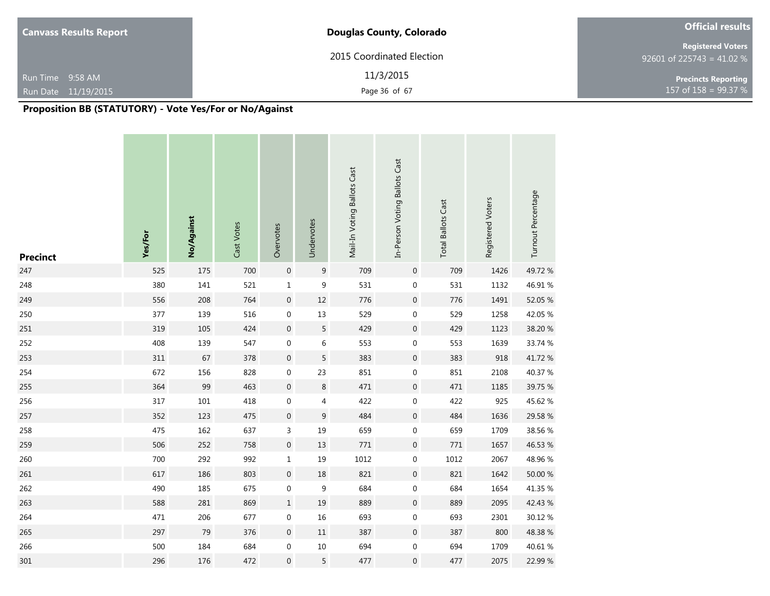| <b>Canvass Results Report</b> | <b>Douglas County, Colorado</b> | <b>Official results</b>                               |
|-------------------------------|---------------------------------|-------------------------------------------------------|
|                               | 2015 Coordinated Election       | <b>Registered Voters</b><br>92601 of 225743 = 41.02 % |
| Run Time 9:58 AM              | 11/3/2015                       | <b>Precincts Reporting</b>                            |
| Run Date 11/19/2015           | Page 36 of 67                   | 157 of $158 = 99.37 %$                                |

| <b>Precinct</b> | Yes/For | No/Against | Cast Votes | Overvotes        | Undervotes     | Mail-In Voting Ballots Cast | In-Person Voting Ballots Cast | <b>Total Ballots Cast</b> | Registered Voters | Turnout Percentage |
|-----------------|---------|------------|------------|------------------|----------------|-----------------------------|-------------------------------|---------------------------|-------------------|--------------------|
| 247             | 525     | 175        | 700        | $\boldsymbol{0}$ | $9\,$          | 709                         | 0                             | 709                       | 1426              | 49.72%             |
| 248             | 380     | 141        | 521        | $\mathbf 1$      | 9              | 531                         | 0                             | 531                       | 1132              | 46.91%             |
| 249             | 556     | 208        | 764        | $\boldsymbol{0}$ | 12             | 776                         | 0                             | 776                       | 1491              | 52.05 %            |
| 250             | 377     | 139        | 516        | $\boldsymbol{0}$ | 13             | 529                         | 0                             | 529                       | 1258              | 42.05 %            |
| 251             | 319     | 105        | 424        | $\boldsymbol{0}$ | $\sqrt{5}$     | 429                         | $\boldsymbol{0}$              | 429                       | 1123              | 38.20 %            |
| 252             | 408     | 139        | 547        | $\boldsymbol{0}$ | $\,$ 6 $\,$    | 553                         | 0                             | 553                       | 1639              | 33.74 %            |
| 253             | 311     | 67         | 378        | $\boldsymbol{0}$ | 5              | 383                         | $\boldsymbol{0}$              | 383                       | 918               | 41.72 %            |
| 254             | 672     | 156        | 828        | $\boldsymbol{0}$ | 23             | 851                         | 0                             | 851                       | 2108              | 40.37 %            |
| 255             | 364     | 99         | 463        | $\boldsymbol{0}$ | $\,8\,$        | 471                         | $\boldsymbol{0}$              | 471                       | 1185              | 39.75 %            |
| 256             | 317     | $101\,$    | 418        | $\boldsymbol{0}$ | $\overline{4}$ | 422                         | 0                             | 422                       | 925               | 45.62 %            |
| 257             | 352     | 123        | 475        | $\boldsymbol{0}$ | $\mathsf 9$    | 484                         | 0                             | 484                       | 1636              | 29.58 %            |
| 258             | 475     | 162        | 637        | $\mathsf 3$      | 19             | 659                         | 0                             | 659                       | 1709              | 38.56 %            |
| 259             | 506     | 252        | 758        | $\boldsymbol{0}$ | 13             | $771\,$                     | 0                             | $771\,$                   | 1657              | 46.53 %            |
| 260             | 700     | 292        | 992        | $\mathbf 1$      | 19             | 1012                        | 0                             | 1012                      | 2067              | 48.96 %            |
| 261             | 617     | 186        | 803        | $\boldsymbol{0}$ | 18             | 821                         | 0                             | 821                       | 1642              | 50.00 %            |
| 262             | 490     | 185        | 675        | $\boldsymbol{0}$ | 9              | 684                         | 0                             | 684                       | 1654              | 41.35 %            |
| 263             | 588     | 281        | 869        | $1\,$            | 19             | 889                         | $\mathbf 0$                   | 889                       | 2095              | 42.43 %            |
| 264             | 471     | 206        | 677        | $\boldsymbol{0}$ | 16             | 693                         | 0                             | 693                       | 2301              | 30.12 %            |
| 265             | 297     | 79         | 376        | $\boldsymbol{0}$ | $11\,$         | 387                         | 0                             | 387                       | 800               | 48.38%             |
| 266             | 500     | 184        | 684        | $\boldsymbol{0}$ | 10             | 694                         | 0                             | 694                       | 1709              | 40.61 %            |
| 301             | 296     | 176        | 472        | $\boldsymbol{0}$ | 5              | 477                         | 0                             | 477                       | 2075              | 22.99 %            |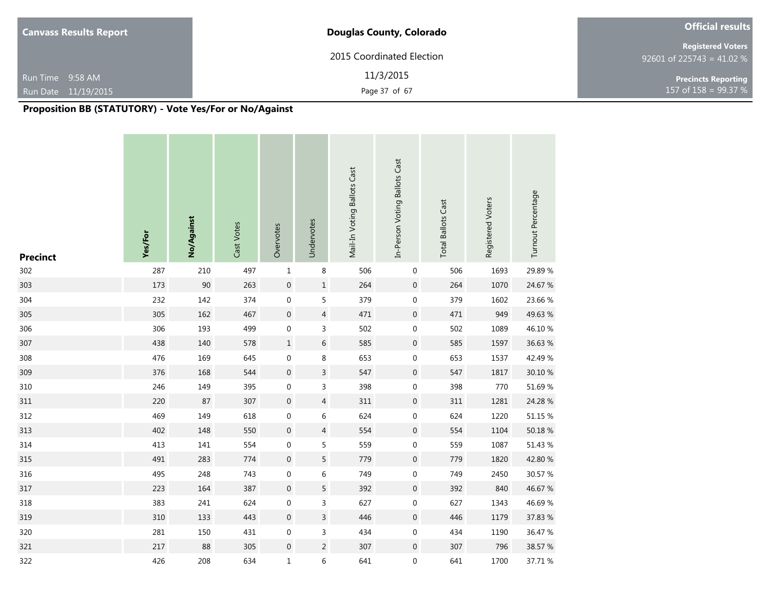| <b>Canvass Results Report</b> | <b>Douglas County, Colorado</b> | <b>Official results</b>                               |
|-------------------------------|---------------------------------|-------------------------------------------------------|
|                               | 2015 Coordinated Election       | <b>Registered Voters</b><br>92601 of 225743 = 41.02 % |
| Run Time 9:58 AM              | 11/3/2015                       | <b>Precincts Reporting</b>                            |
| Run Date 11/19/2015           | Page 37 of 67                   | 157 of $158 = 99.37 %$                                |

| <b>Precinct</b> | Yes/For | No/Against | Cast Votes | Overvotes        | Undervotes       | Mail-In Voting Ballots Cast | In-Person Voting Ballots Cast | <b>Total Ballots Cast</b> | Registered Voters | Turnout Percentage |
|-----------------|---------|------------|------------|------------------|------------------|-----------------------------|-------------------------------|---------------------------|-------------------|--------------------|
| 302             | 287     | 210        | 497        | $\mathbf{1}$     | 8                | 506                         | $\mathbf 0$                   | 506                       | 1693              | 29.89%             |
| 303             | 173     | 90         | 263        | $\boldsymbol{0}$ | $\mathbf 1$      | 264                         | $\boldsymbol{0}$              | 264                       | 1070              | 24.67 %            |
| 304             | 232     | 142        | 374        | $\boldsymbol{0}$ | 5                | 379                         | $\mathbf 0$                   | 379                       | 1602              | 23.66 %            |
| 305             | 305     | 162        | 467        | $\boldsymbol{0}$ | $\sqrt{4}$       | 471                         | $\boldsymbol{0}$              | 471                       | 949               | 49.63 %            |
| 306             | 306     | 193        | 499        | $\boldsymbol{0}$ | $\mathsf 3$      | 502                         | $\boldsymbol{0}$              | 502                       | 1089              | 46.10%             |
| 307             | 438     | 140        | 578        | $\mathbf 1$      | $\,$ 6 $\,$      | 585                         | $\boldsymbol{0}$              | 585                       | 1597              | 36.63 %            |
| 308             | 476     | 169        | 645        | $\boldsymbol{0}$ | 8                | 653                         | $\boldsymbol{0}$              | 653                       | 1537              | 42.49 %            |
| 309             | 376     | 168        | 544        | $\boldsymbol{0}$ | $\mathsf 3$      | 547                         | $\boldsymbol{0}$              | 547                       | 1817              | 30.10 %            |
| 310             | 246     | 149        | 395        | $\boldsymbol{0}$ | $\mathsf 3$      | 398                         | $\boldsymbol{0}$              | 398                       | 770               | 51.69%             |
| 311             | 220     | 87         | 307        | $\boldsymbol{0}$ | $\overline{4}$   | 311                         | $\boldsymbol{0}$              | 311                       | 1281              | 24.28 %            |
| 312             | 469     | 149        | 618        | $\boldsymbol{0}$ | 6                | 624                         | $\boldsymbol{0}$              | 624                       | 1220              | 51.15 %            |
| 313             | 402     | 148        | 550        | $\pmb{0}$        | $\overline{4}$   | 554                         | $\mathbf 0$                   | 554                       | 1104              | 50.18 %            |
| 314             | 413     | 141        | 554        | $\boldsymbol{0}$ | 5                | 559                         | $\boldsymbol{0}$              | 559                       | 1087              | 51.43 %            |
| 315             | 491     | 283        | 774        | $\boldsymbol{0}$ | 5                | 779                         | $\boldsymbol{0}$              | 779                       | 1820              | 42.80 %            |
| 316             | 495     | 248        | 743        | $\boldsymbol{0}$ | $\boldsymbol{6}$ | 749                         | $\boldsymbol{0}$              | 749                       | 2450              | 30.57 %            |
| 317             | 223     | 164        | 387        | $\boldsymbol{0}$ | $\sqrt{5}$       | 392                         | $\boldsymbol{0}$              | 392                       | 840               | 46.67 %            |
| 318             | 383     | 241        | 624        | $\boldsymbol{0}$ | $\mathsf 3$      | 627                         | $\pmb{0}$                     | 627                       | 1343              | 46.69%             |
| 319             | 310     | 133        | 443        | $\boldsymbol{0}$ | $\mathsf{3}$     | 446                         | $\boldsymbol{0}$              | 446                       | 1179              | 37.83 %            |
| 320             | 281     | 150        | 431        | $\boldsymbol{0}$ | 3                | 434                         | $\pmb{0}$                     | 434                       | 1190              | 36.47 %            |
| 321             | 217     | 88         | 305        | $\boldsymbol{0}$ | $\sqrt{2}$       | 307                         | $\boldsymbol{0}$              | 307                       | 796               | 38.57 %            |
| 322             | 426     | 208        | 634        | $\mathbf 1$      | $\boldsymbol{6}$ | 641                         | $\boldsymbol{0}$              | 641                       | 1700              | 37.71 %            |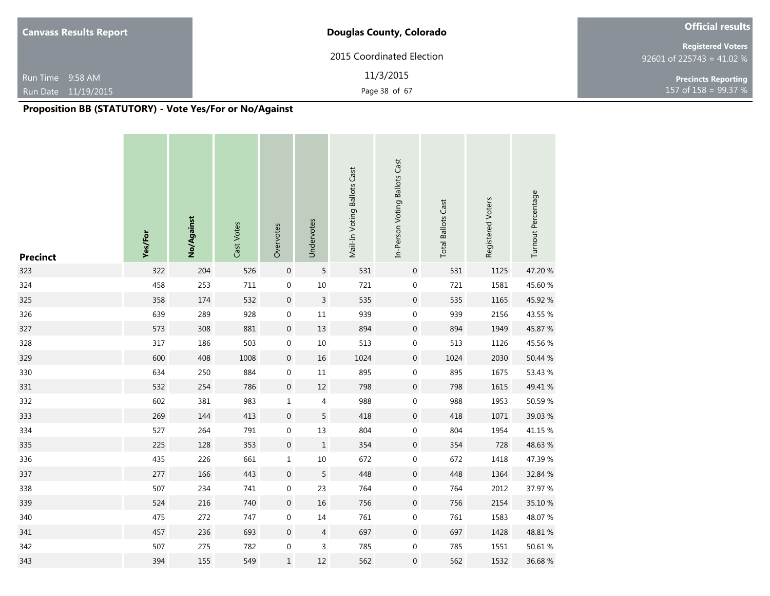| <b>Canvass Results Report</b>           | <b>Douglas County, Colorado</b> | <b>Official results</b>                               |
|-----------------------------------------|---------------------------------|-------------------------------------------------------|
|                                         | 2015 Coordinated Election       | <b>Registered Voters</b><br>92601 of 225743 = 41.02 % |
| Run Time 9:58 AM<br>Run Date 11/19/2015 | 11/3/2015<br>Page 38 of 67      | <b>Precincts Reporting</b><br>157 of $158 = 99.37 %$  |

| <b>Precinct</b> | Yes/For | No/Against | Cast Votes | Overvotes        | Undervotes     | Mail-In Voting Ballots Cast | In-Person Voting Ballots Cast | <b>Total Ballots Cast</b> | Registered Voters | Turnout Percentage |
|-----------------|---------|------------|------------|------------------|----------------|-----------------------------|-------------------------------|---------------------------|-------------------|--------------------|
| 323             | 322     | 204        | 526        | $\boldsymbol{0}$ | 5              | 531                         | $\boldsymbol{0}$              | 531                       | 1125              | 47.20 %            |
| 324             | 458     | 253        | $711\,$    | $\pmb{0}$        | $10\,$         | 721                         | $\boldsymbol{0}$              | 721                       | 1581              | 45.60 %            |
| 325             | 358     | 174        | 532        | $\boldsymbol{0}$ | $\mathsf{3}$   | 535                         | $\boldsymbol{0}$              | 535                       | 1165              | 45.92 %            |
| 326             | 639     | 289        | 928        | $\boldsymbol{0}$ | $11\,$         | 939                         | $\boldsymbol{0}$              | 939                       | 2156              | 43.55 %            |
| 327             | 573     | 308        | 881        | $\boldsymbol{0}$ | 13             | 894                         | $\boldsymbol{0}$              | 894                       | 1949              | 45.87 %            |
| 328             | 317     | 186        | 503        | $\boldsymbol{0}$ | $10\,$         | 513                         | $\boldsymbol{0}$              | 513                       | 1126              | 45.56 %            |
| 329             | 600     | 408        | 1008       | $\mathbf 0$      | $16\,$         | 1024                        | $\boldsymbol{0}$              | 1024                      | 2030              | 50.44 %            |
| 330             | 634     | 250        | 884        | $\boldsymbol{0}$ | $11\,$         | 895                         | $\boldsymbol{0}$              | 895                       | 1675              | 53.43 %            |
| 331             | 532     | 254        | 786        | $\boldsymbol{0}$ | $12\,$         | 798                         | $\boldsymbol{0}$              | 798                       | 1615              | 49.41 %            |
| 332             | 602     | 381        | 983        | $\mathbf 1$      | $\overline{4}$ | 988                         | $\boldsymbol{0}$              | 988                       | 1953              | 50.59 %            |
| 333             | 269     | 144        | 413        | $\boldsymbol{0}$ | $\sqrt{5}$     | 418                         | $\boldsymbol{0}$              | 418                       | 1071              | 39.03 %            |
| 334             | 527     | 264        | 791        | $\boldsymbol{0}$ | 13             | 804                         | $\boldsymbol{0}$              | 804                       | 1954              | 41.15 %            |
| 335             | 225     | 128        | 353        | $\boldsymbol{0}$ | $\mathbf{1}$   | 354                         | $\boldsymbol{0}$              | 354                       | 728               | 48.63%             |
| 336             | 435     | 226        | 661        | $\mathbf 1$      | $10\,$         | 672                         | 0                             | 672                       | 1418              | 47.39%             |
| 337             | 277     | 166        | 443        | $\boldsymbol{0}$ | 5              | 448                         | $\boldsymbol{0}$              | 448                       | 1364              | 32.84 %            |
| 338             | 507     | 234        | 741        | $\boldsymbol{0}$ | 23             | 764                         | 0                             | 764                       | 2012              | 37.97 %            |
| 339             | 524     | 216        | 740        | $\boldsymbol{0}$ | 16             | 756                         | $\mathbf 0$                   | 756                       | 2154              | 35.10 %            |
| 340             | 475     | 272        | 747        | $\boldsymbol{0}$ | 14             | 761                         | $\boldsymbol{0}$              | 761                       | 1583              | 48.07%             |
| 341             | 457     | 236        | 693        | $\boldsymbol{0}$ | $\overline{4}$ | 697                         | $\boldsymbol{0}$              | 697                       | 1428              | 48.81 %            |
| 342             | 507     | 275        | 782        | $\boldsymbol{0}$ | $\mathsf 3$    | 785                         | $\boldsymbol{0}$              | 785                       | 1551              | 50.61 %            |
| 343             | 394     | 155        | 549        | $\mathbf 1$      | 12             | 562                         | 0                             | 562                       | 1532              | 36.68%             |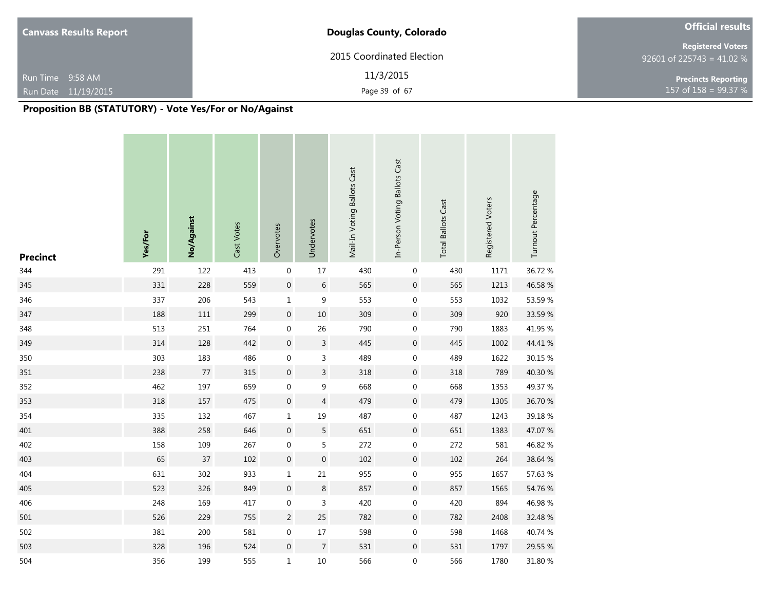| <b>Canvass Results Report</b> | Douglas County, Colorado  | <b>Official results</b>                               |
|-------------------------------|---------------------------|-------------------------------------------------------|
|                               | 2015 Coordinated Election | <b>Registered Voters</b><br>92601 of 225743 = 41.02 % |
| Run Time 9:58 AM              | 11/3/2015                 | <b>Precincts Reporting</b>                            |
| Run Date 11/19/2015           | Page 39 of 67             | 157 of $158 = 99.37 %$                                |

| <b>Precinct</b> | Yes/For | No/Against | Cast Votes | Overvotes        | Undervotes                | Mail-In Voting Ballots Cast | In-Person Voting Ballots Cast | <b>Total Ballots Cast</b> | Registered Voters | Turnout Percentage |
|-----------------|---------|------------|------------|------------------|---------------------------|-----------------------------|-------------------------------|---------------------------|-------------------|--------------------|
| 344             | 291     | 122        | 413        | $\boldsymbol{0}$ | 17                        | 430                         | $\mathbf 0$                   | 430                       | 1171              | 36.72 %            |
| 345             | 331     | 228        | 559        | $\pmb{0}$        | $\,$ 6 $\,$               | 565                         | $\boldsymbol{0}$              | 565                       | 1213              | 46.58 %            |
| 346             | 337     | 206        | 543        | $\mathbf 1$      | 9                         | 553                         | $\mathbf 0$                   | 553                       | 1032              | 53.59 %            |
| 347             | 188     | 111        | 299        | $\pmb{0}$        | $10$                      | 309                         | $\boldsymbol{0}$              | 309                       | 920               | 33.59 %            |
| 348             | 513     | 251        | 764        | $\boldsymbol{0}$ | 26                        | 790                         | $\boldsymbol{0}$              | 790                       | 1883              | 41.95 %            |
| 349             | 314     | 128        | 442        | $\boldsymbol{0}$ | $\mathsf{3}$              | 445                         | $\boldsymbol{0}$              | 445                       | 1002              | 44.41 %            |
| 350             | 303     | 183        | 486        | $\boldsymbol{0}$ | $\ensuremath{\mathsf{3}}$ | 489                         | $\boldsymbol{0}$              | 489                       | 1622              | 30.15 %            |
| 351             | 238     | $77\,$     | 315        | $\boldsymbol{0}$ | $\overline{3}$            | 318                         | $\boldsymbol{0}$              | 318                       | 789               | 40.30 %            |
| 352             | 462     | 197        | 659        | $\boldsymbol{0}$ | 9                         | 668                         | $\boldsymbol{0}$              | 668                       | 1353              | 49.37 %            |
| 353             | 318     | 157        | 475        | $\boldsymbol{0}$ | $\overline{4}$            | 479                         | $\boldsymbol{0}$              | 479                       | 1305              | 36.70 %            |
| 354             | 335     | 132        | 467        | $\mathbf 1$      | 19                        | 487                         | $\boldsymbol{0}$              | 487                       | 1243              | 39.18%             |
| 401             | 388     | 258        | 646        | $\boldsymbol{0}$ | $\mathsf S$               | 651                         | $\boldsymbol{0}$              | 651                       | 1383              | 47.07 %            |
| 402             | 158     | 109        | 267        | $\boldsymbol{0}$ | $\mathsf S$               | 272                         | $\boldsymbol{0}$              | 272                       | 581               | 46.82 %            |
| 403             | 65      | $37\,$     | 102        | $\boldsymbol{0}$ | $\boldsymbol{0}$          | 102                         | $\boldsymbol{0}$              | 102                       | 264               | 38.64 %            |
| 404             | 631     | 302        | 933        | $\mathbf 1$      | 21                        | 955                         | $\mathbf 0$                   | 955                       | 1657              | 57.63 %            |
| 405             | 523     | 326        | 849        | $\boldsymbol{0}$ | $\,8$                     | 857                         | $\boldsymbol{0}$              | 857                       | 1565              | 54.76 %            |
| 406             | 248     | 169        | 417        | $\boldsymbol{0}$ | 3                         | 420                         | $\pmb{0}$                     | 420                       | 894               | 46.98%             |
| 501             | 526     | 229        | 755        | $\sqrt{2}$       | 25                        | 782                         | $\boldsymbol{0}$              | 782                       | 2408              | 32.48 %            |
| 502             | 381     | 200        | 581        | $\boldsymbol{0}$ | 17                        | 598                         | 0                             | 598                       | 1468              | 40.74 %            |
| 503             | 328     | 196        | 524        | $\boldsymbol{0}$ | $\overline{7}$            | 531                         | $\boldsymbol{0}$              | 531                       | 1797              | 29.55 %            |
| 504             | 356     | 199        | 555        | $\mathbf 1$      | 10                        | 566                         | $\boldsymbol{0}$              | 566                       | 1780              | 31.80 %            |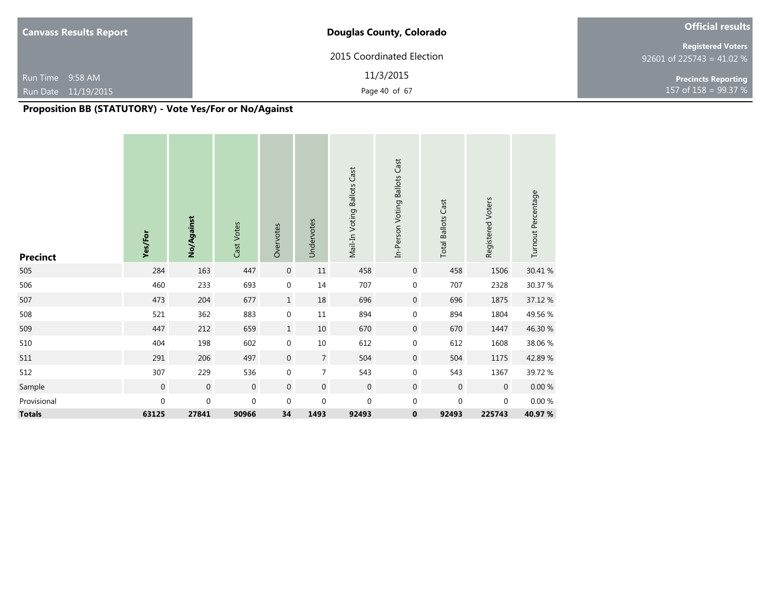| <b>Canvass Results Report</b>           | <b>Douglas County, Colorado</b> | <b>Official results</b>                               |
|-----------------------------------------|---------------------------------|-------------------------------------------------------|
|                                         | 2015 Coordinated Election       | <b>Registered Voters</b><br>92601 of 225743 = 41.02 % |
| Run Time 9:58 AM<br>Run Date 11/19/2015 | 11/3/2015<br>Page 40 of 67      | <b>Precincts Reporting</b><br>157 of 158 = 99.37 %    |

| <b>Precinct</b> | Yes/For     | No/Against  | Cast Votes  | Overvotes        | Undervotes       | Mail-In Voting Ballots Cast | In-Person Voting Ballots Cast | <b>Total Ballots Cast</b> | Registered Voters | Turnout Percentage |
|-----------------|-------------|-------------|-------------|------------------|------------------|-----------------------------|-------------------------------|---------------------------|-------------------|--------------------|
| 505             | 284         | 163         | 447         | $\boldsymbol{0}$ | $11\,$           | 458                         | $\mathbf 0$                   | 458                       | 1506              | 30.41 %            |
| 506             | 460         | 233         | 693         | $\mathbf 0$      | $14\,$           | 707                         | $\mathbf 0$                   | 707                       | 2328              | 30.37 %            |
| 507             | 473         | 204         | 677         | $\mathbf{1}$     | 18               | 696                         | $\mathbf 0$                   | 696                       | 1875              | 37.12 %            |
| 508             | 521         | 362         | 883         | $\boldsymbol{0}$ | $11\,$           | 894                         | $\mathbf 0$                   | 894                       | 1804              | 49.56 %            |
| 509             | 447         | 212         | 659         | $\mathbf{1}$     | 10               | 670                         | $\mathbf 0$                   | 670                       | 1447              | 46.30 %            |
| 510             | 404         | 198         | 602         | $\boldsymbol{0}$ | $10\,$           | 612                         | $\mathbf 0$                   | 612                       | 1608              | 38.06 %            |
| 511             | 291         | 206         | 497         | $\boldsymbol{0}$ | $\sqrt{ }$       | 504                         | $\boldsymbol{0}$              | 504                       | 1175              | 42.89%             |
| 512             | 307         | 229         | 536         | $\boldsymbol{0}$ | $\overline{7}$   | 543                         | 0                             | 543                       | 1367              | 39.72 %            |
| Sample          | $\mathbf 0$ | $\mathbf 0$ | $\mathbf 0$ | $\mathbf{0}$     | $\mathbf 0$      | $\mathbf 0$                 | $\mathbf 0$                   | $\mathbf 0$               | $\mathbf 0$       | $0.00\ \%$         |
| Provisional     | $\pmb{0}$   | $\pmb{0}$   | $\mathbf 0$ | $\mathbf 0$      | $\boldsymbol{0}$ | $\mathbf 0$                 | $\mathbf 0$                   | $\mathbf 0$               | $\pmb{0}$         | $0.00\ \%$         |
| <b>Totals</b>   | 63125       | 27841       | 90966       | 34               | 1493             | 92493                       | $\bf{0}$                      | 92493                     | 225743            | 40.97 %            |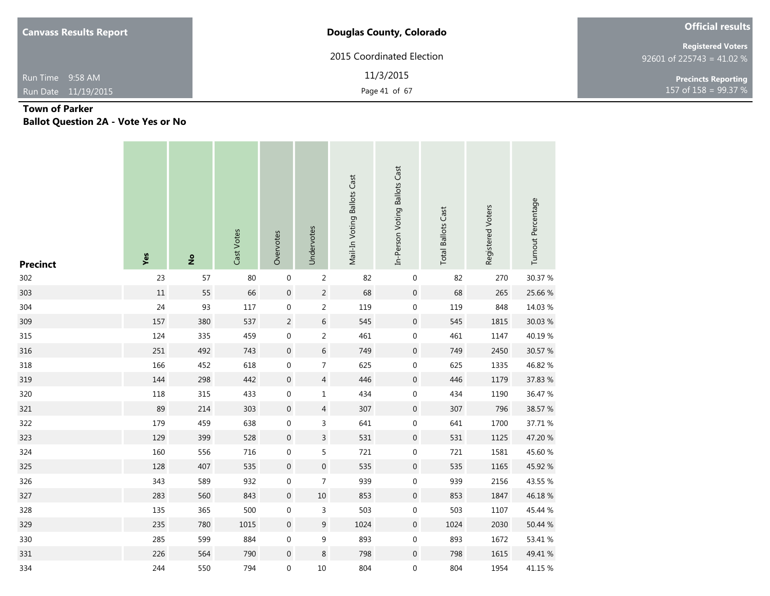| <b>Canvass Results Report</b> | <b>Douglas County, Colorado</b> | <b>Official results</b>                               |  |  |
|-------------------------------|---------------------------------|-------------------------------------------------------|--|--|
|                               | 2015 Coordinated Election       | <b>Registered Voters</b><br>92601 of 225743 = 41.02 % |  |  |
| Run Time 9:58 AM              | 11/3/2015                       | <b>Precincts Reporting</b>                            |  |  |
| Run Date 11/19/2015           | Page 41 of 67                   | 157 of $158 = 99.37 %$                                |  |  |

# **Town of Parker Ballot Question 2A - Vote Yes or No**

| <b>Precinct</b> | Yes    | $\tilde{z}$ | Cast Votes | Overvotes        | Undervotes       | Mail-In Voting Ballots Cast | In-Person Voting Ballots Cast | <b>Total Ballots Cast</b> | Registered Voters | Turnout Percentage |
|-----------------|--------|-------------|------------|------------------|------------------|-----------------------------|-------------------------------|---------------------------|-------------------|--------------------|
| 302             | 23     | 57          | $80\,$     | $\boldsymbol{0}$ | $\overline{2}$   | 82                          | $\boldsymbol{0}$              | 82                        | 270               | 30.37 %            |
| 303             | $11\,$ | 55          | 66         | $\mathbf 0$      | $\sqrt{2}$       | 68                          | $\boldsymbol{0}$              | 68                        | 265               | 25.66 %            |
| 304             | 24     | 93          | 117        | $\boldsymbol{0}$ | $\overline{2}$   | 119                         | $\boldsymbol{0}$              | 119                       | 848               | 14.03 %            |
| 309             | 157    | 380         | 537        | $\overline{c}$   | $\,$ 6 $\,$      | 545                         | $\boldsymbol{0}$              | 545                       | 1815              | 30.03 %            |
| 315             | 124    | 335         | 459        | $\boldsymbol{0}$ | $\sqrt{2}$       | 461                         | $\boldsymbol{0}$              | 461                       | 1147              | 40.19%             |
| 316             | 251    | 492         | 743        | $\mathbf 0$      | $\,$ 6 $\,$      | 749                         | $\boldsymbol{0}$              | 749                       | 2450              | 30.57 %            |
| 318             | 166    | 452         | 618        | $\boldsymbol{0}$ | $\overline{7}$   | 625                         | $\boldsymbol{0}$              | 625                       | 1335              | 46.82 %            |
| 319             | 144    | 298         | 442        | $\boldsymbol{0}$ | $\overline{4}$   | 446                         | $\boldsymbol{0}$              | 446                       | 1179              | 37.83 %            |
| 320             | 118    | 315         | 433        | $\boldsymbol{0}$ | $\mathbf 1$      | 434                         | $\boldsymbol{0}$              | 434                       | 1190              | 36.47 %            |
| 321             | 89     | 214         | 303        | $\boldsymbol{0}$ | $\sqrt{4}$       | 307                         | $\boldsymbol{0}$              | 307                       | 796               | 38.57 %            |
| 322             | 179    | 459         | 638        | $\boldsymbol{0}$ | $\overline{3}$   | 641                         | $\boldsymbol{0}$              | 641                       | 1700              | 37.71 %            |
| 323             | 129    | 399         | 528        | $\boldsymbol{0}$ | $\overline{3}$   | 531                         | $\boldsymbol{0}$              | 531                       | 1125              | 47.20 %            |
| 324             | 160    | 556         | 716        | $\boldsymbol{0}$ | $\sf 5$          | 721                         | $\boldsymbol{0}$              | 721                       | 1581              | 45.60 %            |
| 325             | 128    | 407         | 535        | $\boldsymbol{0}$ | $\mathbf 0$      | 535                         | $\boldsymbol{0}$              | 535                       | 1165              | 45.92 %            |
| 326             | 343    | 589         | 932        | $\boldsymbol{0}$ | $\overline{7}$   | 939                         | $\boldsymbol{0}$              | 939                       | 2156              | 43.55 %            |
| 327             | 283    | 560         | 843        | $\boldsymbol{0}$ | $10\,$           | 853                         | $\boldsymbol{0}$              | 853                       | 1847              | 46.18%             |
| 328             | 135    | 365         | 500        | $\boldsymbol{0}$ | $\mathsf 3$      | 503                         | 0                             | 503                       | 1107              | 45.44 %            |
| 329             | 235    | 780         | 1015       | $\mathbf 0$      | $\boldsymbol{9}$ | 1024                        | $\boldsymbol{0}$              | 1024                      | 2030              | 50.44 %            |
| 330             | 285    | 599         | 884        | $\boldsymbol{0}$ | $\boldsymbol{9}$ | 893                         | 0                             | 893                       | 1672              | 53.41 %            |
| 331             | 226    | 564         | 790        | $\boldsymbol{0}$ | $\,8\,$          | 798                         | $\boldsymbol{0}$              | 798                       | 1615              | 49.41 %            |
| 334             | 244    | 550         | 794        | $\boldsymbol{0}$ | 10               | 804                         | $\boldsymbol{0}$              | 804                       | 1954              | 41.15 %            |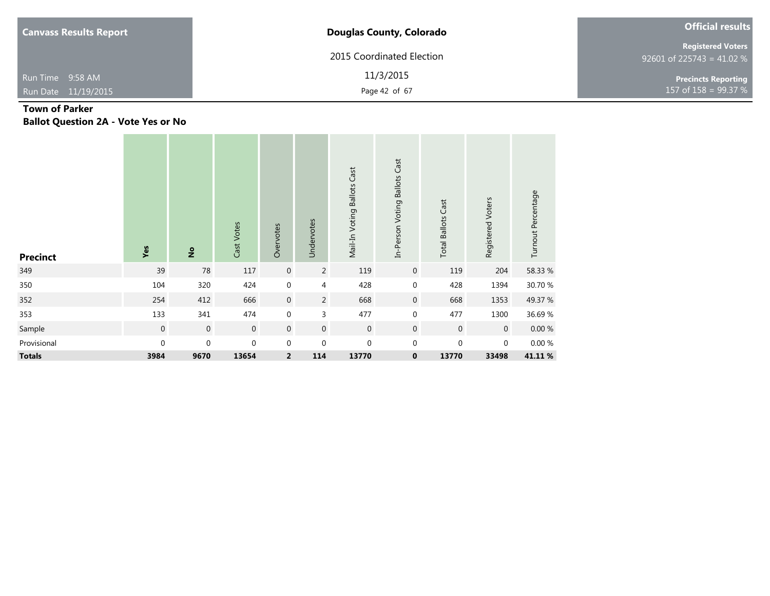| <b>Canvass Results Report</b> | <b>Douglas County, Colorado</b> | <b>Official results</b>                               |
|-------------------------------|---------------------------------|-------------------------------------------------------|
|                               | 2015 Coordinated Election       | <b>Registered Voters</b><br>92601 of 225743 = 41.02 % |
| Run Time 9:58 AM              | 11/3/2015                       | <b>Precincts Reporting</b>                            |
| Run Date 11/19/2015           | Page 42 of 67                   | 157 of $158 = 99.37 \%$                               |

# **Town of Parker Ballot Question 2A - Vote Yes or No**

| <b>Precinct</b> | Yes              | $\frac{1}{2}$    | Cast Votes  | Overvotes        | Undervotes       | Mail-In Voting Ballots Cast | In-Person Voting Ballots Cast | <b>Total Ballots Cast</b> | Registered Voters | Turnout Percentage |
|-----------------|------------------|------------------|-------------|------------------|------------------|-----------------------------|-------------------------------|---------------------------|-------------------|--------------------|
| 349             | 39               | 78               | 117         | $\mathbf 0$      | $\overline{2}$   | 119                         | $\overline{0}$                | 119                       | 204               | 58.33 %            |
| 350             | 104              | 320              | 424         | $\boldsymbol{0}$ | $\overline{4}$   | 428                         | $\mathbf 0$                   | 428                       | 1394              | 30.70 %            |
| 352             | 254              | 412              | 666         | $\boldsymbol{0}$ | $\overline{2}$   | 668                         | $\mathbf 0$                   | 668                       | 1353              | 49.37 %            |
| 353             | 133              | 341              | 474         | $\mathbf 0$      | 3                | 477                         | $\mathbf{0}$                  | 477                       | 1300              | 36.69%             |
| Sample          | $\boldsymbol{0}$ | $\mathbf 0$      | $\mathbf 0$ | $\mathbf 0$      | $\mathbf 0$      | $\overline{0}$              | $\overline{0}$                | $\mathbf 0$               | $\mathbf{0}$      | $0.00\ \%$         |
| Provisional     | $\pmb{0}$        | $\boldsymbol{0}$ | $\mathbf 0$ | $\boldsymbol{0}$ | $\boldsymbol{0}$ | $\boldsymbol{0}$            | $\mathbf 0$                   | 0                         | $\mathbf 0$       | $0.00\ \%$         |
| <b>Totals</b>   | 3984             | 9670             | 13654       | $\overline{2}$   | 114              | 13770                       | $\mathbf{0}$                  | 13770                     | 33498             | 41.11%             |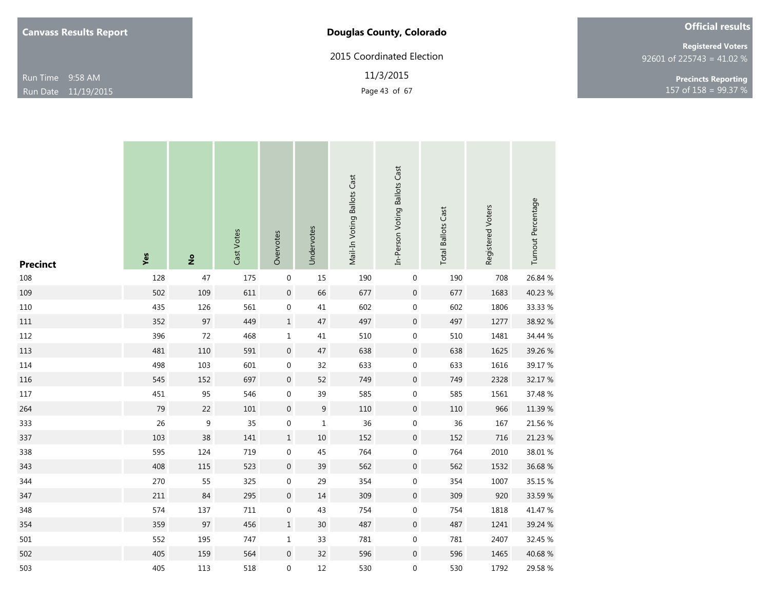# **Douglas County, Colorado**

2015 Coordinated Election

11/3/2015

| <b>Official results</b> |  |  |
|-------------------------|--|--|
|                         |  |  |
|                         |  |  |

92601 of 225743 = 41.02 % **Registered Voters**

Page 43 of 67 **158** = 99.37 % **Precincts Reporting**

| <b>Precinct</b> | Yes | $\overset{\mathtt{o}}{z}$ | Cast Votes | Overvotes        | Undervotes       | Mail-In Voting Ballots Cast | In-Person Voting Ballots Cast | <b>Total Ballots Cast</b> | Registered Voters | Turnout Percentage |
|-----------------|-----|---------------------------|------------|------------------|------------------|-----------------------------|-------------------------------|---------------------------|-------------------|--------------------|
| 108             | 128 | 47                        | 175        | $\boldsymbol{0}$ | 15               | 190                         | $\pmb{0}$                     | 190                       | 708               | 26.84 %            |
| 109             | 502 | 109                       | 611        | $\mathbf 0$      | 66               | 677                         | $\boldsymbol{0}$              | 677                       | 1683              | 40.23 %            |
| 110             | 435 | 126                       | 561        | $\boldsymbol{0}$ | 41               | 602                         | $\mathbf 0$                   | 602                       | 1806              | 33.33 %            |
| $111\,$         | 352 | 97                        | 449        | $\mathbf 1$      | $47\,$           | 497                         | $\boldsymbol{0}$              | 497                       | 1277              | 38.92 %            |
| 112             | 396 | $72\,$                    | 468        | $\mathbf 1$      | 41               | 510                         | $\boldsymbol{0}$              | 510                       | 1481              | 34.44 %            |
| 113             | 481 | 110                       | 591        | $\boldsymbol{0}$ | 47               | 638                         | $\boldsymbol{0}$              | 638                       | 1625              | 39.26 %            |
| 114             | 498 | 103                       | 601        | $\boldsymbol{0}$ | 32               | 633                         | $\boldsymbol{0}$              | 633                       | 1616              | 39.17 %            |
| 116             | 545 | 152                       | 697        | $\boldsymbol{0}$ | 52               | 749                         | $\boldsymbol{0}$              | 749                       | 2328              | 32.17 %            |
| $117\,$         | 451 | 95                        | 546        | $\boldsymbol{0}$ | 39               | 585                         | $\boldsymbol{0}$              | 585                       | 1561              | 37.48 %            |
| 264             | 79  | 22                        | $101\,$    | $\boldsymbol{0}$ | $\boldsymbol{9}$ | 110                         | $\boldsymbol{0}$              | 110                       | 966               | 11.39 %            |
| 333             | 26  | $\boldsymbol{9}$          | 35         | $\boldsymbol{0}$ | $\mathbf 1$      | 36                          | $\boldsymbol{0}$              | 36                        | 167               | 21.56 %            |
| 337             | 103 | 38                        | 141        | $\mathbf 1$      | $10\,$           | 152                         | $\boldsymbol{0}$              | 152                       | 716               | 21.23 %            |
| 338             | 595 | 124                       | 719        | $\boldsymbol{0}$ | 45               | 764                         | $\boldsymbol{0}$              | 764                       | 2010              | 38.01 %            |
| 343             | 408 | 115                       | 523        | $\boldsymbol{0}$ | 39               | 562                         | $\boldsymbol{0}$              | 562                       | 1532              | 36.68%             |
| 344             | 270 | 55                        | 325        | $\boldsymbol{0}$ | 29               | 354                         | $\boldsymbol{0}$              | 354                       | 1007              | 35.15 %            |
| 347             | 211 | 84                        | 295        | $\boldsymbol{0}$ | $14\,$           | 309                         | $\boldsymbol{0}$              | 309                       | 920               | 33.59 %            |
| 348             | 574 | 137                       | 711        | $\boldsymbol{0}$ | 43               | 754                         | $\boldsymbol{0}$              | 754                       | 1818              | 41.47 %            |
| 354             | 359 | 97                        | 456        | $\mathbf 1$      | $30\,$           | 487                         | $\boldsymbol{0}$              | 487                       | 1241              | 39.24 %            |
| 501             | 552 | 195                       | 747        | $\mathbf{1}$     | 33               | 781                         | $\boldsymbol{0}$              | 781                       | 2407              | 32.45 %            |
| 502             | 405 | 159                       | 564        | $\boldsymbol{0}$ | 32               | 596                         | $\boldsymbol{0}$              | 596                       | 1465              | 40.68 %            |
| 503             | 405 | 113                       | 518        | 0                | 12               | 530                         | $\boldsymbol{0}$              | 530                       | 1792              | 29.58 %            |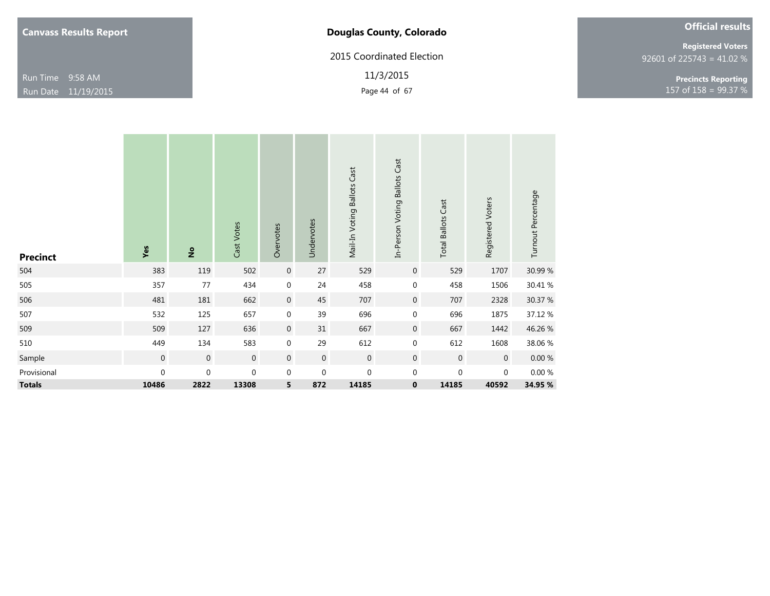| <b>Canvass Results Report</b> |  |  |
|-------------------------------|--|--|
|-------------------------------|--|--|

2015 Coordinated Election

11/3/2015

| <b>Official results</b> |  |
|-------------------------|--|
|                         |  |

92601 of 225743 = 41.02 % **Registered Voters**

Page 44 of 67  $\frac{99.37}{8}$ **Precincts Reporting**

| <b>Precinct</b> | Yes              | $\frac{1}{2}$    | Cast Votes  | Overvotes        | Undervotes     | Mail-In Voting Ballots Cast | In-Person Voting Ballots Cast | <b>Total Ballots Cast</b> | Registered Voters | Turnout Percentage |
|-----------------|------------------|------------------|-------------|------------------|----------------|-----------------------------|-------------------------------|---------------------------|-------------------|--------------------|
| 504             | 383              | 119              | 502         | $\boldsymbol{0}$ | 27             | 529                         | $\mathbf 0$                   | 529                       | 1707              | 30.99 %            |
| 505             | 357              | 77               | 434         | $\mathbf 0$      | 24             | 458                         | $\mathbf 0$                   | 458                       | 1506              | 30.41 %            |
| 506             | 481              | 181              | 662         | $\boldsymbol{0}$ | 45             | 707                         | $\mathbf 0$                   | 707                       | 2328              | 30.37 %            |
| 507             | 532              | 125              | 657         | $\mathbf 0$      | 39             | 696                         | $\mathbf 0$                   | 696                       | 1875              | 37.12 %            |
| 509             | 509              | 127              | 636         | $\boldsymbol{0}$ | 31             | 667                         | $\mathbf 0$                   | 667                       | 1442              | 46.26 %            |
| 510             | 449              | 134              | 583         | $\boldsymbol{0}$ | 29             | 612                         | $\mathbf 0$                   | 612                       | 1608              | 38.06 %            |
| Sample          | $\mathbf 0$      | $\boldsymbol{0}$ | $\mathbf 0$ | $\mathbf 0$      | $\overline{0}$ | $\mathbf 0$                 | $\mathbf 0$                   | $\mathbf 0$               | $\overline{0}$    | $0.00~\%$          |
| Provisional     | $\boldsymbol{0}$ | $\boldsymbol{0}$ | 0           | $\mathbf 0$      | $\mathbf 0$    | $\boldsymbol{0}$            | $\mathbf 0$                   | 0                         | $\mathbf 0$       | 0.00%              |
| <b>Totals</b>   | 10486            | 2822             | 13308       | 5                | 872            | 14185                       | $\bf{0}$                      | 14185                     | 40592             | 34.95 %            |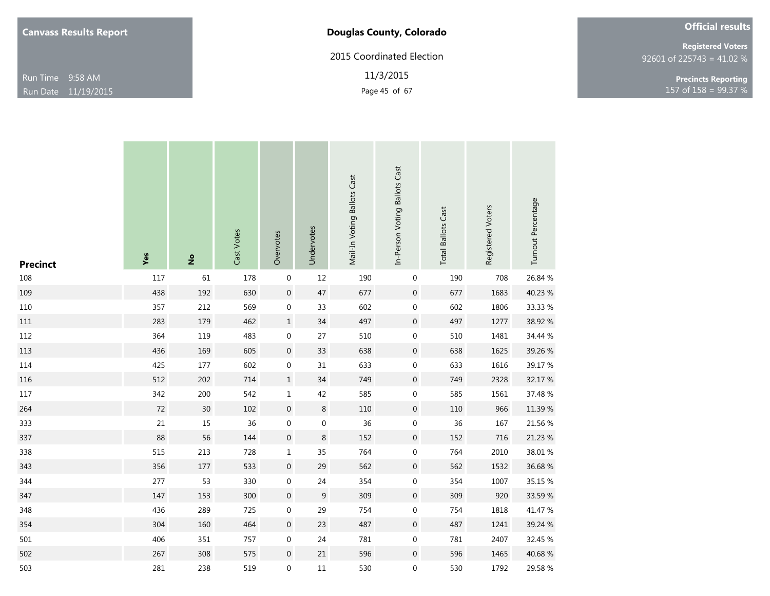| <b>Canvass Results Report</b> |  |  |
|-------------------------------|--|--|
|-------------------------------|--|--|

# **Douglas County, Colorado**

2015 Coordinated Election

11/3/2015

| <b>Official results</b> |  |
|-------------------------|--|
|                         |  |

92601 of 225743 = 41.02 % **Registered Voters**

Page 45 of 67 **158** = 99.37 % **Precincts Reporting**

|                 |        |                |            |                  |            | Mail-In Voting Ballots Cast | In-Person Voting Ballots Cast | <b>Total Ballots Cast</b> | Registered Voters | Turnout Percentage |
|-----------------|--------|----------------|------------|------------------|------------|-----------------------------|-------------------------------|---------------------------|-------------------|--------------------|
| <b>Precinct</b> | Yes    | $\mathsf{e}\,$ | Cast Votes | Overvotes        | Undervotes |                             |                               |                           |                   |                    |
| 108             | 117    | 61             | 178        | $\boldsymbol{0}$ | $12\,$     | 190                         | 0                             | 190                       | 708               | 26.84 %            |
| 109             | 438    | 192            | 630        | $\mathbf 0$      | $47\,$     | 677                         | $\boldsymbol{0}$              | 677                       | 1683              | 40.23 %            |
| $110\,$         | 357    | 212            | 569        | $\boldsymbol{0}$ | 33         | 602                         | $\boldsymbol{0}$              | 602                       | 1806              | 33.33 %            |
| $111\,$         | 283    | 179            | 462        | $\mathbf 1$      | $34\,$     | 497                         | $\boldsymbol{0}$              | 497                       | 1277              | 38.92 %            |
| 112             | 364    | 119            | 483        | $\boldsymbol{0}$ | 27         | 510                         | $\boldsymbol{0}$              | 510                       | 1481              | 34.44 %            |
| 113             | 436    | 169            | 605        | $\boldsymbol{0}$ | 33         | 638                         | $\boldsymbol{0}$              | 638                       | 1625              | 39.26 %            |
| 114             | 425    | $177\,$        | 602        | $\boldsymbol{0}$ | 31         | 633                         | $\boldsymbol{0}$              | 633                       | 1616              | 39.17 %            |
| 116             | 512    | 202            | 714        | $\mathbf 1$      | 34         | 749                         | $\boldsymbol{0}$              | 749                       | 2328              | 32.17 %            |
| $117\,$         | 342    | 200            | 542        | $\mathbf{1}$     | 42         | 585                         | $\boldsymbol{0}$              | 585                       | 1561              | 37.48 %            |
| 264             | $72\,$ | 30             | 102        | $\mathbf 0$      | $\,8\,$    | $110\,$                     | $\boldsymbol{0}$              | 110                       | 966               | 11.39 %            |
| 333             | $21\,$ | $15\,$         | 36         | $\boldsymbol{0}$ | $\pmb{0}$  | $36\,$                      | $\boldsymbol{0}$              | $36\,$                    | 167               | 21.56 %            |
| 337             | 88     | 56             | 144        | $\boldsymbol{0}$ | $\,8\,$    | 152                         | $\boldsymbol{0}$              | 152                       | 716               | 21.23 %            |
| 338             | 515    | 213            | 728        | $\mathbf 1$      | 35         | 764                         | $\boldsymbol{0}$              | 764                       | 2010              | 38.01 %            |
| 343             | 356    | $177\,$        | 533        | $\boldsymbol{0}$ | 29         | 562                         | $\boldsymbol{0}$              | 562                       | 1532              | 36.68%             |
| 344             | 277    | 53             | 330        | $\boldsymbol{0}$ | 24         | 354                         | $\boldsymbol{0}$              | 354                       | 1007              | 35.15 %            |
| 347             | 147    | 153            | 300        | $\boldsymbol{0}$ | $\,9$      | 309                         | $\boldsymbol{0}$              | 309                       | 920               | 33.59 %            |
| 348             | 436    | 289            | 725        | $\boldsymbol{0}$ | 29         | 754                         | $\boldsymbol{0}$              | 754                       | 1818              | 41.47 %            |
| 354             | 304    | 160            | 464        | $\boldsymbol{0}$ | $23\,$     | 487                         | $\boldsymbol{0}$              | 487                       | 1241              | 39.24 %            |
| 501             | 406    | 351            | 757        | 0                | 24         | 781                         | 0                             | 781                       | 2407              | 32.45 %            |
| 502             | 267    | 308            | 575        | $\boldsymbol{0}$ | $21\,$     | 596                         | $\boldsymbol{0}$              | 596                       | 1465              | 40.68 %            |
| 503             | 281    | 238            | 519        | 0                | 11         | 530                         | 0                             | 530                       | 1792              | 29.58 %            |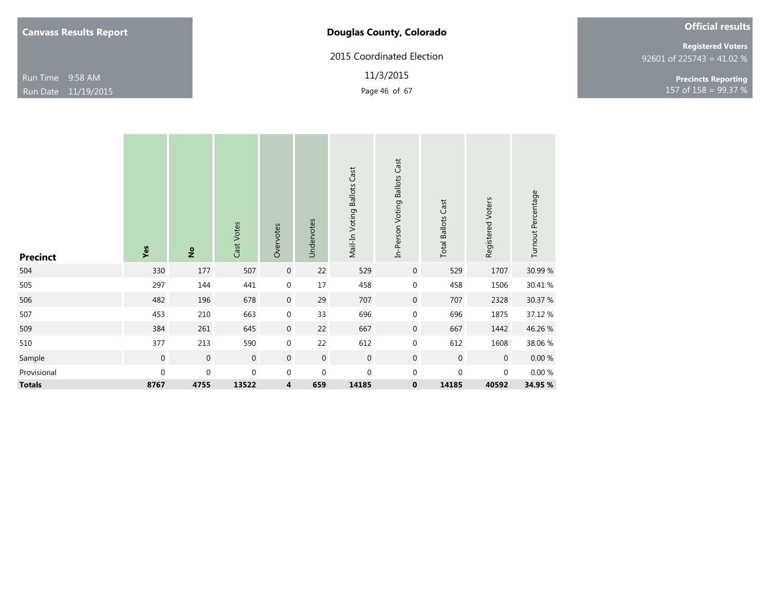| <b>Canvass Results Report</b> |  |  |
|-------------------------------|--|--|
|-------------------------------|--|--|

2015 Coordinated Election

11/3/2015

| <b>Official results</b> |  |  |
|-------------------------|--|--|
|-------------------------|--|--|

92601 of 225743 = 41.02 % **Registered Voters**

Page 46 of 67 **158** = 99.37 % **Precincts Reporting**

| <b>Precinct</b> | Yes              | $\frac{1}{2}$    | Cast Votes   | Overvotes        | Undervotes       | Mail-In Voting Ballots Cast | In-Person Voting Ballots Cast | <b>Total Ballots Cast</b> | Registered Voters | Turnout Percentage |
|-----------------|------------------|------------------|--------------|------------------|------------------|-----------------------------|-------------------------------|---------------------------|-------------------|--------------------|
| 504             | 330              | 177              | 507          | $\mathbf 0$      | 22               | 529                         | $\overline{0}$                | 529                       | 1707              | 30.99 %            |
| 505             | 297              | 144              | 441          | $\mathbf 0$      | 17               | 458                         | $\mathbf 0$                   | 458                       | 1506              | 30.41 %            |
| 506             | 482              | 196              | 678          | $\overline{0}$   | 29               | 707                         | $\overline{0}$                | 707                       | 2328              | 30.37 %            |
| 507             | 453              | 210              | 663          | $\pmb{0}$        | 33               | 696                         | $\boldsymbol{0}$              | 696                       | 1875              | 37.12 %            |
| 509             | 384              | 261              | 645          | $\boldsymbol{0}$ | 22               | 667                         | $\overline{0}$                | 667                       | 1442              | 46.26 %            |
| 510             | 377              | 213              | 590          | $\boldsymbol{0}$ | 22               | 612                         | $\mathbf 0$                   | 612                       | 1608              | 38.06 %            |
| Sample          | $\boldsymbol{0}$ | $\boldsymbol{0}$ | $\mathbf{0}$ | $\mathbf 0$      | $\boldsymbol{0}$ | $\,0\,$                     | $\mathbf 0$                   | $\mathbf 0$               | $\mathbf 0$       | $0.00 \%$          |
| Provisional     | $\boldsymbol{0}$ | $\boldsymbol{0}$ | $\mathbf 0$  | $\mathbf 0$      | $\mathbf 0$      | $\mathbf 0$                 | $\mathbf 0$                   | 0                         | $\mathbf 0$       | 0.00%              |
| <b>Totals</b>   | 8767             | 4755             | 13522        | 4                | 659              | 14185                       | $\mathbf 0$                   | 14185                     | 40592             | 34.95 %            |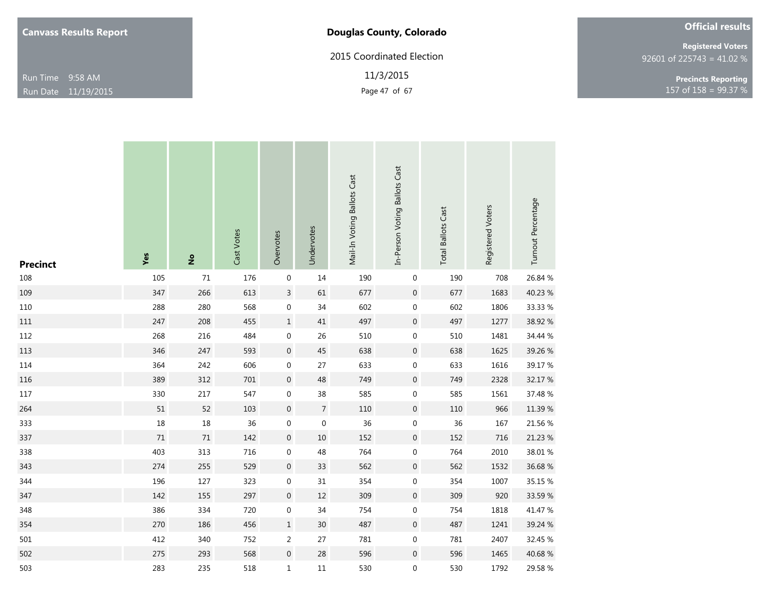| <b>Canvass Results Report</b> |  |  |
|-------------------------------|--|--|
|-------------------------------|--|--|

# **Douglas County, Colorado**

2015 Coordinated Election

11/3/2015

| <b>Official results</b> |  |
|-------------------------|--|
|                         |  |

92601 of 225743 = 41.02 % **Registered Voters**

Page 47 of 67 **158** = 99.37 % **Precincts Reporting**

| <b>Precinct</b> | Yes    | $\overset{\mathtt{o}}{\mathtt{z}}$ | Cast Votes | Overvotes        | Undervotes       | Mail-In Voting Ballots Cast | In-Person Voting Ballots Cast | <b>Total Ballots Cast</b> | Registered Voters | Turnout Percentage |
|-----------------|--------|------------------------------------|------------|------------------|------------------|-----------------------------|-------------------------------|---------------------------|-------------------|--------------------|
| 108             | 105    | 71                                 | 176        | $\boldsymbol{0}$ | 14               | 190                         | $\boldsymbol{0}$              | 190                       | 708               | 26.84 %            |
| 109             | 347    | 266                                | 613        | $\mathsf{3}$     | 61               | 677                         | $\boldsymbol{0}$              | 677                       | 1683              | 40.23 %            |
| 110             | 288    | 280                                | 568        | $\boldsymbol{0}$ | 34               | 602                         | $\boldsymbol{0}$              | 602                       | 1806              | 33.33 %            |
| 111             | 247    | 208                                | 455        | $\mathbf 1$      | $41\,$           | 497                         | $\boldsymbol{0}$              | 497                       | 1277              | 38.92 %            |
| 112             | 268    | 216                                | 484        | $\boldsymbol{0}$ | 26               | 510                         | $\boldsymbol{0}$              | 510                       | 1481              | 34.44 %            |
| 113             | 346    | 247                                | 593        | $\boldsymbol{0}$ | 45               | 638                         | $\boldsymbol{0}$              | 638                       | 1625              | 39.26 %            |
| 114             | 364    | 242                                | 606        | $\boldsymbol{0}$ | 27               | 633                         | $\boldsymbol{0}$              | 633                       | 1616              | 39.17 %            |
| 116             | 389    | 312                                | 701        | $\boldsymbol{0}$ | 48               | 749                         | $\boldsymbol{0}$              | 749                       | 2328              | 32.17 %            |
| 117             | 330    | $217\,$                            | 547        | $\boldsymbol{0}$ | $38\,$           | 585                         | $\boldsymbol{0}$              | 585                       | 1561              | 37.48 %            |
| 264             | 51     | 52                                 | 103        | $\boldsymbol{0}$ | $\overline{7}$   | 110                         | $\boldsymbol{0}$              | $110\,$                   | 966               | 11.39 %            |
| 333             | $18\,$ | $18\,$                             | 36         | $\boldsymbol{0}$ | $\boldsymbol{0}$ | 36                          | $\boldsymbol{0}$              | 36                        | 167               | 21.56 %            |
| 337             | $71\,$ | $71\,$                             | 142        | $\boldsymbol{0}$ | $10\,$           | 152                         | $\boldsymbol{0}$              | 152                       | 716               | 21.23 %            |
| 338             | 403    | 313                                | 716        | $\boldsymbol{0}$ | 48               | 764                         | $\boldsymbol{0}$              | 764                       | 2010              | 38.01 %            |
| 343             | 274    | 255                                | 529        | $\boldsymbol{0}$ | 33               | 562                         | $\boldsymbol{0}$              | 562                       | 1532              | 36.68%             |
| 344             | 196    | 127                                | 323        | $\boldsymbol{0}$ | 31               | 354                         | $\boldsymbol{0}$              | 354                       | 1007              | 35.15 %            |
| 347             | 142    | 155                                | 297        | $\boldsymbol{0}$ | $12\,$           | 309                         | $\boldsymbol{0}$              | 309                       | 920               | 33.59 %            |
| 348             | 386    | 334                                | 720        | $\boldsymbol{0}$ | 34               | 754                         | $\boldsymbol{0}$              | 754                       | 1818              | 41.47 %            |
| 354             | 270    | 186                                | 456        | $\mathbf 1$      | $30\,$           | 487                         | $\boldsymbol{0}$              | 487                       | 1241              | 39.24 %            |
| 501             | 412    | 340                                | 752        | $\overline{a}$   | 27               | 781                         | $\boldsymbol{0}$              | 781                       | 2407              | 32.45 %            |
| 502             | 275    | 293                                | 568        | $\boldsymbol{0}$ | $28\,$           | 596                         | $\boldsymbol{0}$              | 596                       | 1465              | 40.68 %            |
| 503             | 283    | 235                                | 518        | 1                | $11\,$           | 530                         | 0                             | 530                       | 1792              | 29.58 %            |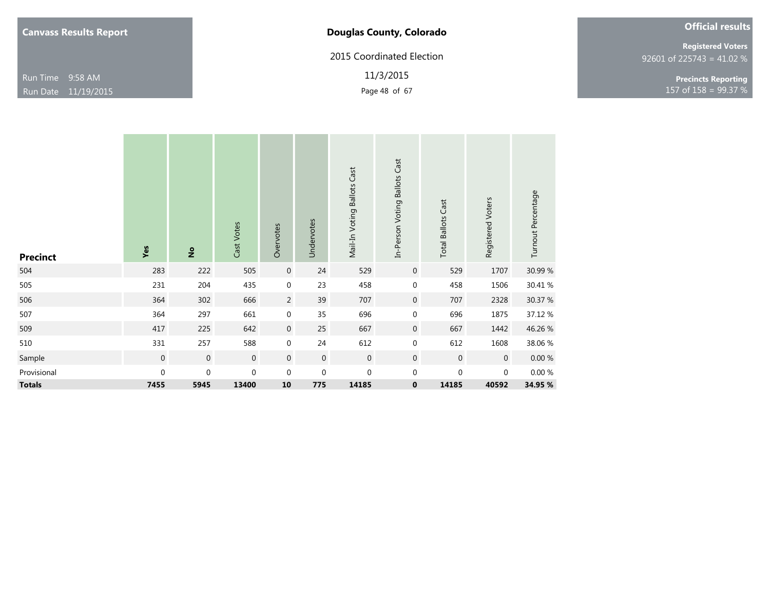| <b>Canvass Results Report</b> |  |  |
|-------------------------------|--|--|
|-------------------------------|--|--|

2015 Coordinated Election

11/3/2015

| <b>Official results</b> |  |
|-------------------------|--|
|                         |  |

92601 of 225743 = 41.02 % **Registered Voters**

Page 48 of 67 157 of 158 = 99.37 % **Precincts Reporting**

| <b>Precinct</b> | Yes              | $\frac{1}{2}$    | Cast Votes       | Overvotes        | Undervotes       | Mail-In Voting Ballots Cast | In-Person Voting Ballots Cast | <b>Total Ballots Cast</b> | Registered Voters | Turnout Percentage |
|-----------------|------------------|------------------|------------------|------------------|------------------|-----------------------------|-------------------------------|---------------------------|-------------------|--------------------|
| 504             | 283              | 222              | 505              | $\boldsymbol{0}$ | 24               | 529                         | $\overline{0}$                | 529                       | 1707              | 30.99 %            |
| 505             | 231              | 204              | 435              | $\boldsymbol{0}$ | 23               | 458                         | $\mathbf 0$                   | 458                       | 1506              | 30.41 %            |
| 506             | 364              | 302              | 666              | $\overline{2}$   | 39               | 707                         | $\overline{0}$                | 707                       | 2328              | 30.37 %            |
| 507             | 364              | 297              | 661              | $\boldsymbol{0}$ | 35               | 696                         | $\mathbf 0$                   | 696                       | 1875              | 37.12 %            |
| 509             | 417              | 225              | 642              | $\boldsymbol{0}$ | 25               | 667                         | $\overline{0}$                | 667                       | 1442              | 46.26 %            |
| 510             | 331              | 257              | 588              | $\boldsymbol{0}$ | 24               | 612                         | $\mathbf 0$                   | 612                       | 1608              | 38.06 %            |
| Sample          | $\boldsymbol{0}$ | $\boldsymbol{0}$ | $\boldsymbol{0}$ | $\mathbf 0$      | $\overline{0}$   | $\mathbf 0$                 | $\mathbf 0$                   | $\mathbf 0$               | $\mathbf 0$       | $0.00\ \%$         |
| Provisional     | $\boldsymbol{0}$ | $\boldsymbol{0}$ | $\mathbf 0$      | $\mathbf 0$      | $\boldsymbol{0}$ | $\mathbf 0$                 | $\mathbf{0}$                  | $\mathbf{0}$              | $\mathbf{0}$      | $0.00\ \%$         |
| <b>Totals</b>   | 7455             | 5945             | 13400            | 10               | 775              | 14185                       | $\mathbf 0$                   | 14185                     | 40592             | 34.95 %            |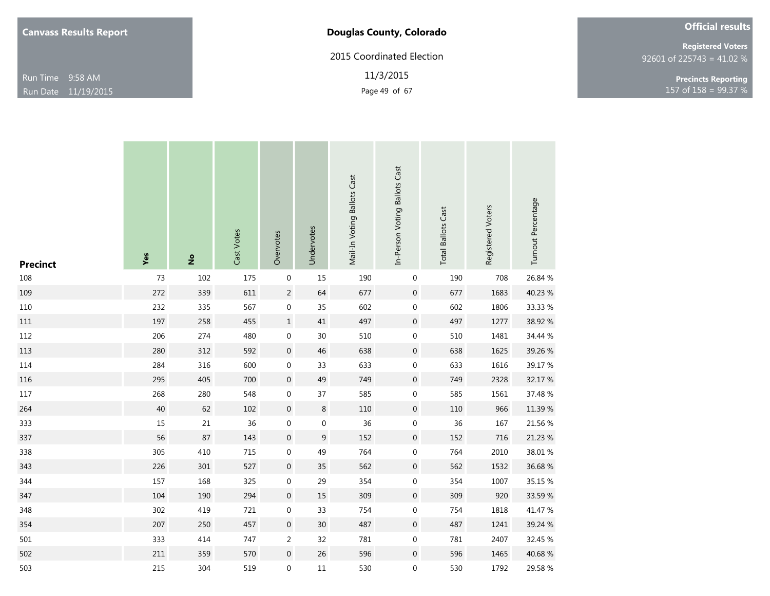| <b>Canvass Results Report</b> |  |  |
|-------------------------------|--|--|
|-------------------------------|--|--|

# **Douglas County, Colorado**

2015 Coordinated Election

11/3/2015

|  | <b>Official results</b> |  |
|--|-------------------------|--|
|  |                         |  |

92601 of 225743 = 41.02 % **Registered Voters**

Page 49 of 67 **158** = 99.37 % **Precincts Reporting**

| <b>Precinct</b> | Yes    | $\overset{\mathtt{o}}{z}$ | Cast Votes | Overvotes        | Undervotes  | Mail-In Voting Ballots Cast | In-Person Voting Ballots Cast | <b>Total Ballots Cast</b> | Registered Voters | Turnout Percentage |
|-----------------|--------|---------------------------|------------|------------------|-------------|-----------------------------|-------------------------------|---------------------------|-------------------|--------------------|
| 108             | 73     | 102                       | 175        | $\boldsymbol{0}$ | $15\,$      | 190                         | $\pmb{0}$                     | 190                       | 708               | 26.84 %            |
| 109             | 272    | 339                       | 611        | $\overline{c}$   | 64          | 677                         | $\mathbf 0$                   | 677                       | 1683              | 40.23 %            |
| 110             | 232    | 335                       | 567        | $\boldsymbol{0}$ | 35          | 602                         | $\boldsymbol{0}$              | 602                       | 1806              | 33.33 %            |
| $111\,$         | 197    | 258                       | 455        | $\mathbf 1$      | 41          | 497                         | $\boldsymbol{0}$              | 497                       | 1277              | 38.92 %            |
| 112             | 206    | 274                       | 480        | $\boldsymbol{0}$ | 30          | 510                         | $\boldsymbol{0}$              | 510                       | 1481              | 34.44 %            |
| 113             | 280    | 312                       | 592        | $\boldsymbol{0}$ | 46          | 638                         | $\boldsymbol{0}$              | 638                       | 1625              | 39.26 %            |
| 114             | 284    | 316                       | 600        | $\boldsymbol{0}$ | 33          | 633                         | $\pmb{0}$                     | 633                       | 1616              | 39.17 %            |
| 116             | 295    | 405                       | 700        | $\boldsymbol{0}$ | 49          | 749                         | $\boldsymbol{0}$              | 749                       | 2328              | 32.17 %            |
| $117\,$         | 268    | 280                       | 548        | $\boldsymbol{0}$ | 37          | 585                         | $\boldsymbol{0}$              | 585                       | 1561              | 37.48 %            |
| 264             | $40\,$ | 62                        | $102\,$    | $\boldsymbol{0}$ | $\,8\,$     | 110                         | $\boldsymbol{0}$              | 110                       | 966               | 11.39 %            |
| 333             | 15     | $21\,$                    | 36         | $\boldsymbol{0}$ | $\pmb{0}$   | 36                          | $\pmb{0}$                     | 36                        | 167               | 21.56 %            |
| 337             | 56     | 87                        | 143        | $\boldsymbol{0}$ | $\mathsf 9$ | 152                         | $\boldsymbol{0}$              | 152                       | 716               | 21.23 %            |
| 338             | 305    | 410                       | 715        | $\boldsymbol{0}$ | 49          | 764                         | $\boldsymbol{0}$              | 764                       | 2010              | 38.01 %            |
| 343             | 226    | 301                       | 527        | $\boldsymbol{0}$ | 35          | 562                         | $\boldsymbol{0}$              | 562                       | 1532              | 36.68%             |
| 344             | 157    | 168                       | 325        | $\boldsymbol{0}$ | 29          | 354                         | $\boldsymbol{0}$              | 354                       | 1007              | 35.15 %            |
| 347             | 104    | 190                       | 294        | $\boldsymbol{0}$ | $15\,$      | 309                         | $\boldsymbol{0}$              | 309                       | 920               | 33.59 %            |
| 348             | 302    | 419                       | 721        | $\boldsymbol{0}$ | 33          | 754                         | $\boldsymbol{0}$              | 754                       | 1818              | 41.47 %            |
| 354             | 207    | 250                       | 457        | $\boldsymbol{0}$ | $30\,$      | 487                         | $\boldsymbol{0}$              | 487                       | 1241              | 39.24 %            |
| 501             | 333    | 414                       | 747        | $\overline{a}$   | 32          | 781                         | $\boldsymbol{0}$              | 781                       | 2407              | 32.45 %            |
| 502             | 211    | 359                       | 570        | $\boldsymbol{0}$ | 26          | 596                         | $\boldsymbol{0}$              | 596                       | 1465              | 40.68%             |
| 503             | 215    | 304                       | 519        | 0                | $11\,$      | 530                         | $\boldsymbol{0}$              | 530                       | 1792              | 29.58 %            |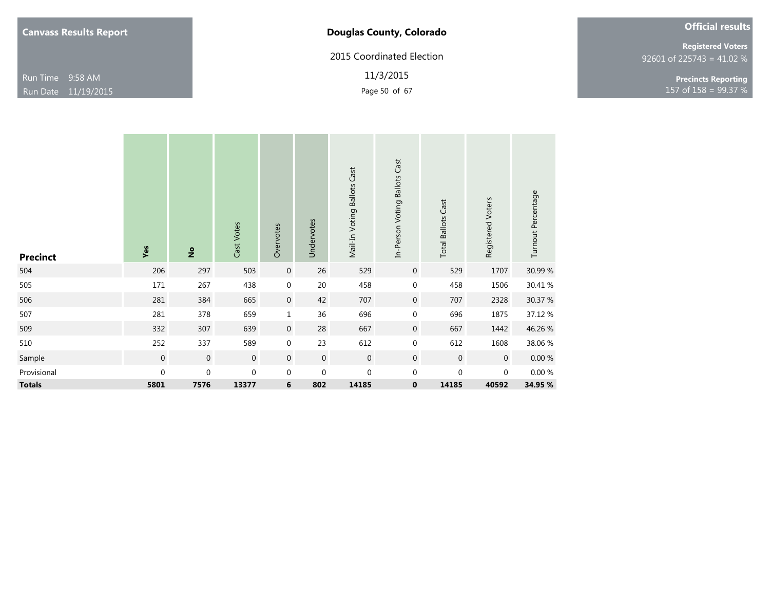2015 Coordinated Election

11/3/2015

|  |  | <b>Official results</b> |  |
|--|--|-------------------------|--|
|  |  |                         |  |

92601 of 225743 = 41.02 % **Registered Voters**

Page 50 of 67 157 of 158 = 99.37 % **Precincts Reporting**

| <b>Precinct</b> | Yes         | $\frac{1}{2}$    | Cast Votes     | Overvotes        | Undervotes       | Mail-In Voting Ballots Cast | In-Person Voting Ballots Cast | <b>Total Ballots Cast</b> | Registered Voters | Turnout Percentage |
|-----------------|-------------|------------------|----------------|------------------|------------------|-----------------------------|-------------------------------|---------------------------|-------------------|--------------------|
| 504             | 206         | 297              | 503            | $\boldsymbol{0}$ | 26               | 529                         | $\overline{0}$                | 529                       | 1707              | 30.99 %            |
| 505             | $171\,$     | 267              | 438            | $\mathbf 0$      | $20\,$           | 458                         | $\mathbf 0$                   | 458                       | 1506              | 30.41 %            |
| 506             | 281         | 384              | 665            | $\boldsymbol{0}$ | 42               | 707                         | $\mathbf 0$                   | 707                       | 2328              | 30.37 %            |
| 507             | 281         | 378              | 659            | $\mathbf{1}$     | 36               | 696                         | $\mathbf 0$                   | 696                       | 1875              | 37.12 %            |
| 509             | 332         | 307              | 639            | $\boldsymbol{0}$ | 28               | 667                         | $\overline{0}$                | 667                       | 1442              | 46.26 %            |
| 510             | 252         | 337              | 589            | $\boldsymbol{0}$ | 23               | 612                         | $\mathbf 0$                   | 612                       | 1608              | 38.06 %            |
| Sample          | $\mathbf 0$ | $\boldsymbol{0}$ | $\overline{0}$ | $\overline{0}$   | $\boldsymbol{0}$ | $\mathbf 0$                 | $\mathbf 0$                   | $\mathbf 0$               | $\overline{0}$    | $0.00\ \%$         |
| Provisional     | $\mathbf 0$ | $\boldsymbol{0}$ | $\mathbf 0$    | $\mathbf 0$      | $\mathbf 0$      | $\mathbf 0$                 | $\mathbf 0$                   | 0                         | $\mathbf 0$       | 0.00%              |
| <b>Totals</b>   | 5801        | 7576             | 13377          | 6                | 802              | 14185                       | $\bf{0}$                      | 14185                     | 40592             | 34.95 %            |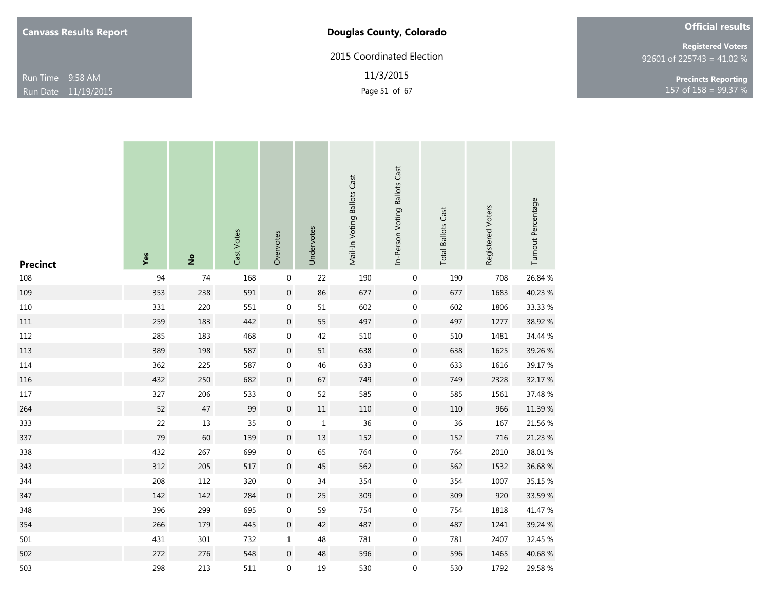| <b>Canvass Results Report</b> |  |  |
|-------------------------------|--|--|
|-------------------------------|--|--|

# **Douglas County, Colorado**

2015 Coordinated Election

11/3/2015

|  | <b>Official results</b> |  |
|--|-------------------------|--|
|  |                         |  |

92601 of 225743 = 41.02 % **Registered Voters**

Page 51 of 67 2012 157 of 158 = 99.37 % **Precincts Reporting**

| <b>Precinct</b> | Yes | $\overset{\mathtt{o}}{z}$ | Cast Votes | Overvotes        | Undervotes  | Mail-In Voting Ballots Cast | In-Person Voting Ballots Cast | <b>Total Ballots Cast</b> | Registered Voters | Turnout Percentage |
|-----------------|-----|---------------------------|------------|------------------|-------------|-----------------------------|-------------------------------|---------------------------|-------------------|--------------------|
| $108\,$         | 94  | 74                        | 168        | $\boldsymbol{0}$ | 22          | 190                         | 0                             | 190                       | 708               | 26.84 %            |
| 109             | 353 | 238                       | 591        | $\boldsymbol{0}$ | 86          | 677                         | $\boldsymbol{0}$              | 677                       | 1683              | 40.23 %            |
| 110             | 331 | 220                       | 551        | $\boldsymbol{0}$ | 51          | 602                         | 0                             | 602                       | 1806              | 33.33 %            |
| $111\,$         | 259 | 183                       | 442        | $\boldsymbol{0}$ | 55          | 497                         | $\boldsymbol{0}$              | 497                       | 1277              | 38.92 %            |
| 112             | 285 | 183                       | 468        | $\boldsymbol{0}$ | 42          | 510                         | 0                             | 510                       | 1481              | 34.44 %            |
| 113             | 389 | 198                       | 587        | $\boldsymbol{0}$ | 51          | 638                         | $\boldsymbol{0}$              | 638                       | 1625              | 39.26 %            |
| 114             | 362 | 225                       | 587        | $\boldsymbol{0}$ | $46\,$      | 633                         | $\bf{0}$                      | 633                       | 1616              | 39.17 %            |
| 116             | 432 | 250                       | 682        | $\boldsymbol{0}$ | 67          | 749                         | 0                             | 749                       | 2328              | 32.17 %            |
| $117\,$         | 327 | 206                       | 533        | $\boldsymbol{0}$ | 52          | 585                         | 0                             | 585                       | 1561              | 37.48 %            |
| 264             | 52  | $47\,$                    | 99         | $\boldsymbol{0}$ | $11\,$      | 110                         | $\pmb{0}$                     | 110                       | 966               | 11.39 %            |
| 333             | 22  | 13                        | 35         | $\boldsymbol{0}$ | $\mathbf 1$ | 36                          | 0                             | $36\,$                    | 167               | 21.56 %            |
| 337             | 79  | 60                        | 139        | $\boldsymbol{0}$ | $13\,$      | 152                         | 0                             | 152                       | 716               | 21.23 %            |
| 338             | 432 | 267                       | 699        | $\boldsymbol{0}$ | 65          | 764                         | 0                             | 764                       | 2010              | 38.01 %            |
| 343             | 312 | 205                       | 517        | $\boldsymbol{0}$ | $45\,$      | 562                         | $\pmb{0}$                     | 562                       | 1532              | 36.68%             |
| 344             | 208 | 112                       | 320        | $\boldsymbol{0}$ | 34          | 354                         | 0                             | 354                       | 1007              | 35.15 %            |
| 347             | 142 | 142                       | 284        | $\boldsymbol{0}$ | 25          | 309                         | $\pmb{0}$                     | 309                       | 920               | 33.59 %            |
| 348             | 396 | 299                       | 695        | $\boldsymbol{0}$ | 59          | 754                         | 0                             | 754                       | 1818              | 41.47 %            |
| 354             | 266 | 179                       | 445        | $\boldsymbol{0}$ | 42          | 487                         | $\boldsymbol{0}$              | 487                       | 1241              | 39.24 %            |
| 501             | 431 | $301\,$                   | 732        | $\mathbf{1}$     | 48          | 781                         | 0                             | 781                       | 2407              | 32.45 %            |
| 502             | 272 | 276                       | 548        | $\boldsymbol{0}$ | 48          | 596                         | $\boldsymbol{0}$              | 596                       | 1465              | 40.68 %            |
| 503             | 298 | 213                       | 511        | 0                | 19          | 530                         | 0                             | 530                       | 1792              | 29.58 %            |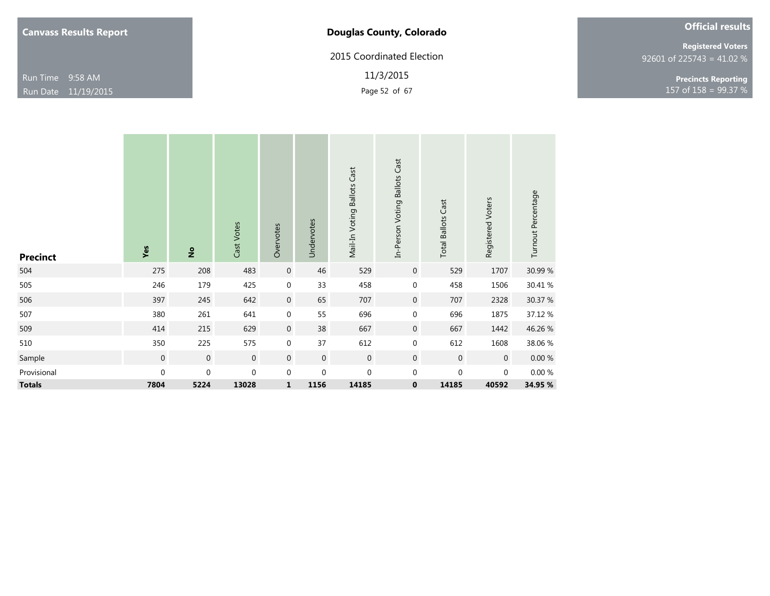| <b>Canvass Results Report</b> |  |  |
|-------------------------------|--|--|
|-------------------------------|--|--|

**Douglas County, Colorado**

2015 Coordinated Election

11/3/2015

|  | <b>Registered Voters</b>    |
|--|-----------------------------|
|  | $92601$ of 225743 = 41.02 % |

Page 52 of 67  $\frac{99.37}{8}$ **Precincts Reporting**

**Official results**

| <b>Precinct</b> | Yes         | $\frac{1}{2}$    | Cast Votes       | Overvotes        | Undervotes  | Mail-In Voting Ballots Cast | In-Person Voting Ballots Cast | <b>Total Ballots Cast</b> | Registered Voters | Turnout Percentage |
|-----------------|-------------|------------------|------------------|------------------|-------------|-----------------------------|-------------------------------|---------------------------|-------------------|--------------------|
| 504             | 275         | 208              | 483              | $\boldsymbol{0}$ | 46          | 529                         | $\mathbf 0$                   | 529                       | 1707              | 30.99 %            |
| 505             | 246         | 179              | 425              | $\mathbf 0$      | 33          | 458                         | $\mathbf 0$                   | 458                       | 1506              | 30.41 %            |
| 506             | 397         | 245              | 642              | $\mathbf 0$      | 65          | 707                         | $\mathbf{0}$                  | 707                       | 2328              | 30.37 %            |
| 507             | 380         | 261              | 641              | $\mathbf 0$      | 55          | 696                         | $\boldsymbol{0}$              | 696                       | 1875              | 37.12 %            |
| 509             | 414         | 215              | 629              | $\mathbf 0$      | 38          | 667                         | $\mathbf 0$                   | 667                       | 1442              | 46.26 %            |
| 510             | 350         | 225              | 575              | $\mathbf 0$      | 37          | 612                         | $\boldsymbol{0}$              | 612                       | 1608              | 38.06 %            |
| Sample          | $\mathbf 0$ | $\boldsymbol{0}$ | $\boldsymbol{0}$ | $\mathbf 0$      | $\mathbf 0$ | $\boldsymbol{0}$            | $\mathbf{0}$                  | $\mathbf 0$               | $\mathbf 0$       | 0.00%              |
| Provisional     | 0           | $\pmb{0}$        | $\boldsymbol{0}$ | $\mathbf 0$      | 0           | $\boldsymbol{0}$            | $\mathbf 0$                   | $\mathbf 0$               | $\mathbf 0$       | 0.00%              |
| <b>Totals</b>   | 7804        | 5224             | 13028            | $\mathbf 1$      | 1156        | 14185                       | $\pmb{0}$                     | 14185                     | 40592             | 34.95 %            |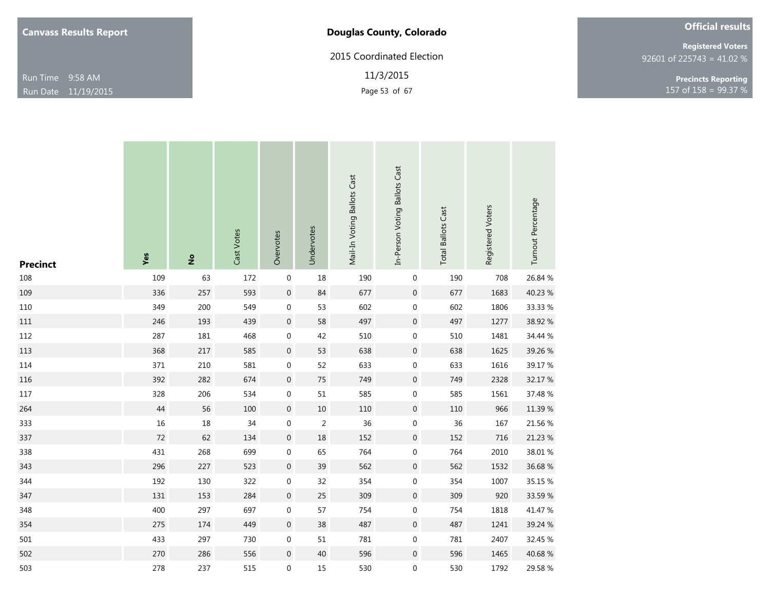| <b>Canvass Results Report</b> |  |  |
|-------------------------------|--|--|
|-------------------------------|--|--|

# **Douglas County, Colorado**

2015 Coordinated Election

11/3/2015

92601 of 225743 = 41.02 % **Registered Voters**

Page 53 of 67  $\frac{99.37}{8}$ **Precincts Reporting**

**Official results**

| <b>Precinct</b> | Yes    | $\overset{\mathtt{o}}{z}$ | Cast Votes | Overvotes        | Undervotes | Mail-In Voting Ballots Cast | In-Person Voting Ballots Cast | <b>Total Ballots Cast</b> | Registered Voters | Turnout Percentage |
|-----------------|--------|---------------------------|------------|------------------|------------|-----------------------------|-------------------------------|---------------------------|-------------------|--------------------|
| 108             | 109    | 63                        | 172        | $\boldsymbol{0}$ | 18         | 190                         | $\boldsymbol{0}$              | 190                       | 708               | 26.84 %            |
| 109             | 336    | 257                       | 593        | $\boldsymbol{0}$ | 84         | 677                         | $\boldsymbol{0}$              | 677                       | 1683              | 40.23 %            |
| 110             | 349    | 200                       | 549        | $\boldsymbol{0}$ | 53         | 602                         | $\boldsymbol{0}$              | 602                       | 1806              | 33.33 %            |
| $111\,$         | 246    | 193                       | 439        | $\boldsymbol{0}$ | 58         | 497                         | $\boldsymbol{0}$              | 497                       | 1277              | 38.92 %            |
| 112             | 287    | 181                       | 468        | $\boldsymbol{0}$ | 42         | 510                         | $\boldsymbol{0}$              | 510                       | 1481              | 34.44 %            |
| 113             | 368    | $217\,$                   | 585        | $\boldsymbol{0}$ | 53         | 638                         | $\boldsymbol{0}$              | 638                       | 1625              | 39.26 %            |
| 114             | 371    | 210                       | 581        | $\boldsymbol{0}$ | 52         | 633                         | $\boldsymbol{0}$              | 633                       | 1616              | 39.17 %            |
| 116             | 392    | 282                       | 674        | $\boldsymbol{0}$ | $75\,$     | 749                         | $\boldsymbol{0}$              | 749                       | 2328              | 32.17 %            |
| $117\,$         | 328    | 206                       | 534        | $\boldsymbol{0}$ | 51         | 585                         | $\boldsymbol{0}$              | 585                       | 1561              | 37.48 %            |
| 264             | 44     | 56                        | 100        | $\boldsymbol{0}$ | $10\,$     | 110                         | $\boldsymbol{0}$              | 110                       | 966               | 11.39 %            |
| 333             | $16\,$ | $18\,$                    | 34         | $\boldsymbol{0}$ | $\sqrt{2}$ | 36                          | $\boldsymbol{0}$              | 36                        | 167               | 21.56 %            |
| 337             | $72\,$ | 62                        | 134        | $\boldsymbol{0}$ | $18\,$     | 152                         | $\boldsymbol{0}$              | 152                       | 716               | 21.23 %            |
| 338             | 431    | 268                       | 699        | $\boldsymbol{0}$ | 65         | 764                         | $\boldsymbol{0}$              | 764                       | 2010              | 38.01 %            |
| 343             | 296    | 227                       | 523        | $\boldsymbol{0}$ | 39         | 562                         | $\boldsymbol{0}$              | 562                       | 1532              | 36.68%             |
| 344             | 192    | 130                       | 322        | $\boldsymbol{0}$ | 32         | 354                         | $\pmb{0}$                     | 354                       | 1007              | 35.15 %            |
| 347             | 131    | 153                       | 284        | $\boldsymbol{0}$ | 25         | 309                         | $\boldsymbol{0}$              | 309                       | 920               | 33.59 %            |
| 348             | 400    | 297                       | 697        | $\boldsymbol{0}$ | 57         | 754                         | $\boldsymbol{0}$              | 754                       | 1818              | 41.47 %            |
| 354             | 275    | 174                       | 449        | $\boldsymbol{0}$ | 38         | 487                         | $\boldsymbol{0}$              | 487                       | 1241              | 39.24 %            |
| 501             | 433    | 297                       | 730        | $\boldsymbol{0}$ | 51         | 781                         | $\boldsymbol{0}$              | 781                       | 2407              | 32.45 %            |
| 502             | 270    | 286                       | 556        | $\boldsymbol{0}$ | $40\,$     | 596                         | $\boldsymbol{0}$              | 596                       | 1465              | 40.68%             |
| 503             | 278    | 237                       | 515        | 0                | 15         | 530                         | $\boldsymbol{0}$              | 530                       | 1792              | 29.58 %            |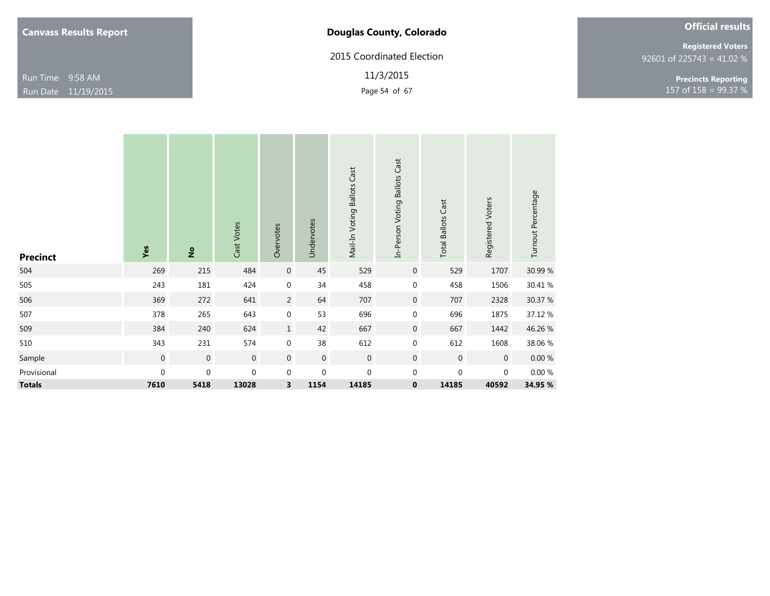2015 Coordinated Election

11/3/2015

| <b>Official results</b> |
|-------------------------|
|-------------------------|

92601 of 225743 = 41.02 % **Registered Voters**

Page 54 of 67 157 of 158 = 99.37 % **Precincts Reporting**

| <b>Precinct</b> | Yes              | $\frac{1}{2}$    | Cast Votes       | Overvotes        | Undervotes       | Mail-In Voting Ballots Cast | In-Person Voting Ballots Cast | <b>Total Ballots Cast</b> | Registered Voters | Turnout Percentage |
|-----------------|------------------|------------------|------------------|------------------|------------------|-----------------------------|-------------------------------|---------------------------|-------------------|--------------------|
| 504             | 269              | 215              | 484              | $\boldsymbol{0}$ | 45               | 529                         | $\mathbf 0$                   | 529                       | 1707              | 30.99 %            |
| 505             | 243              | 181              | 424              | $\mathbf 0$      | 34               | 458                         | $\mathbf 0$                   | 458                       | 1506              | 30.41%             |
| 506             | 369              | 272              | 641              | $\overline{2}$   | 64               | 707                         | $\overline{0}$                | 707                       | 2328              | 30.37 %            |
| 507             | 378              | 265              | 643              | $\mathbf 0$      | 53               | 696                         | $\mathbf 0$                   | 696                       | 1875              | 37.12 %            |
| 509             | 384              | 240              | 624              | $\mathbf 1$      | 42               | 667                         | $\mathbf 0$                   | 667                       | 1442              | 46.26 %            |
| 510             | 343              | 231              | 574              | $\boldsymbol{0}$ | 38               | 612                         | $\mathbf 0$                   | 612                       | 1608              | 38.06 %            |
| Sample          | $\boldsymbol{0}$ | $\boldsymbol{0}$ | $\boldsymbol{0}$ | $\mathbf 0$      | $\boldsymbol{0}$ | $\mathbf 0$                 | $\mathbf 0$                   | $\mathbf 0$               | $\mathbf 0$       | $0.00 \%$          |
| Provisional     | $\boldsymbol{0}$ | $\boldsymbol{0}$ | $\boldsymbol{0}$ | $\mathbf 0$      | $\boldsymbol{0}$ | $\boldsymbol{0}$            | 0                             | 0                         | $\mathbf 0$       | 0.00%              |
| <b>Totals</b>   | 7610             | 5418             | 13028            | 3                | 1154             | 14185                       | $\mathbf 0$                   | 14185                     | 40592             | 34.95 %            |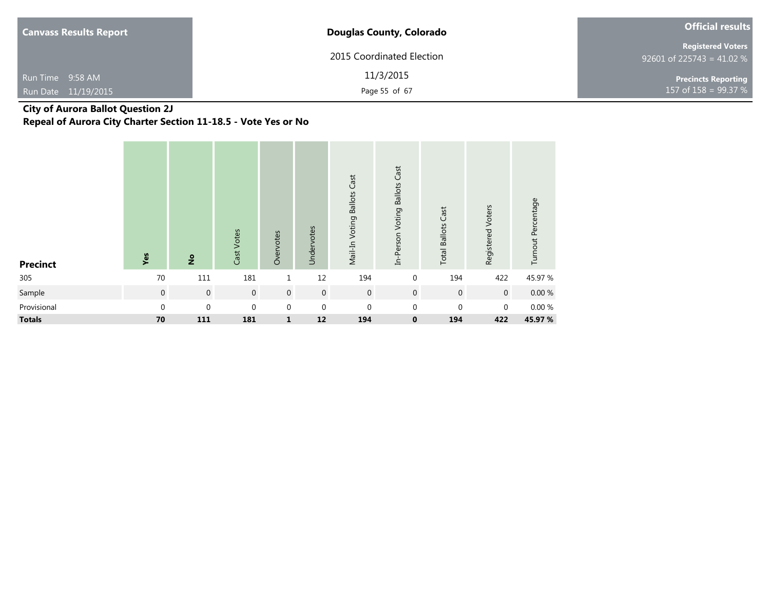| <b>Canvass Results Report</b> | <b>Douglas County, Colorado</b> | <b>Official results</b>                               |
|-------------------------------|---------------------------------|-------------------------------------------------------|
|                               | 2015 Coordinated Election       | <b>Registered Voters</b><br>92601 of 225743 = 41.02 % |
| Run Time 9:58 AM              | 11/3/2015                       | <b>Precincts Reporting</b>                            |
| Run Date 11/19/2015           | Page 55 of 67                   | 157 of $158 = 99.37 %$                                |

# **City of Aurora Ballot Question 2J**

**Repeal of Aurora City Charter Section 11-18.5 - Vote Yes or No**

| <b>Precinct</b> | Yes         | $\frac{1}{2}$    | Cast Votes     | Overvotes      | Undervotes       | Mail-In Voting Ballots Cast | In-Person Voting Ballots Cast | Cast<br><b>Total Ballots</b> | Registered Voters | Turnout Percentage |
|-----------------|-------------|------------------|----------------|----------------|------------------|-----------------------------|-------------------------------|------------------------------|-------------------|--------------------|
| 305             | 70          | 111              | 181            | 1              | 12               | 194                         | $\mathbf 0$                   | 194                          | 422               | 45.97 %            |
| Sample          | $\mathbf 0$ | $\boldsymbol{0}$ | $\overline{0}$ | $\overline{0}$ | $\overline{0}$   | $\boldsymbol{0}$            | $\mathbf 0$                   | $\mathbf 0$                  | $\boldsymbol{0}$  | $0.00 \%$          |
| Provisional     | 0           | $\boldsymbol{0}$ | $\mathbf 0$    | $\mathbf 0$    | $\boldsymbol{0}$ | $\mathbf 0$                 | 0                             | $\pmb{0}$                    | $\mathbf 0$       | 0.00%              |
| <b>Totals</b>   | 70          | 111              | 181            | $\mathbf{1}$   | 12               | 194                         | $\mathbf 0$                   | 194                          | 422               | 45.97%             |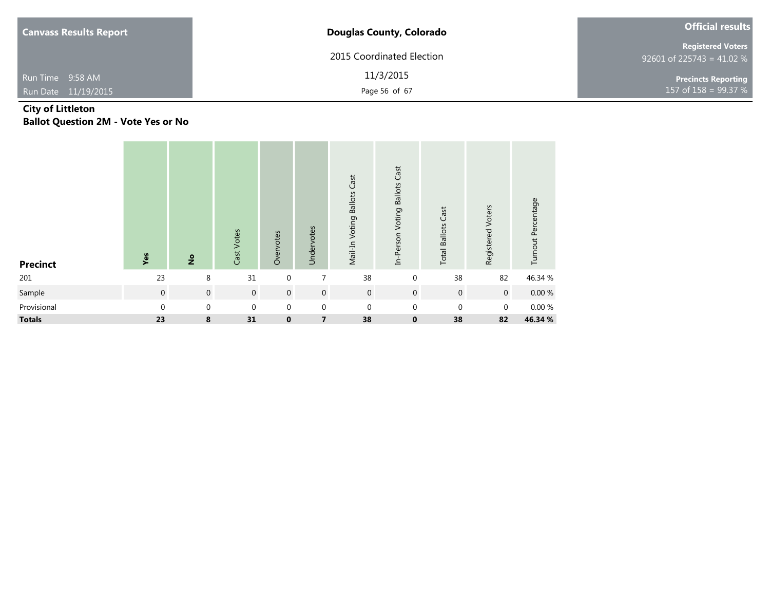| <b>Canvass Results Report</b> | <b>Douglas County, Colorado</b> | <b>Official results</b>                               |
|-------------------------------|---------------------------------|-------------------------------------------------------|
|                               | 2015 Coordinated Election       | <b>Registered Voters</b><br>92601 of 225743 = 41.02 % |
| Run Time 9:58 AM              | 11/3/2015                       | <b>Precincts Reporting</b>                            |
| Run Date 11/19/2015           | Page 56 of 67                   | 157 of $158 = 99.37 %$                                |

### **City of Littleton Ballot Question 2M - Vote Yes or No**

| <b>Precinct</b> | Yes         | $\frac{1}{2}$ | Cast Votes  | Overvotes        | Undervotes              | Mail-In Voting Ballots Cast | In-Person Voting Ballots Cast | <b>Total Ballots Cast</b> | Registered Voters | Turnout Percentage |
|-----------------|-------------|---------------|-------------|------------------|-------------------------|-----------------------------|-------------------------------|---------------------------|-------------------|--------------------|
| 201             | 23          | 8             | 31          | $\mathbf 0$      | 7                       | 38                          | $\mathbf 0$                   | 38                        | 82                | 46.34 %            |
| Sample          | $\mathbf 0$ | $\,0\,$       | $\mathbf 0$ | $\boldsymbol{0}$ | $\mathbf 0$             | $\boldsymbol{0}$            | $\overline{0}$                | $\mathbf 0$               | $\overline{0}$    | $0.00 \%$          |
| Provisional     | 0           | $\mathbf 0$   | $\mathbf 0$ | $\mathbf 0$      | $\mathbf 0$             | $\mathbf 0$                 | $\mathbf 0$                   | $\mathbf{0}$              | $\mathbf 0$       | $0.00\ \%$         |
| <b>Totals</b>   | 23          | 8             | 31          | $\mathbf 0$      | $\overline{\mathbf{z}}$ | 38                          | $\mathbf 0$                   | 38                        | 82                | 46.34 %            |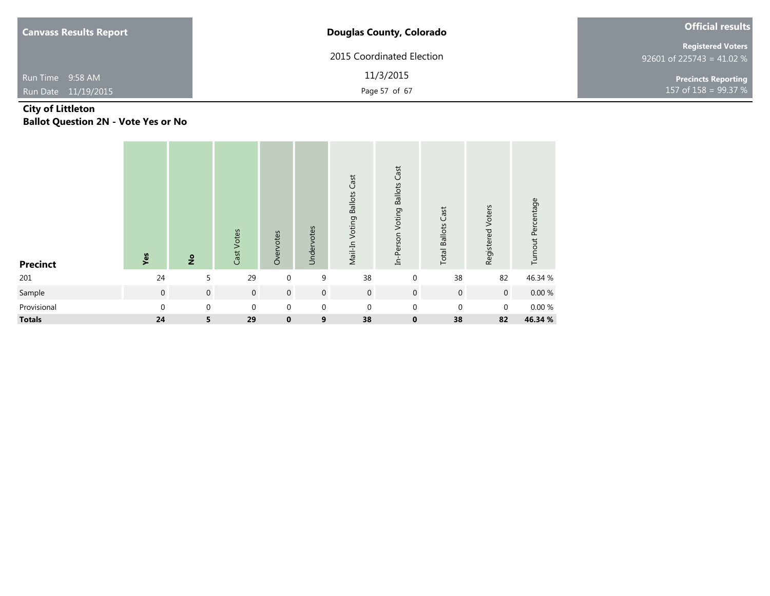| <b>Canvass Results Report</b> | <b>Douglas County, Colorado</b> | <b>Official results</b>                               |
|-------------------------------|---------------------------------|-------------------------------------------------------|
|                               | 2015 Coordinated Election       | <b>Registered Voters</b><br>92601 of 225743 = 41.02 % |
| Run Time 9:58 AM              | 11/3/2015                       | <b>Precincts Reporting</b>                            |
| Run Date 11/19/2015           | Page 57 of 67                   | 157 of $158 = 99.37 %$                                |

### **City of Littleton Ballot Question 2N - Vote Yes or No**

| <b>Precinct</b> | Yes          | $rac{6}{5}$    | Cast Votes       | Overvotes      | Undervotes       | Mail-In Voting Ballots Cast | In-Person Voting Ballots Cast | <b>Total Ballots Cast</b> | Registered Voters | Turnout Percentage |
|-----------------|--------------|----------------|------------------|----------------|------------------|-----------------------------|-------------------------------|---------------------------|-------------------|--------------------|
| 201             | 24           | 5              | 29               | $\mathbf 0$    | 9                | 38                          | $\mathbf 0$                   | 38                        | 82                | 46.34 %            |
| Sample          | $\mathbf 0$  | $\overline{0}$ | $\boldsymbol{0}$ | $\overline{0}$ | $\mathbf 0$      | $\mathbf 0$                 | $\mathbf 0$                   | $\mathbf 0$               | $\mathbf 0$       | $0.00 \%$          |
| Provisional     | $\mathbf{0}$ | $\mathbf 0$    | $\boldsymbol{0}$ | $\mathbf 0$    | $\boldsymbol{0}$ | $\boldsymbol{0}$            | $\mathbf 0$                   | $\mathbf{0}$              | $\pmb{0}$         | $0.00 \%$          |
| <b>Totals</b>   | 24           | 5              | 29               | $\mathbf 0$    | 9                | 38                          | $\mathbf 0$                   | 38                        | 82                | 46.34 %            |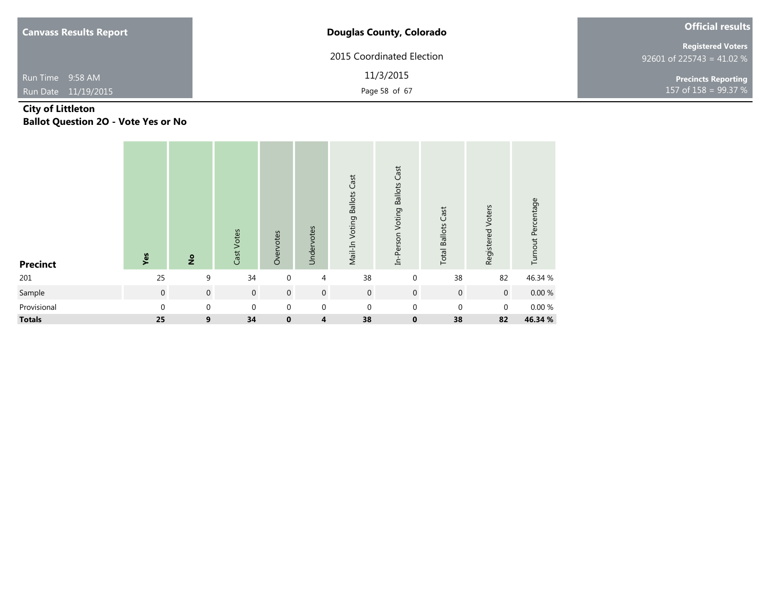| <b>Canvass Results Report</b> | <b>Douglas County, Colorado</b> | <b>Official results</b>                               |
|-------------------------------|---------------------------------|-------------------------------------------------------|
|                               | 2015 Coordinated Election       | <b>Registered Voters</b><br>92601 of 225743 = 41.02 % |
| Run Time 9:58 AM              | 11/3/2015                       | <b>Precincts Reporting</b>                            |
| Run Date 11/19/2015           | Page 58 of 67                   | 157 of 158 = 99.37 $%$ 1                              |

### **City of Littleton Ballot Question 2O - Vote Yes or No**

| <b>Precinct</b> | Yes          | $rac{6}{5}$      | Cast Votes     | Overvotes   | Undervotes       | Mail-In Voting Ballots Cast | In-Person Voting Ballots Cast | <b>Total Ballots Cast</b> | Registered Voters | Turnout Percentage |
|-----------------|--------------|------------------|----------------|-------------|------------------|-----------------------------|-------------------------------|---------------------------|-------------------|--------------------|
| 201             | 25           | 9                | 34             | $\mathbf 0$ | 4                | 38                          | $\mathbf 0$                   | 38                        | 82                | 46.34 %            |
| Sample          | $\mathbf 0$  | $\mathbf 0$      | $\overline{0}$ | $\mathbf 0$ | $\boldsymbol{0}$ | $\mathbf 0$                 | $\mathbf 0$                   | $\mathbf 0$               | $\overline{0}$    | $0.00 \%$          |
| Provisional     | $\mathbf{0}$ | $\boldsymbol{0}$ | $\mathbf 0$    | $\mathbf 0$ | $\mathbf 0$      | $\mathbf 0$                 | $\mathbf 0$                   | $\mathbf 0$               | $\mathbf 0$       | 0.00 %             |
| <b>Totals</b>   | 25           | 9                | 34             | $\mathbf 0$ | 4                | 38                          | $\bf{0}$                      | 38                        | 82                | 46.34 %            |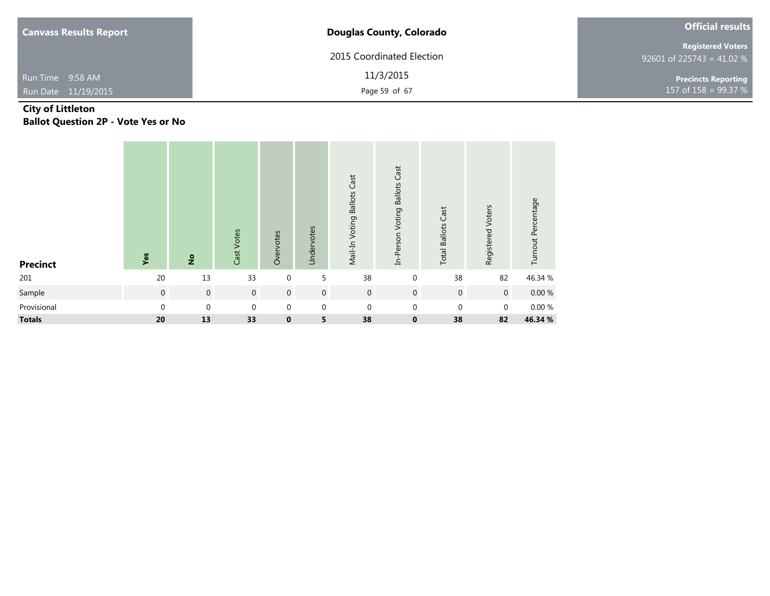| <b>Canvass Results Report</b> | <b>Douglas County, Colorado</b> | <b>Official results</b>                               |  |  |
|-------------------------------|---------------------------------|-------------------------------------------------------|--|--|
|                               | 2015 Coordinated Election       | <b>Registered Voters</b><br>92601 of 225743 = 41.02 % |  |  |
| Run Time 9:58 AM              | 11/3/2015                       | <b>Precincts Reporting</b>                            |  |  |
| Run Date 11/19/2015           | Page 59 of 67                   | 157 of $158 = 99.37 %$                                |  |  |

### **City of Littleton Ballot Question 2P - Vote Yes or No**

| <b>Precinct</b> | Yes              | $rac{6}{5}$      | Cast Votes     | Overvotes   | Undervotes       | Mail-In Voting Ballots Cast | In-Person Voting Ballots Cast | <b>Total Ballots Cast</b> | Registered Voters | Turnout Percentage |
|-----------------|------------------|------------------|----------------|-------------|------------------|-----------------------------|-------------------------------|---------------------------|-------------------|--------------------|
| 201             | 20               | 13               | 33             | $\mathbf 0$ | 5                | 38                          | $\mathbf 0$                   | 38                        | 82                | 46.34 %            |
| Sample          | $\boldsymbol{0}$ | $\mathbf 0$      | $\overline{0}$ | $\mathbf 0$ | $\mathbf 0$      | $\overline{0}$              | $\overline{0}$                | $\overline{0}$            | $\overline{0}$    | $0.00 \%$          |
| Provisional     | $\mathbf 0$      | $\boldsymbol{0}$ | $\mathbf 0$    | $\mathbf 0$ | $\boldsymbol{0}$ | $\mathbf 0$                 | $\mathbf 0$                   | $\boldsymbol{0}$          | $\mathbf 0$       | 0.00 %             |
| <b>Totals</b>   | 20               | 13               | 33             | $\mathbf 0$ | 5                | 38                          | $\mathbf 0$                   | 38                        | 82                | 46.34 %            |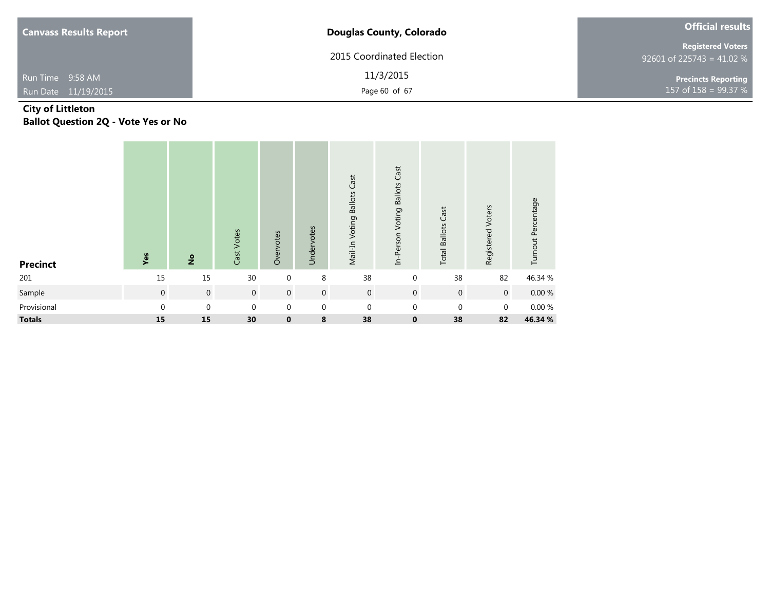| <b>Canvass Results Report</b> | <b>Douglas County, Colorado</b> | <b>Official results</b>                               |
|-------------------------------|---------------------------------|-------------------------------------------------------|
|                               | 2015 Coordinated Election       | <b>Registered Voters</b><br>92601 of 225743 = 41.02 % |
| Run Time 9:58 AM              | 11/3/2015                       | <b>Precincts Reporting</b>                            |
| Run Date 11/19/2015           | Page 60 of 67                   | 157 of $158 = 99.37 %$                                |

### **City of Littleton Ballot Question 2Q - Vote Yes or No**

| <b>Precinct</b> | Yes            | $\frac{1}{2}$ | Cast Votes     | Overvotes      | Undervotes       | Mail-In Voting Ballots Cast | In-Person Voting Ballots Cast | <b>Total Ballots Cast</b> | Registered Voters | Turnout Percentage |
|-----------------|----------------|---------------|----------------|----------------|------------------|-----------------------------|-------------------------------|---------------------------|-------------------|--------------------|
| 201             | 15             | 15            | 30             | $\mathbf 0$    | 8                | 38                          | $\mathbf 0$                   | 38                        | 82                | 46.34 %            |
| Sample          | $\overline{0}$ | $\mathbf 0$   | $\overline{0}$ | $\overline{0}$ | $\boldsymbol{0}$ | $\boldsymbol{0}$            | $\mathbf{0}$                  | $\mathbf 0$               | $\overline{0}$    | 0.00%              |
| Provisional     | $\mathbf{0}$   | $\mathbf 0$   | $\mathbf 0$    | $\mathbf 0$    | $\boldsymbol{0}$ | $\mathbf 0$                 | $\mathbf 0$                   | $\mathbf{0}$              | $\mathbf 0$       | 0.00 %             |
| <b>Totals</b>   | 15             | 15            | 30             | $\mathbf 0$    | 8                | 38                          | $\mathbf 0$                   | 38                        | 82                | 46.34 %            |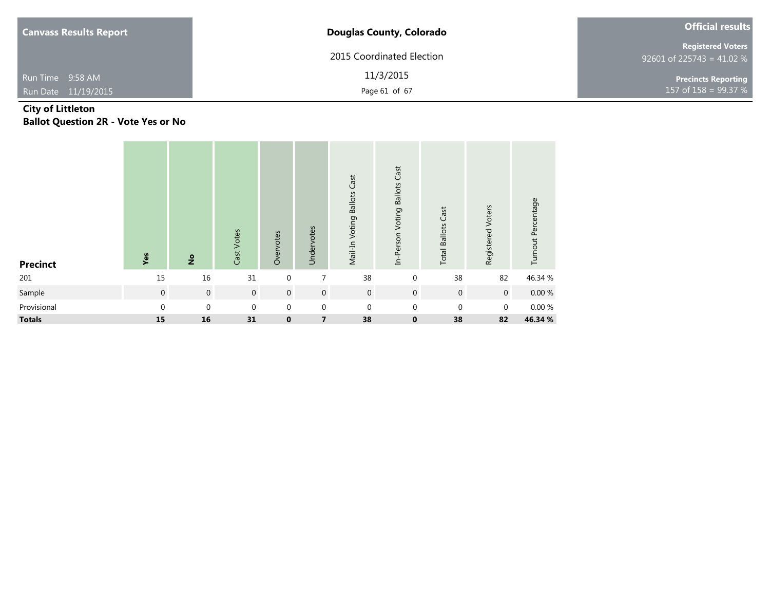| <b>Canvass Results Report</b> | <b>Douglas County, Colorado</b> | <b>Official results</b>                               |  |  |
|-------------------------------|---------------------------------|-------------------------------------------------------|--|--|
|                               | 2015 Coordinated Election       | <b>Registered Voters</b><br>92601 of 225743 = 41.02 % |  |  |
| Run Time 9:58 AM              | 11/3/2015                       | <b>Precincts Reporting</b>                            |  |  |
| Run Date 11/19/2015           | Page 61 of 67                   | 157 of $158 = 99.37 \%$                               |  |  |

### **City of Littleton Ballot Question 2R - Vote Yes or No**

| <b>Precinct</b> | Yes         | $rac{6}{5}$    | Cast Votes     | Overvotes   | Undervotes     | Mail-In Voting Ballots Cast | In-Person Voting Ballots Cast | <b>Total Ballots Cast</b> | Registered Voters | Turnout Percentage |
|-----------------|-------------|----------------|----------------|-------------|----------------|-----------------------------|-------------------------------|---------------------------|-------------------|--------------------|
| 201             | 15          | 16             | 31             | $\mathbf 0$ | $\overline{7}$ | 38                          | $\mathbf 0$                   | 38                        | 82                | 46.34 %            |
| Sample          | $\mathbf 0$ | $\overline{0}$ | $\overline{0}$ | $\mathbf 0$ | $\mathbf 0$    | $\boldsymbol{0}$            | $\mathbf 0$                   | $\overline{0}$            | $\overline{0}$    | $0.00\ \%$         |
| Provisional     | $\mathbf 0$ | $\mathbf 0$    | $\mathbf 0$    | $\mathbf 0$ | $\mathbf 0$    | $\mathbf 0$                 | $\mathbf 0$                   | $\mathbf{0}$              | $\boldsymbol{0}$  | 0.00%              |
| <b>Totals</b>   | 15          | 16             | 31             | $\mathbf 0$ | 7              | 38                          | $\bf{0}$                      | 38                        | 82                | 46.34 %            |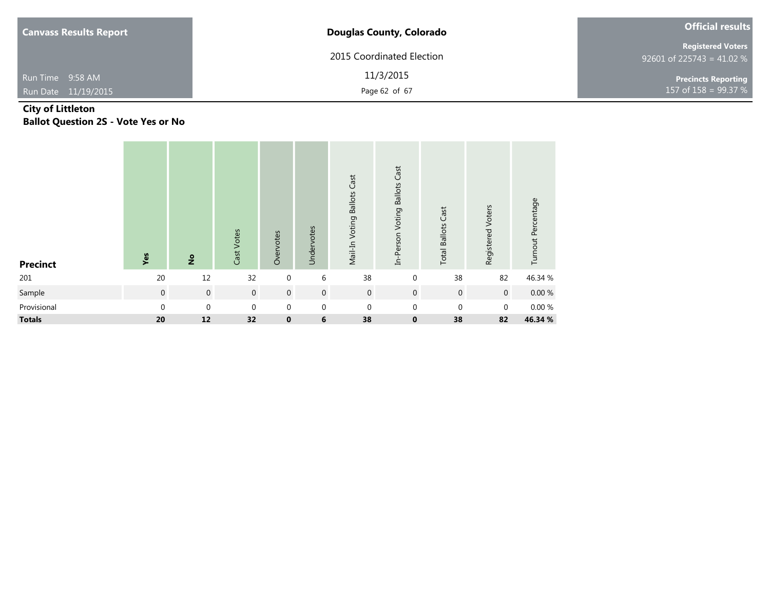| <b>Canvass Results Report</b> | <b>Douglas County, Colorado</b> | <b>Official results</b>                               |
|-------------------------------|---------------------------------|-------------------------------------------------------|
|                               | 2015 Coordinated Election       | <b>Registered Voters</b><br>92601 of 225743 = 41.02 % |
| Run Time 9:58 AM              | 11/3/2015                       | Precincts Reporting                                   |
| Run Date 11/19/2015           | Page 62 of 67                   | 157 of $158 = 99.37 %$                                |

### **City of Littleton Ballot Question 2S - Vote Yes or No**

| <b>Precinct</b> | Yes              | $rac{6}{5}$      | Cast Votes  | Overvotes        | Undervotes       | Mail-In Voting Ballots Cast | In-Person Voting Ballots Cast | <b>Total Ballots Cast</b> | Registered Voters | Turnout Percentage |
|-----------------|------------------|------------------|-------------|------------------|------------------|-----------------------------|-------------------------------|---------------------------|-------------------|--------------------|
| 201             | 20               | 12               | 32          | $\mathbf 0$      | 6                | 38                          | $\mathbf 0$                   | 38                        | 82                | 46.34 %            |
| Sample          | $\boldsymbol{0}$ | $\mathbf 0$      | $\mathbf 0$ | $\boldsymbol{0}$ | $\mathbf 0$      | $\overline{0}$              | $\mathbf 0$                   | $\overline{0}$            | $\overline{0}$    | $0.00\ \%$         |
| Provisional     | $\mathbf 0$      | $\boldsymbol{0}$ | $\mathbf 0$ | $\boldsymbol{0}$ | $\boldsymbol{0}$ | $\mathbf 0$                 | $\mathbf 0$                   | $\mathbf{0}$              | $\mathbf 0$       | 0.00 %             |
| <b>Totals</b>   | 20               | 12               | 32          | $\mathbf 0$      | 6                | 38                          | $\mathbf 0$                   | 38                        | 82                | 46.34 %            |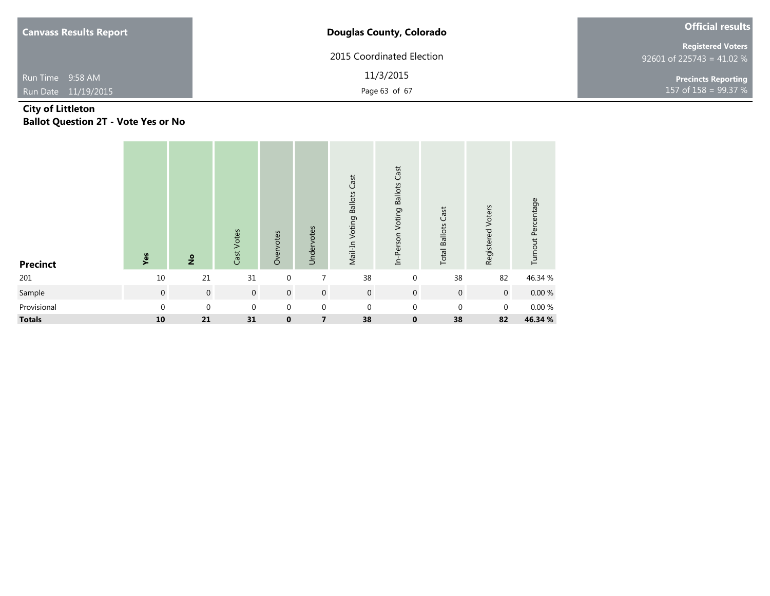| <b>Canvass Results Report</b> | <b>Douglas County, Colorado</b> | <b>Official results</b>                               |
|-------------------------------|---------------------------------|-------------------------------------------------------|
|                               | 2015 Coordinated Election       | <b>Registered Voters</b><br>92601 of 225743 = 41.02 % |
| Run Time 9:58 AM              | 11/3/2015                       | <b>Precincts Reporting</b>                            |
| Run Date 11/19/2015           | Page 63 of 67                   | 157 of 158 = $99.37 \%$                               |

### **City of Littleton Ballot Question 2T - Vote Yes or No**

| <b>Precinct</b> | Yes            | $\frac{1}{2}$    | Cast Votes       | Overvotes      | Undervotes       | Mail-In Voting Ballots Cast | In-Person Voting Ballots Cast | <b>Total Ballots Cast</b> | Registered Voters | Turnout Percentage |
|-----------------|----------------|------------------|------------------|----------------|------------------|-----------------------------|-------------------------------|---------------------------|-------------------|--------------------|
| 201             | 10             | 21               | 31               | $\mathbf 0$    | 7                | 38                          | $\mathbf 0$                   | 38                        | 82                | 46.34 %            |
| Sample          | $\overline{0}$ | $\mathbf 0$      | $\mathbf 0$      | $\overline{0}$ | $\mathbf 0$      | $\mathbf 0$                 | $\mathbf 0$                   | $\mathbf 0$               | $\mathbf 0$       | $0.00 \%$          |
| Provisional     | $\mathbf{0}$   | $\boldsymbol{0}$ | $\boldsymbol{0}$ | $\mathbf 0$    | $\boldsymbol{0}$ | $\mathbf 0$                 | $\mathbf 0$                   | $\mathbf{0}$              | $\pmb{0}$         | $0.00~\%$          |
| <b>Totals</b>   | 10             | 21               | 31               | $\mathbf 0$    | 7                | 38                          | $\mathbf 0$                   | 38                        | 82                | 46.34 %            |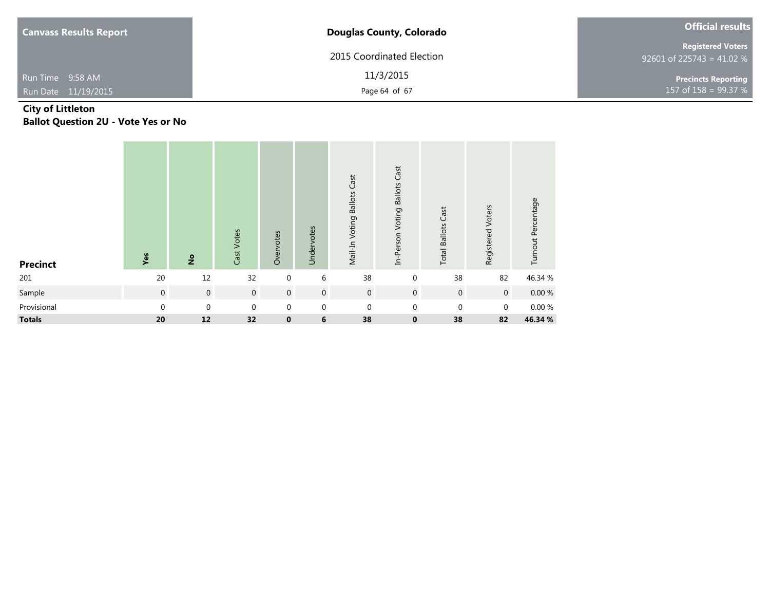| <b>Canvass Results Report</b> | <b>Douglas County, Colorado</b> | <b>Official results</b>                               |
|-------------------------------|---------------------------------|-------------------------------------------------------|
|                               | 2015 Coordinated Election       | <b>Registered Voters</b><br>92601 of 225743 = 41.02 % |
| Run Time 9:58 AM              | 11/3/2015                       | <b>Precincts Reporting</b>                            |
| Run Date 11/19/2015           | Page 64 of 67                   | 157 of $158 = 99.37 %$                                |

### **City of Littleton Ballot Question 2U - Vote Yes or No**

| <b>Precinct</b> | Yes         | $rac{6}{5}$      | Cast Votes  | Overvotes        | Undervotes       | Mail-In Voting Ballots Cast | In-Person Voting Ballots Cast | <b>Total Ballots Cast</b> | Registered Voters | Turnout Percentage |
|-----------------|-------------|------------------|-------------|------------------|------------------|-----------------------------|-------------------------------|---------------------------|-------------------|--------------------|
| 201             | 20          | 12               | 32          | $\mathbf 0$      | 6                | 38                          | $\mathbf 0$                   | 38                        | 82                | 46.34 %            |
| Sample          | $\mathbf 0$ | $\mathbf 0$      | $\mathbf 0$ | $\boldsymbol{0}$ | $\overline{0}$   | $\boldsymbol{0}$            | $\overline{0}$                | $\mathbf 0$               | $\mathbf 0$       | $0.00 \%$          |
| Provisional     | 0           | $\boldsymbol{0}$ | $\mathbf 0$ | $\boldsymbol{0}$ | $\boldsymbol{0}$ | $\mathbf 0$                 | $\mathbf{0}$                  | $\mathbf 0$               | $\boldsymbol{0}$  | $0.00~\%$          |
| <b>Totals</b>   | 20          | 12               | 32          | $\mathbf 0$      | $\bf 6$          | 38                          | $\mathbf 0$                   | 38                        | 82                | 46.34 %            |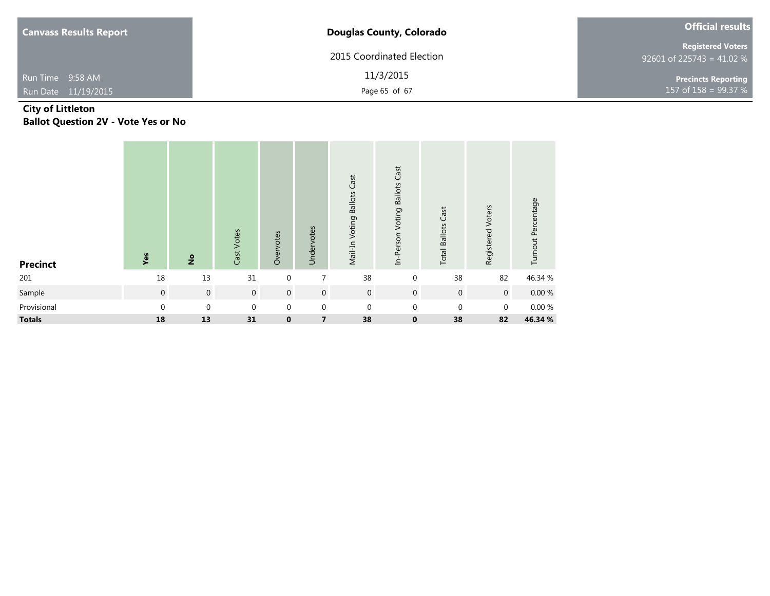| <b>Canvass Results Report</b> | <b>Douglas County, Colorado</b> | <b>Official results</b>                               |
|-------------------------------|---------------------------------|-------------------------------------------------------|
|                               | 2015 Coordinated Election       | <b>Registered Voters</b><br>92601 of 225743 = 41.02 % |
| Run Time 9:58 AM              | 11/3/2015                       | <b>Precincts Reporting</b>                            |
| Run Date 11/19/2015           | Page 65 of 67                   | 157 of $158 = 99.37 %$                                |

### **City of Littleton Ballot Question 2V - Vote Yes or No**

| <b>Precinct</b> | Yes              | $rac{6}{5}$      | Cast Votes  | Overvotes        | Undervotes              | Mail-In Voting Ballots Cast | In-Person Voting Ballots Cast | Cast<br><b>Total Ballots</b> | Registered Voters | Turnout Percentage |
|-----------------|------------------|------------------|-------------|------------------|-------------------------|-----------------------------|-------------------------------|------------------------------|-------------------|--------------------|
| 201             | 18               | 13               | 31          | $\mathbf 0$      | 7                       | 38                          | $\mathbf 0$                   | 38                           | 82                | 46.34 %            |
| Sample          | $\boldsymbol{0}$ | $\mathbf 0$      | $\mathbf 0$ | $\boldsymbol{0}$ | $\mathbf 0$             | $\boldsymbol{0}$            | $\overline{0}$                | $\mathbf 0$                  | $\mathbf 0$       | $0.00 \%$          |
| Provisional     | 0                | $\boldsymbol{0}$ | $\mathbf 0$ | $\boldsymbol{0}$ | $\mathbf 0$             | $\boldsymbol{0}$            | $\mathbf 0$                   | $\mathbf 0$                  | $\mathbf 0$       | 0.00 %             |
| <b>Totals</b>   | 18               | 13               | 31          | $\mathbf 0$      | $\overline{\mathbf{z}}$ | 38                          | $\mathbf 0$                   | 38                           | 82                | 46.34 %            |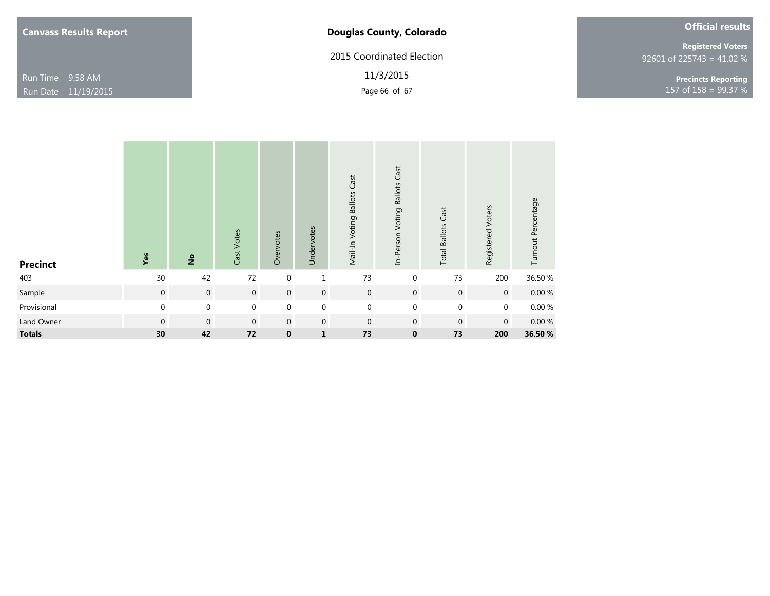# **Douglas County, Colorado**

2015 Coordinated Election

11/3/2015

| <b>Official results</b> |  |
|-------------------------|--|
|-------------------------|--|

92601 of 225743 = 41.02 % **Registered Voters**

Page 66 of 67 **158** = 99.37 % **Precincts Reporting**

| <b>Precinct</b> | Yes              | $\frac{1}{2}$  | Cast Votes       | Overvotes   | Undervotes     | Mail-In Voting Ballots Cast | Cast<br><b>Ballots</b><br>In-Person Voting | <b>Total Ballots Cast</b> | Registered Voters | Turnout Percentage |
|-----------------|------------------|----------------|------------------|-------------|----------------|-----------------------------|--------------------------------------------|---------------------------|-------------------|--------------------|
| 403             | $30$             | 42             | 72               | $\mathbf 0$ | $\mathbf{1}$   | 73                          | $\mathbf 0$                                | 73                        | 200               | 36.50 %            |
| Sample          | $\boldsymbol{0}$ | $\overline{0}$ | $\boldsymbol{0}$ | $\mathbf 0$ | $\mathbf 0$    | $\mathbf 0$                 | $\mathsf{O}\xspace$                        | $\mathbf 0$               | $\overline{0}$    | $0.00 \%$          |
| Provisional     | $\boldsymbol{0}$ | $\mathbf 0$    | $\mathbf 0$      | $\mathbf 0$ | $\mathbf 0$    | $\mathbf{0}$                | $\boldsymbol{0}$                           | $\mathbf 0$               | $\mathbf 0$       | $0.00\ \%$         |
| Land Owner      | $\boldsymbol{0}$ | $\overline{0}$ | $\mathbf 0$      | $\mathbf 0$ | $\overline{0}$ | $\overline{0}$              | $\mathbf 0$                                | $\mathbf 0$               | $\overline{0}$    | $0.00 \%$          |
| <b>Totals</b>   | 30               | 42             | 72               | $\mathbf 0$ | $\mathbf{1}$   | 73                          | $\mathbf 0$                                | 73                        | 200               | 36.50 %            |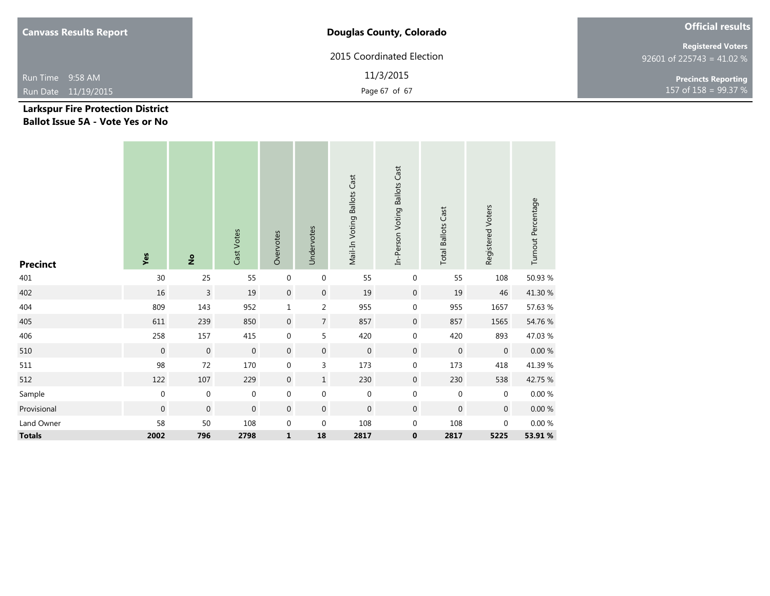| <b>Canvass Results Report</b> | <b>Douglas County, Colorado</b> | <b>Official results</b>                               |  |  |
|-------------------------------|---------------------------------|-------------------------------------------------------|--|--|
|                               | 2015 Coordinated Election       | <b>Registered Voters</b><br>92601 of 225743 = 41.02 % |  |  |
| Run Time 9:58 AM              | 11/3/2015                       | <b>Precincts Reporting</b>                            |  |  |
| Run Date 11/19/2015           | Page 67 of 67                   | 157 of $158 = 99.37 %$                                |  |  |

### **Larkspur Fire Protection District Ballot Issue 5A - Vote Yes or No**

| <b>Precinct</b> | Yes              | $\frac{1}{2}$    | Cast Votes       | Overvotes        | Undervotes       | Mail-In Voting Ballots Cast | In-Person Voting Ballots Cast | <b>Total Ballots Cast</b> | Registered Voters | Turnout Percentage |
|-----------------|------------------|------------------|------------------|------------------|------------------|-----------------------------|-------------------------------|---------------------------|-------------------|--------------------|
| 401             | 30               | 25               | 55               | $\boldsymbol{0}$ | $\mathbf 0$      | 55                          | 0                             | 55                        | 108               | 50.93 %            |
| 402             | $16\,$           | $\overline{3}$   | 19               | $\boldsymbol{0}$ | $\mathbf 0$      | 19                          | $\boldsymbol{0}$              | 19                        | 46                | 41.30 %            |
| 404             | 809              | 143              | 952              | $\mathbf 1$      | $\overline{a}$   | 955                         | 0                             | 955                       | 1657              | 57.63 %            |
| 405             | 611              | 239              | 850              | $\boldsymbol{0}$ | $\overline{7}$   | 857                         | $\mathbf 0$                   | 857                       | 1565              | 54.76 %            |
| 406             | 258              | 157              | 415              | $\boldsymbol{0}$ | 5                | 420                         | 0                             | 420                       | 893               | 47.03 %            |
| 510             | $\mathbf 0$      | $\mathbf 0$      | $\boldsymbol{0}$ | $\boldsymbol{0}$ | $\boldsymbol{0}$ | $\boldsymbol{0}$            | $\boldsymbol{0}$              | $\boldsymbol{0}$          | $\boldsymbol{0}$  | $0.00\ \%$         |
| 511             | 98               | 72               | 170              | $\boldsymbol{0}$ | 3                | 173                         | $\boldsymbol{0}$              | 173                       | 418               | 41.39 %            |
| 512             | 122              | 107              | 229              | $\overline{0}$   | $\mathbf 1$      | 230                         | $\boldsymbol{0}$              | 230                       | 538               | 42.75 %            |
| Sample          | $\boldsymbol{0}$ | $\boldsymbol{0}$ | $\boldsymbol{0}$ | $\pmb{0}$        | $\boldsymbol{0}$ | $\boldsymbol{0}$            | $\mathbf 0$                   | $\boldsymbol{0}$          | $\mathbf 0$       | $0.00~\%$          |
| Provisional     | $\boldsymbol{0}$ | $\boldsymbol{0}$ | $\mathbf 0$      | $\boldsymbol{0}$ | $\boldsymbol{0}$ | $\mathbf 0$                 | $\mathbf 0$                   | $\boldsymbol{0}$          | $\boldsymbol{0}$  | $0.00\ \%$         |
| Land Owner      | 58               | $50\,$           | 108              | $\boldsymbol{0}$ | $\boldsymbol{0}$ | 108                         | $\mathbf 0$                   | 108                       | $\mathbf 0$       | $0.00\ \%$         |
| <b>Totals</b>   | 2002             | 796              | 2798             | $\mathbf{1}$     | 18               | 2817                        | 0                             | 2817                      | 5225              | 53.91 %            |